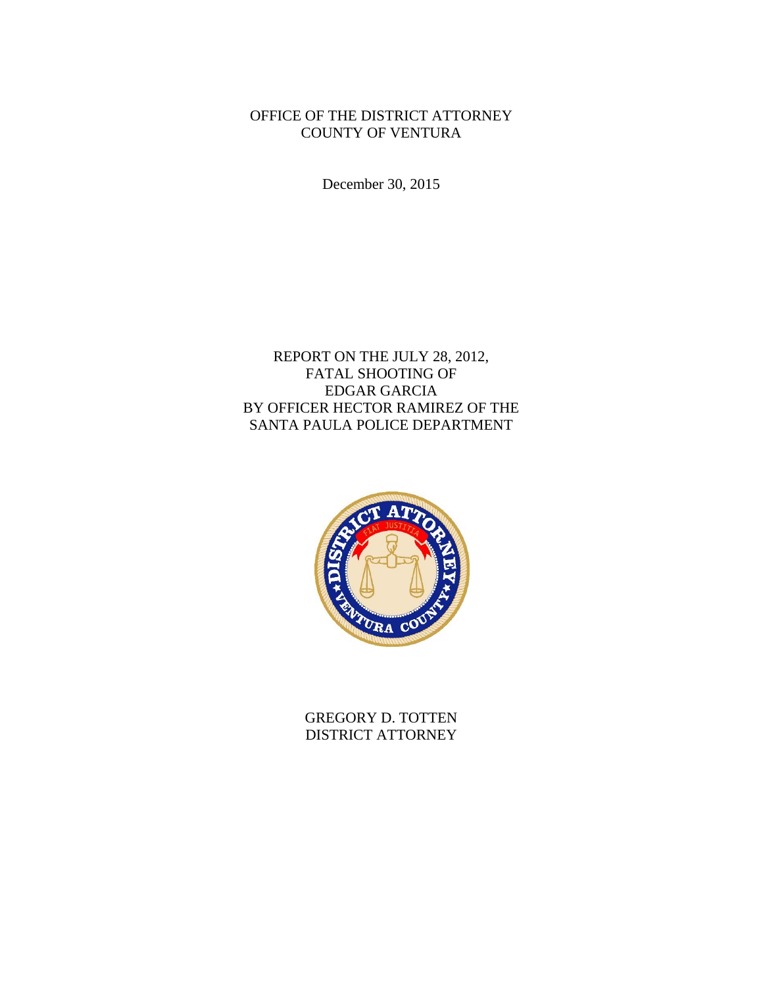# OFFICE OF THE DISTRICT ATTORNEY COUNTY OF VENTURA

December 30, 2015

# REPORT ON THE JULY 28, 2012, FATAL SHOOTING OF EDGAR GARCIA BY OFFICER HECTOR RAMIREZ OF THE SANTA PAULA POLICE DEPARTMENT



GREGORY D. TOTTEN DISTRICT ATTORNEY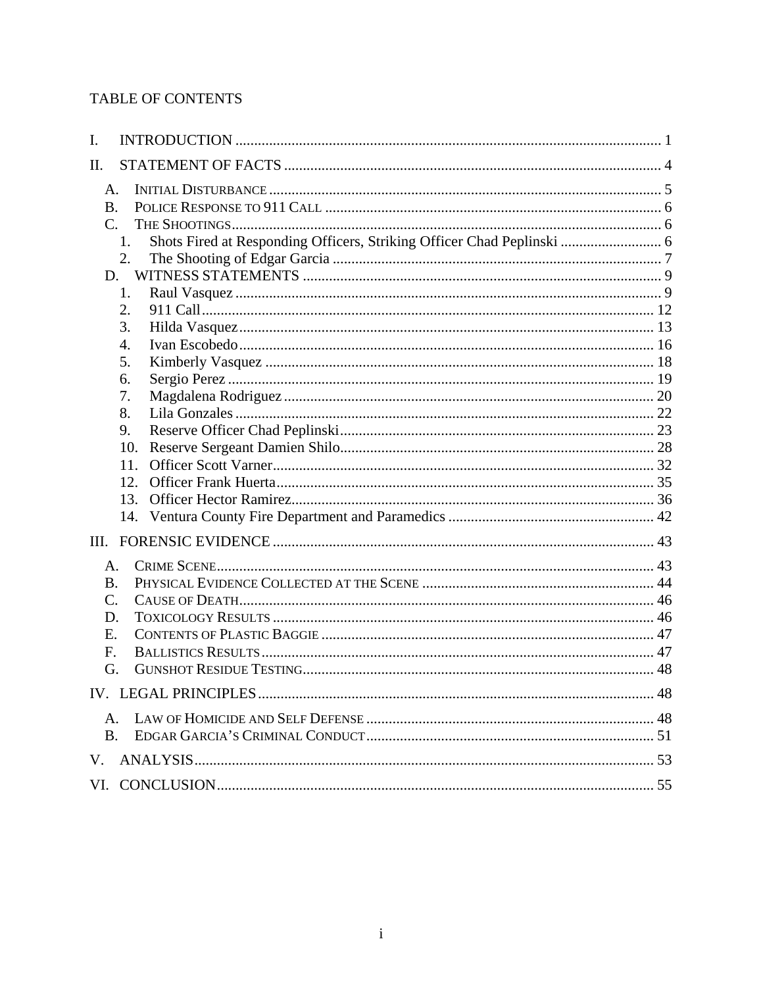# TABLE OF CONTENTS

| I.                                                                           |  |
|------------------------------------------------------------------------------|--|
| Π.                                                                           |  |
| A.                                                                           |  |
| <b>B.</b>                                                                    |  |
| $\mathcal{C}$ .                                                              |  |
| Shots Fired at Responding Officers, Striking Officer Chad Peplinski  6<br>1. |  |
| 2.                                                                           |  |
| D.                                                                           |  |
| 1.                                                                           |  |
| 2.                                                                           |  |
| 3.                                                                           |  |
| $\overline{4}$ .                                                             |  |
| 5.                                                                           |  |
| 6.                                                                           |  |
| 7.                                                                           |  |
| 8.                                                                           |  |
| 9.                                                                           |  |
| 10.                                                                          |  |
| 11.                                                                          |  |
| 12.                                                                          |  |
| 13.                                                                          |  |
|                                                                              |  |
| Ш.                                                                           |  |
| A.                                                                           |  |
| <b>B.</b>                                                                    |  |
| $C$ .                                                                        |  |
| D.                                                                           |  |
| Ε.                                                                           |  |
| F.                                                                           |  |
| G.                                                                           |  |
|                                                                              |  |
| $\mathsf{A}$ .                                                               |  |
| <b>B.</b>                                                                    |  |
| V.                                                                           |  |
|                                                                              |  |
|                                                                              |  |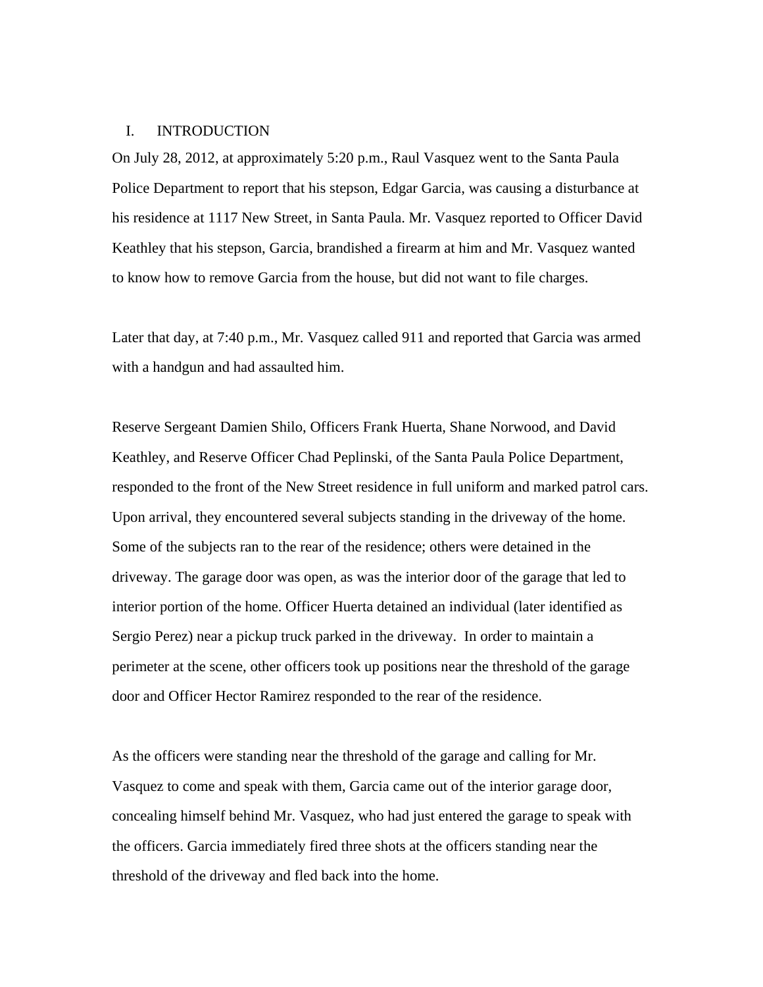### I. INTRODUCTION

On July 28, 2012, at approximately 5:20 p.m., Raul Vasquez went to the Santa Paula Police Department to report that his stepson, Edgar Garcia, was causing a disturbance at his residence at 1117 New Street, in Santa Paula. Mr. Vasquez reported to Officer David Keathley that his stepson, Garcia, brandished a firearm at him and Mr. Vasquez wanted to know how to remove Garcia from the house, but did not want to file charges.

Later that day, at 7:40 p.m., Mr. Vasquez called 911 and reported that Garcia was armed with a handgun and had assaulted him.

Reserve Sergeant Damien Shilo, Officers Frank Huerta, Shane Norwood, and David Keathley, and Reserve Officer Chad Peplinski, of the Santa Paula Police Department, responded to the front of the New Street residence in full uniform and marked patrol cars. Upon arrival, they encountered several subjects standing in the driveway of the home. Some of the subjects ran to the rear of the residence; others were detained in the driveway. The garage door was open, as was the interior door of the garage that led to interior portion of the home. Officer Huerta detained an individual (later identified as Sergio Perez) near a pickup truck parked in the driveway. In order to maintain a perimeter at the scene, other officers took up positions near the threshold of the garage door and Officer Hector Ramirez responded to the rear of the residence.

As the officers were standing near the threshold of the garage and calling for Mr. Vasquez to come and speak with them, Garcia came out of the interior garage door, concealing himself behind Mr. Vasquez, who had just entered the garage to speak with the officers. Garcia immediately fired three shots at the officers standing near the threshold of the driveway and fled back into the home.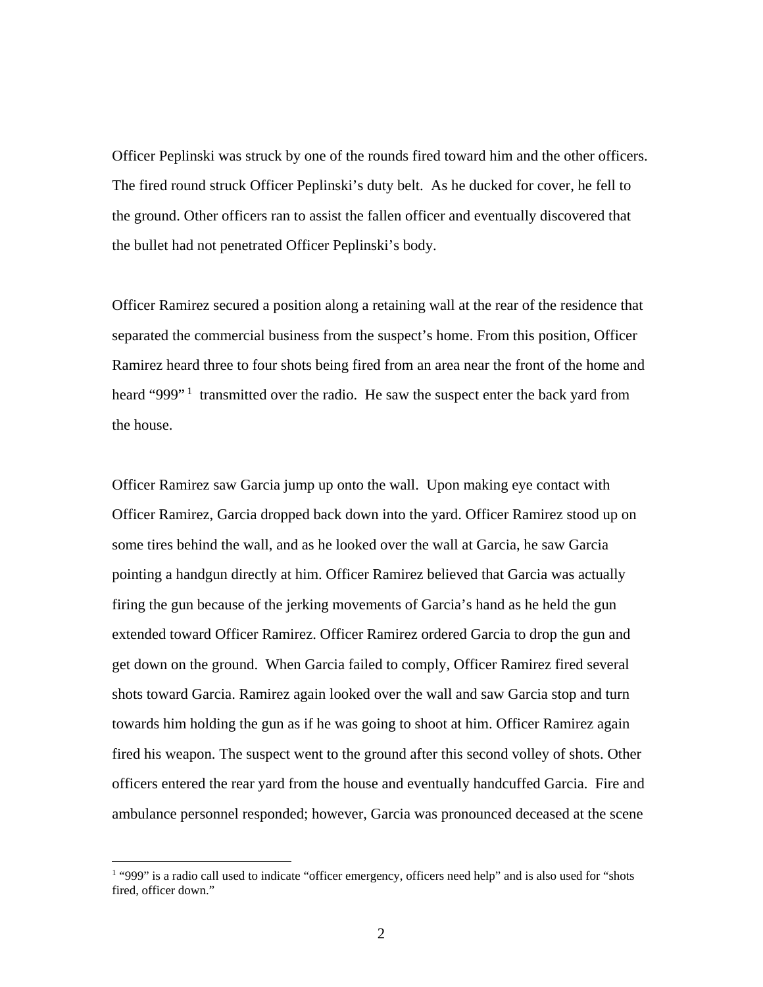Officer Peplinski was struck by one of the rounds fired toward him and the other officers. The fired round struck Officer Peplinski's duty belt. As he ducked for cover, he fell to the ground. Other officers ran to assist the fallen officer and eventually discovered that the bullet had not penetrated Officer Peplinski's body.

Officer Ramirez secured a position along a retaining wall at the rear of the residence that separated the commercial business from the suspect's home. From this position, Officer Ramirez heard three to four shots being fired from an area near the front of the home and heard "999"<sup>1</sup> transmitted over the radio. He saw the suspect enter the back yard from the house.

Officer Ramirez saw Garcia jump up onto the wall. Upon making eye contact with Officer Ramirez, Garcia dropped back down into the yard. Officer Ramirez stood up on some tires behind the wall, and as he looked over the wall at Garcia, he saw Garcia pointing a handgun directly at him. Officer Ramirez believed that Garcia was actually firing the gun because of the jerking movements of Garcia's hand as he held the gun extended toward Officer Ramirez. Officer Ramirez ordered Garcia to drop the gun and get down on the ground. When Garcia failed to comply, Officer Ramirez fired several shots toward Garcia. Ramirez again looked over the wall and saw Garcia stop and turn towards him holding the gun as if he was going to shoot at him. Officer Ramirez again fired his weapon. The suspect went to the ground after this second volley of shots. Other officers entered the rear yard from the house and eventually handcuffed Garcia. Fire and ambulance personnel responded; however, Garcia was pronounced deceased at the scene

<sup>&</sup>lt;sup>1</sup> "999" is a radio call used to indicate "officer emergency, officers need help" and is also used for "shots" fired, officer down."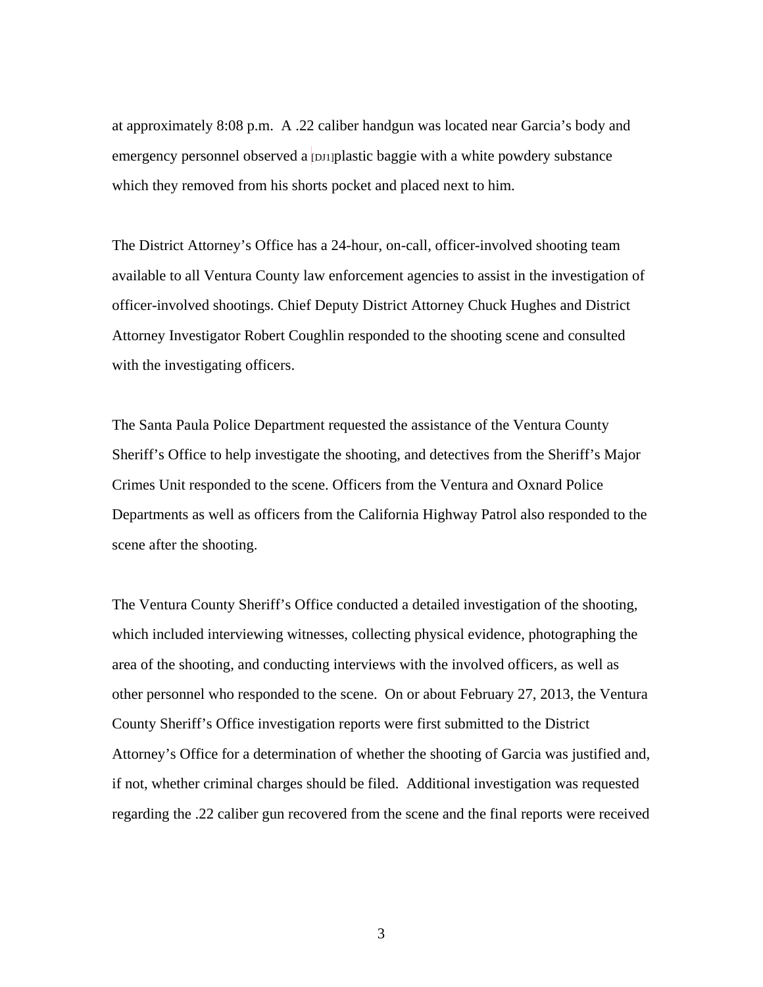at approximately 8:08 p.m. A .22 caliber handgun was located near Garcia's body and emergency personnel observed a  $\text{p}$ <sub>1</sub> p<sub>1</sub> plastic baggie with a white powdery substance which they removed from his shorts pocket and placed next to him.

The District Attorney's Office has a 24-hour, on-call, officer-involved shooting team available to all Ventura County law enforcement agencies to assist in the investigation of officer-involved shootings. Chief Deputy District Attorney Chuck Hughes and District Attorney Investigator Robert Coughlin responded to the shooting scene and consulted with the investigating officers.

The Santa Paula Police Department requested the assistance of the Ventura County Sheriff's Office to help investigate the shooting, and detectives from the Sheriff's Major Crimes Unit responded to the scene. Officers from the Ventura and Oxnard Police Departments as well as officers from the California Highway Patrol also responded to the scene after the shooting.

The Ventura County Sheriff's Office conducted a detailed investigation of the shooting, which included interviewing witnesses, collecting physical evidence, photographing the area of the shooting, and conducting interviews with the involved officers, as well as other personnel who responded to the scene. On or about February 27, 2013, the Ventura County Sheriff's Office investigation reports were first submitted to the District Attorney's Office for a determination of whether the shooting of Garcia was justified and, if not, whether criminal charges should be filed. Additional investigation was requested regarding the .22 caliber gun recovered from the scene and the final reports were received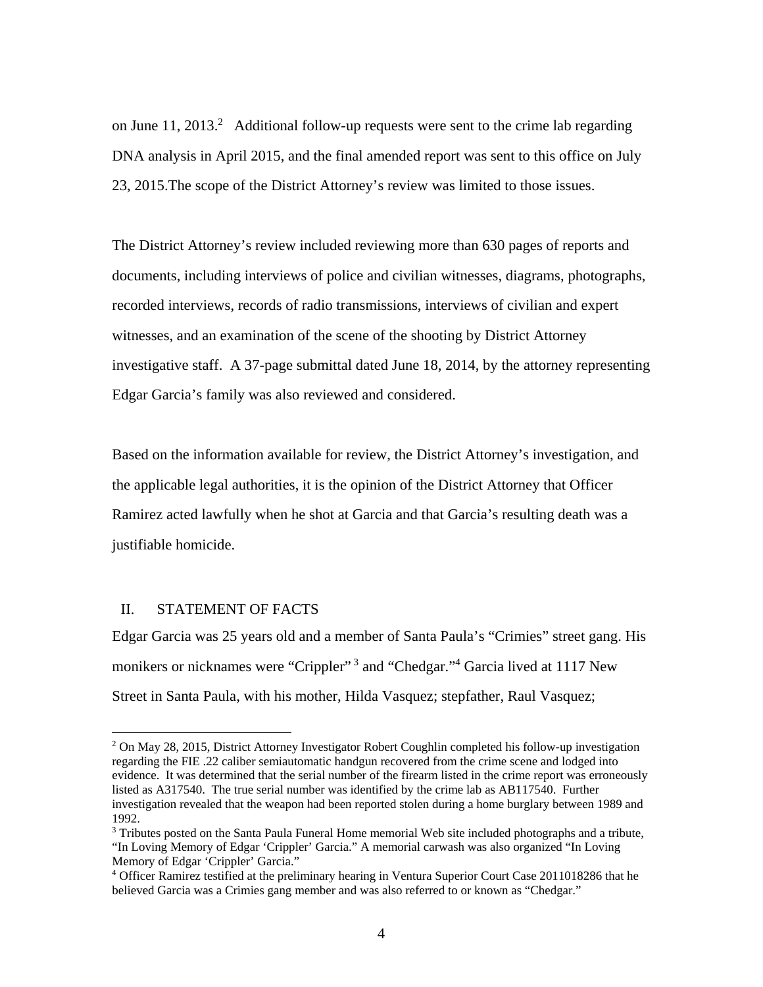on June 11, 2013.<sup>2</sup> Additional follow-up requests were sent to the crime lab regarding DNA analysis in April 2015, and the final amended report was sent to this office on July 23, 2015.The scope of the District Attorney's review was limited to those issues.

The District Attorney's review included reviewing more than 630 pages of reports and documents, including interviews of police and civilian witnesses, diagrams, photographs, recorded interviews, records of radio transmissions, interviews of civilian and expert witnesses, and an examination of the scene of the shooting by District Attorney investigative staff. A 37-page submittal dated June 18, 2014, by the attorney representing Edgar Garcia's family was also reviewed and considered.

Based on the information available for review, the District Attorney's investigation, and the applicable legal authorities, it is the opinion of the District Attorney that Officer Ramirez acted lawfully when he shot at Garcia and that Garcia's resulting death was a justifiable homicide.

### II. STATEMENT OF FACTS

 $\overline{a}$ 

Edgar Garcia was 25 years old and a member of Santa Paula's "Crimies" street gang. His monikers or nicknames were "Crippler"<sup>3</sup> and "Chedgar."<sup>4</sup> Garcia lived at 1117 New Street in Santa Paula, with his mother, Hilda Vasquez; stepfather, Raul Vasquez;

<sup>&</sup>lt;sup>2</sup> On May 28, 2015, District Attorney Investigator Robert Coughlin completed his follow-up investigation regarding the FIE .22 caliber semiautomatic handgun recovered from the crime scene and lodged into evidence. It was determined that the serial number of the firearm listed in the crime report was erroneously listed as A317540. The true serial number was identified by the crime lab as AB117540. Further investigation revealed that the weapon had been reported stolen during a home burglary between 1989 and 1992.

<sup>&</sup>lt;sup>3</sup> Tributes posted on the Santa Paula Funeral Home memorial Web site included photographs and a tribute, "In Loving Memory of Edgar 'Crippler' Garcia." A memorial carwash was also organized "In Loving Memory of Edgar 'Crippler' Garcia."

<sup>4</sup> Officer Ramirez testified at the preliminary hearing in Ventura Superior Court Case 2011018286 that he believed Garcia was a Crimies gang member and was also referred to or known as "Chedgar."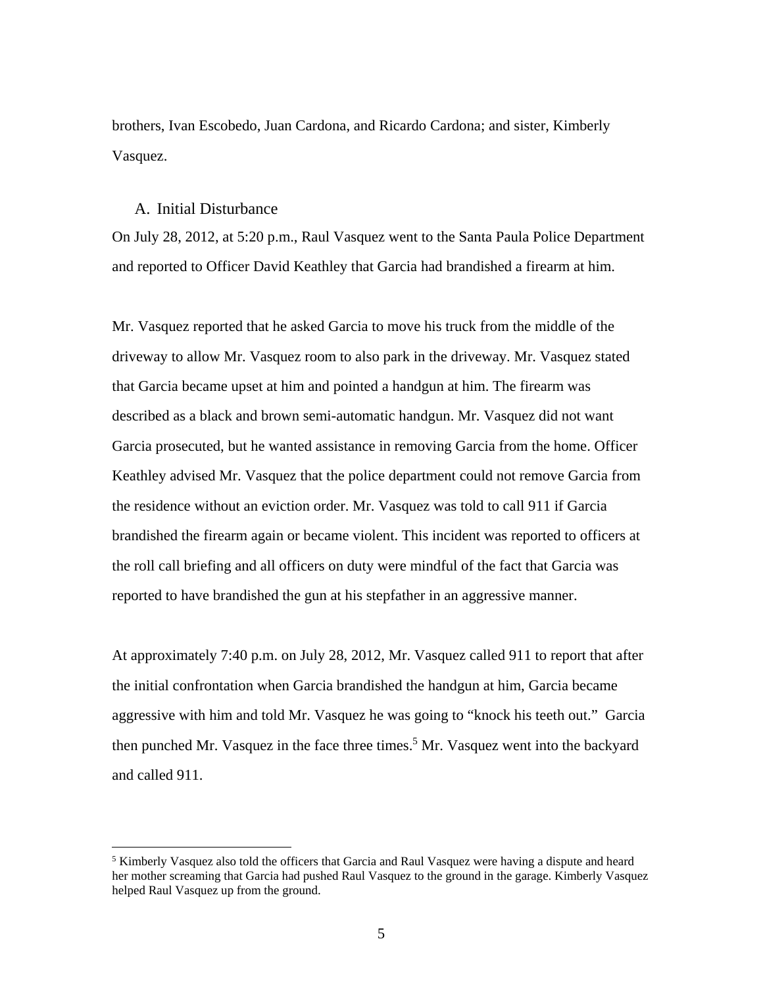brothers, Ivan Escobedo, Juan Cardona, and Ricardo Cardona; and sister, Kimberly Vasquez.

# A. Initial Disturbance

 $\overline{a}$ 

On July 28, 2012, at 5:20 p.m., Raul Vasquez went to the Santa Paula Police Department and reported to Officer David Keathley that Garcia had brandished a firearm at him.

Mr. Vasquez reported that he asked Garcia to move his truck from the middle of the driveway to allow Mr. Vasquez room to also park in the driveway. Mr. Vasquez stated that Garcia became upset at him and pointed a handgun at him. The firearm was described as a black and brown semi-automatic handgun. Mr. Vasquez did not want Garcia prosecuted, but he wanted assistance in removing Garcia from the home. Officer Keathley advised Mr. Vasquez that the police department could not remove Garcia from the residence without an eviction order. Mr. Vasquez was told to call 911 if Garcia brandished the firearm again or became violent. This incident was reported to officers at the roll call briefing and all officers on duty were mindful of the fact that Garcia was reported to have brandished the gun at his stepfather in an aggressive manner.

At approximately 7:40 p.m. on July 28, 2012, Mr. Vasquez called 911 to report that after the initial confrontation when Garcia brandished the handgun at him, Garcia became aggressive with him and told Mr. Vasquez he was going to "knock his teeth out." Garcia then punched Mr. Vasquez in the face three times.<sup>5</sup> Mr. Vasquez went into the backyard and called 911.

<sup>&</sup>lt;sup>5</sup> Kimberly Vasquez also told the officers that Garcia and Raul Vasquez were having a dispute and heard her mother screaming that Garcia had pushed Raul Vasquez to the ground in the garage. Kimberly Vasquez helped Raul Vasquez up from the ground.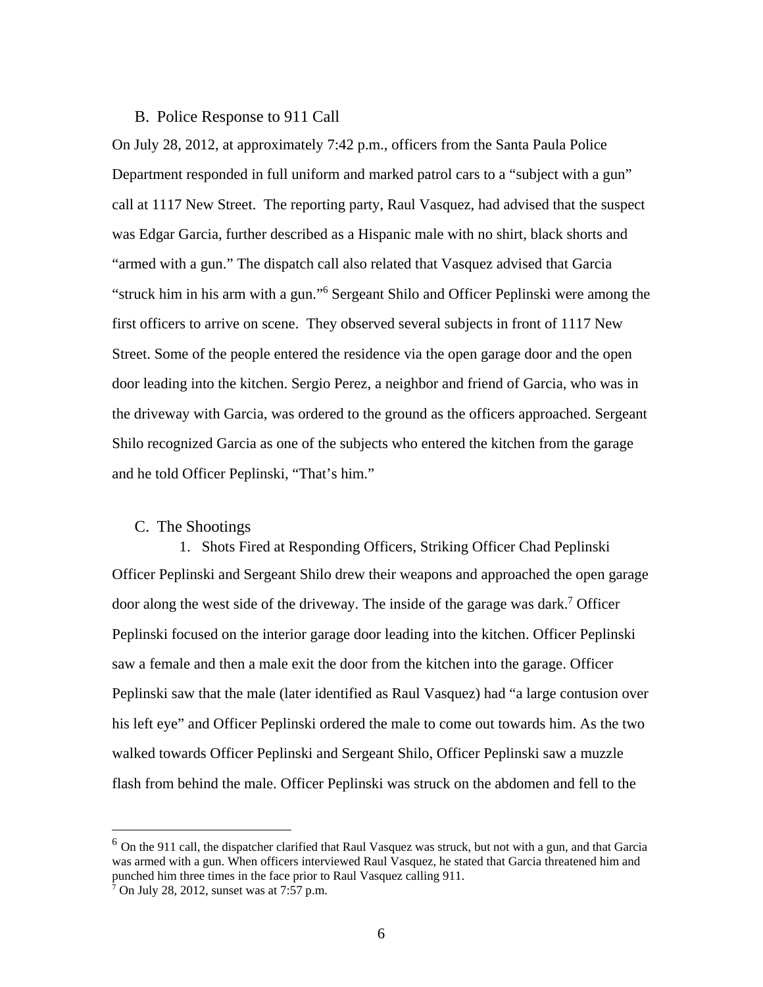# B. Police Response to 911 Call

On July 28, 2012, at approximately 7:42 p.m., officers from the Santa Paula Police Department responded in full uniform and marked patrol cars to a "subject with a gun" call at 1117 New Street. The reporting party, Raul Vasquez, had advised that the suspect was Edgar Garcia, further described as a Hispanic male with no shirt, black shorts and "armed with a gun." The dispatch call also related that Vasquez advised that Garcia "struck him in his arm with a gun."6 Sergeant Shilo and Officer Peplinski were among the first officers to arrive on scene. They observed several subjects in front of 1117 New Street. Some of the people entered the residence via the open garage door and the open door leading into the kitchen. Sergio Perez, a neighbor and friend of Garcia, who was in the driveway with Garcia, was ordered to the ground as the officers approached. Sergeant Shilo recognized Garcia as one of the subjects who entered the kitchen from the garage and he told Officer Peplinski, "That's him."

#### C. The Shootings

1. Shots Fired at Responding Officers, Striking Officer Chad Peplinski Officer Peplinski and Sergeant Shilo drew their weapons and approached the open garage door along the west side of the driveway. The inside of the garage was dark.<sup>7</sup> Officer Peplinski focused on the interior garage door leading into the kitchen. Officer Peplinski saw a female and then a male exit the door from the kitchen into the garage. Officer Peplinski saw that the male (later identified as Raul Vasquez) had "a large contusion over his left eye" and Officer Peplinski ordered the male to come out towards him. As the two walked towards Officer Peplinski and Sergeant Shilo, Officer Peplinski saw a muzzle flash from behind the male. Officer Peplinski was struck on the abdomen and fell to the

<sup>&</sup>lt;sup>6</sup> On the 911 call, the dispatcher clarified that Raul Vasquez was struck, but not with a gun, and that Garcia was armed with a gun. When officers interviewed Raul Vasquez, he stated that Garcia threatened him and punched him three times in the face prior to Raul Vasquez calling 911.

 $\frac{1}{7}$  On July 28, 2012, sunset was at 7:57 p.m.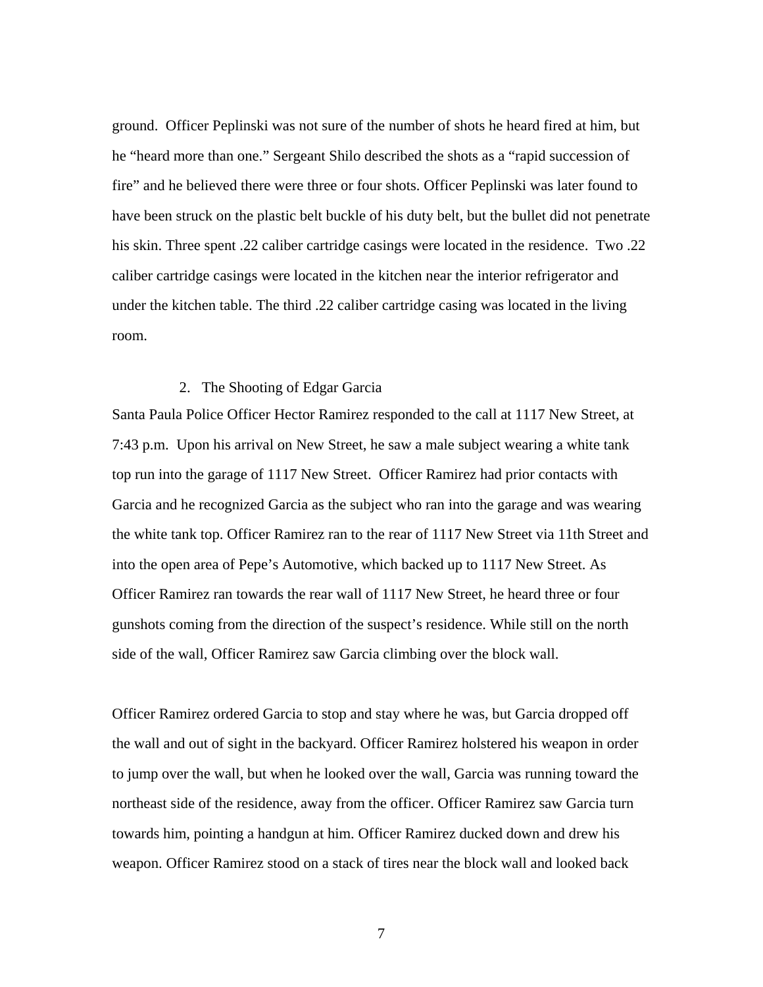ground. Officer Peplinski was not sure of the number of shots he heard fired at him, but he "heard more than one." Sergeant Shilo described the shots as a "rapid succession of fire" and he believed there were three or four shots. Officer Peplinski was later found to have been struck on the plastic belt buckle of his duty belt, but the bullet did not penetrate his skin. Three spent .22 caliber cartridge casings were located in the residence. Two .22 caliber cartridge casings were located in the kitchen near the interior refrigerator and under the kitchen table. The third .22 caliber cartridge casing was located in the living room.

### 2. The Shooting of Edgar Garcia

Santa Paula Police Officer Hector Ramirez responded to the call at 1117 New Street, at 7:43 p.m. Upon his arrival on New Street, he saw a male subject wearing a white tank top run into the garage of 1117 New Street. Officer Ramirez had prior contacts with Garcia and he recognized Garcia as the subject who ran into the garage and was wearing the white tank top. Officer Ramirez ran to the rear of 1117 New Street via 11th Street and into the open area of Pepe's Automotive, which backed up to 1117 New Street. As Officer Ramirez ran towards the rear wall of 1117 New Street, he heard three or four gunshots coming from the direction of the suspect's residence. While still on the north side of the wall, Officer Ramirez saw Garcia climbing over the block wall.

Officer Ramirez ordered Garcia to stop and stay where he was, but Garcia dropped off the wall and out of sight in the backyard. Officer Ramirez holstered his weapon in order to jump over the wall, but when he looked over the wall, Garcia was running toward the northeast side of the residence, away from the officer. Officer Ramirez saw Garcia turn towards him, pointing a handgun at him. Officer Ramirez ducked down and drew his weapon. Officer Ramirez stood on a stack of tires near the block wall and looked back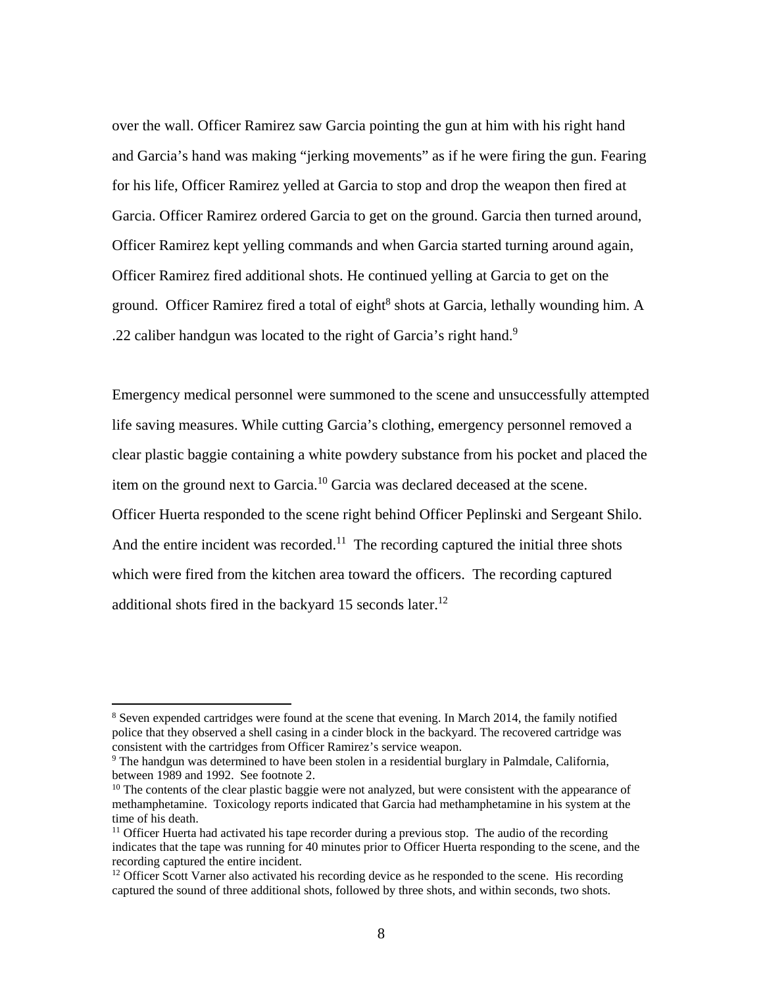over the wall. Officer Ramirez saw Garcia pointing the gun at him with his right hand and Garcia's hand was making "jerking movements" as if he were firing the gun. Fearing for his life, Officer Ramirez yelled at Garcia to stop and drop the weapon then fired at Garcia. Officer Ramirez ordered Garcia to get on the ground. Garcia then turned around, Officer Ramirez kept yelling commands and when Garcia started turning around again, Officer Ramirez fired additional shots. He continued yelling at Garcia to get on the ground. Officer Ramirez fired a total of eight<sup>8</sup> shots at Garcia, lethally wounding him. A .22 caliber handgun was located to the right of Garcia's right hand.<sup>9</sup>

Emergency medical personnel were summoned to the scene and unsuccessfully attempted life saving measures. While cutting Garcia's clothing, emergency personnel removed a clear plastic baggie containing a white powdery substance from his pocket and placed the item on the ground next to Garcia.10 Garcia was declared deceased at the scene. Officer Huerta responded to the scene right behind Officer Peplinski and Sergeant Shilo. And the entire incident was recorded.<sup>11</sup> The recording captured the initial three shots which were fired from the kitchen area toward the officers. The recording captured additional shots fired in the backyard  $15$  seconds later.<sup>12</sup>

<sup>&</sup>lt;sup>8</sup> Seven expended cartridges were found at the scene that evening. In March 2014, the family notified police that they observed a shell casing in a cinder block in the backyard. The recovered cartridge was consistent with the cartridges from Officer Ramirez's service weapon.

 $9$  The handgun was determined to have been stolen in a residential burglary in Palmdale, California, between 1989 and 1992. See footnote 2.

<sup>&</sup>lt;sup>10</sup> The contents of the clear plastic baggie were not analyzed, but were consistent with the appearance of methamphetamine. Toxicology reports indicated that Garcia had methamphetamine in his system at the time of his death.

 $11$  Officer Huerta had activated his tape recorder during a previous stop. The audio of the recording indicates that the tape was running for 40 minutes prior to Officer Huerta responding to the scene, and the recording captured the entire incident.

<sup>&</sup>lt;sup>12</sup> Officer Scott Varner also activated his recording device as he responded to the scene. His recording captured the sound of three additional shots, followed by three shots, and within seconds, two shots.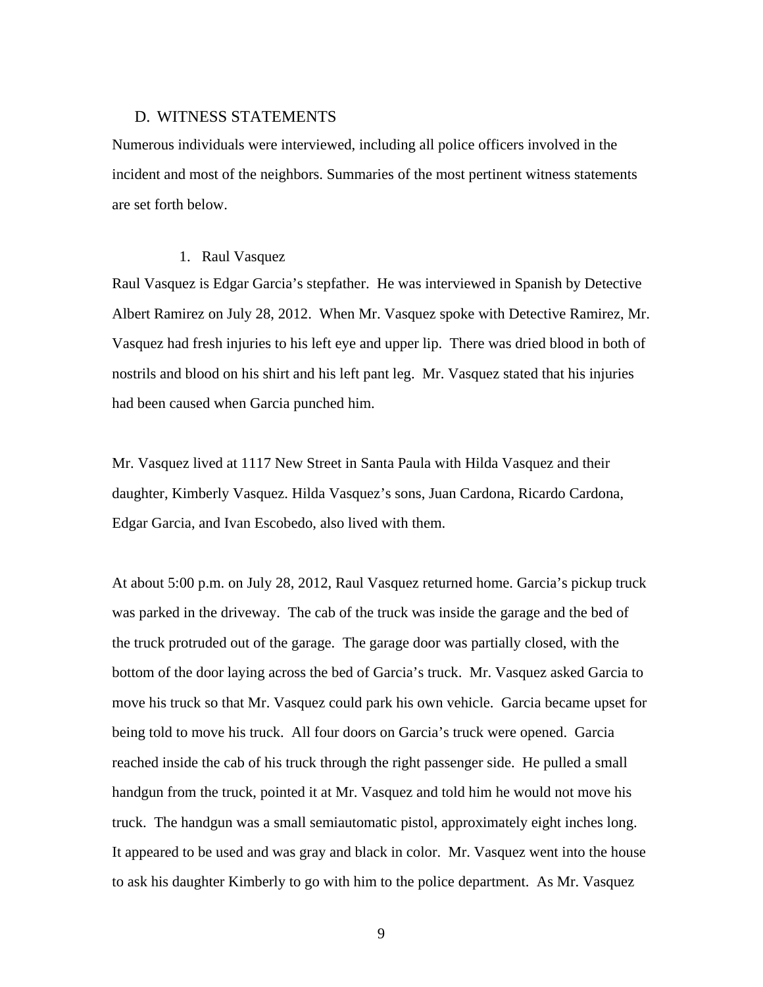### D. WITNESS STATEMENTS

Numerous individuals were interviewed, including all police officers involved in the incident and most of the neighbors. Summaries of the most pertinent witness statements are set forth below.

### 1. Raul Vasquez

Raul Vasquez is Edgar Garcia's stepfather. He was interviewed in Spanish by Detective Albert Ramirez on July 28, 2012. When Mr. Vasquez spoke with Detective Ramirez, Mr. Vasquez had fresh injuries to his left eye and upper lip. There was dried blood in both of nostrils and blood on his shirt and his left pant leg. Mr. Vasquez stated that his injuries had been caused when Garcia punched him.

Mr. Vasquez lived at 1117 New Street in Santa Paula with Hilda Vasquez and their daughter, Kimberly Vasquez. Hilda Vasquez's sons, Juan Cardona, Ricardo Cardona, Edgar Garcia, and Ivan Escobedo, also lived with them.

At about 5:00 p.m. on July 28, 2012, Raul Vasquez returned home. Garcia's pickup truck was parked in the driveway. The cab of the truck was inside the garage and the bed of the truck protruded out of the garage. The garage door was partially closed, with the bottom of the door laying across the bed of Garcia's truck. Mr. Vasquez asked Garcia to move his truck so that Mr. Vasquez could park his own vehicle. Garcia became upset for being told to move his truck. All four doors on Garcia's truck were opened. Garcia reached inside the cab of his truck through the right passenger side. He pulled a small handgun from the truck, pointed it at Mr. Vasquez and told him he would not move his truck. The handgun was a small semiautomatic pistol, approximately eight inches long. It appeared to be used and was gray and black in color. Mr. Vasquez went into the house to ask his daughter Kimberly to go with him to the police department. As Mr. Vasquez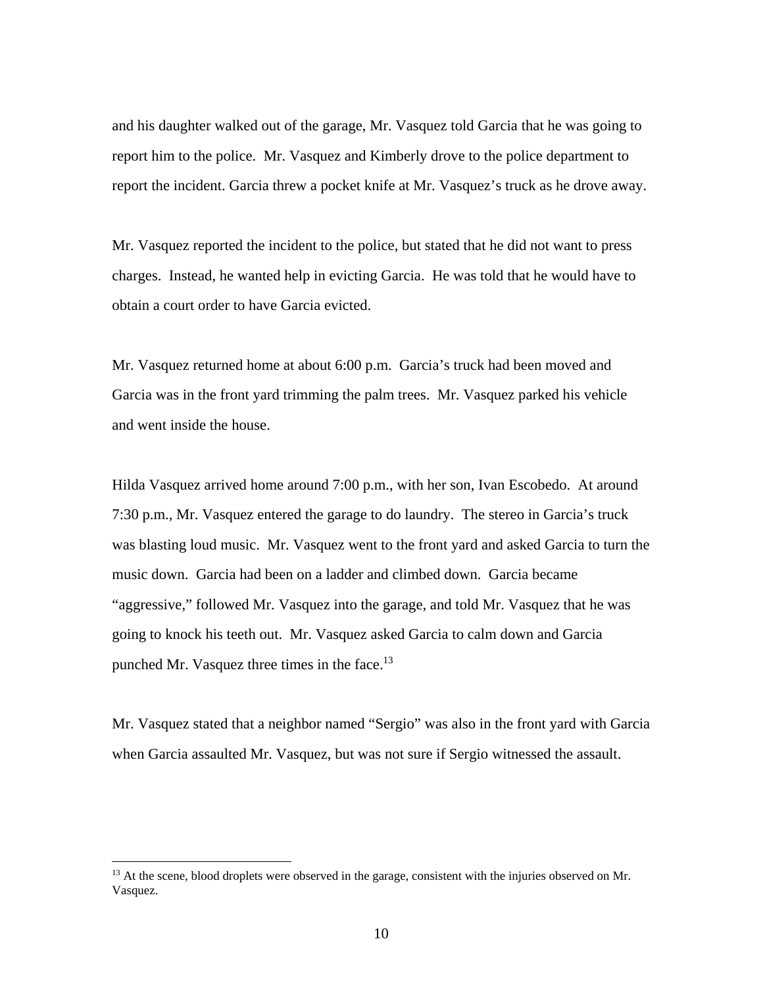and his daughter walked out of the garage, Mr. Vasquez told Garcia that he was going to report him to the police. Mr. Vasquez and Kimberly drove to the police department to report the incident. Garcia threw a pocket knife at Mr. Vasquez's truck as he drove away.

Mr. Vasquez reported the incident to the police, but stated that he did not want to press charges. Instead, he wanted help in evicting Garcia. He was told that he would have to obtain a court order to have Garcia evicted.

Mr. Vasquez returned home at about 6:00 p.m. Garcia's truck had been moved and Garcia was in the front yard trimming the palm trees. Mr. Vasquez parked his vehicle and went inside the house.

Hilda Vasquez arrived home around 7:00 p.m., with her son, Ivan Escobedo. At around 7:30 p.m., Mr. Vasquez entered the garage to do laundry. The stereo in Garcia's truck was blasting loud music. Mr. Vasquez went to the front yard and asked Garcia to turn the music down. Garcia had been on a ladder and climbed down. Garcia became "aggressive," followed Mr. Vasquez into the garage, and told Mr. Vasquez that he was going to knock his teeth out. Mr. Vasquez asked Garcia to calm down and Garcia punched Mr. Vasquez three times in the face.<sup>13</sup>

Mr. Vasquez stated that a neighbor named "Sergio" was also in the front yard with Garcia when Garcia assaulted Mr. Vasquez, but was not sure if Sergio witnessed the assault.

<sup>&</sup>lt;sup>13</sup> At the scene, blood droplets were observed in the garage, consistent with the injuries observed on Mr. Vasquez.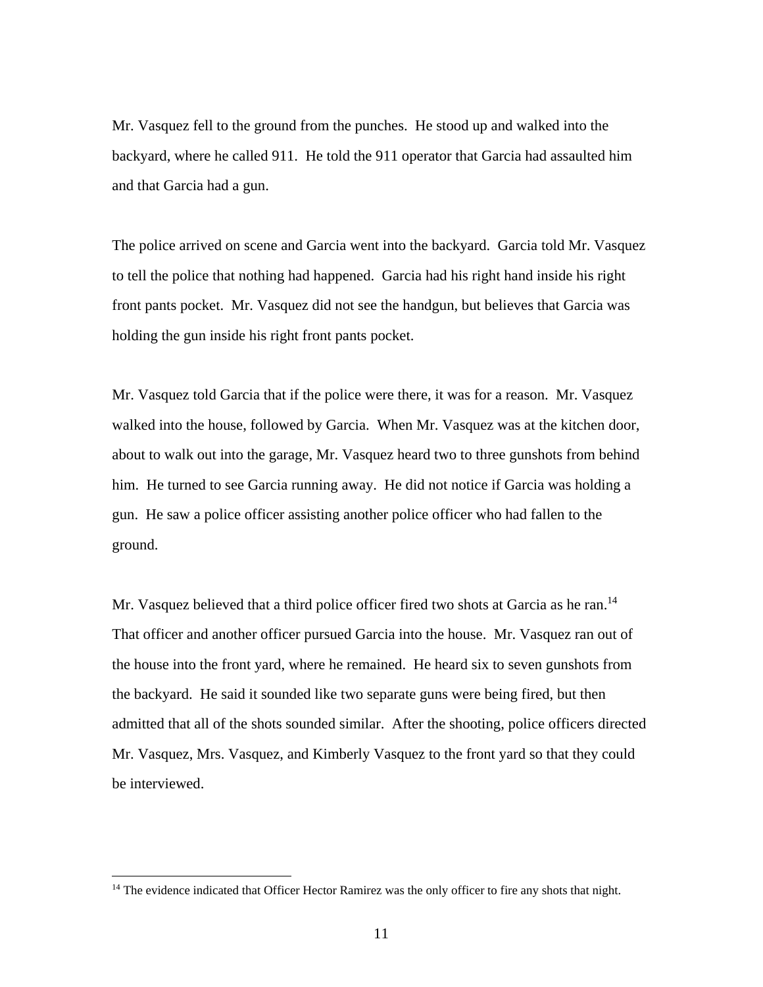Mr. Vasquez fell to the ground from the punches. He stood up and walked into the backyard, where he called 911. He told the 911 operator that Garcia had assaulted him and that Garcia had a gun.

The police arrived on scene and Garcia went into the backyard. Garcia told Mr. Vasquez to tell the police that nothing had happened. Garcia had his right hand inside his right front pants pocket. Mr. Vasquez did not see the handgun, but believes that Garcia was holding the gun inside his right front pants pocket.

Mr. Vasquez told Garcia that if the police were there, it was for a reason. Mr. Vasquez walked into the house, followed by Garcia. When Mr. Vasquez was at the kitchen door, about to walk out into the garage, Mr. Vasquez heard two to three gunshots from behind him. He turned to see Garcia running away. He did not notice if Garcia was holding a gun. He saw a police officer assisting another police officer who had fallen to the ground.

Mr. Vasquez believed that a third police officer fired two shots at Garcia as he ran.<sup>14</sup> That officer and another officer pursued Garcia into the house. Mr. Vasquez ran out of the house into the front yard, where he remained. He heard six to seven gunshots from the backyard. He said it sounded like two separate guns were being fired, but then admitted that all of the shots sounded similar. After the shooting, police officers directed Mr. Vasquez, Mrs. Vasquez, and Kimberly Vasquez to the front yard so that they could be interviewed.

<u>.</u>

<sup>&</sup>lt;sup>14</sup> The evidence indicated that Officer Hector Ramirez was the only officer to fire any shots that night.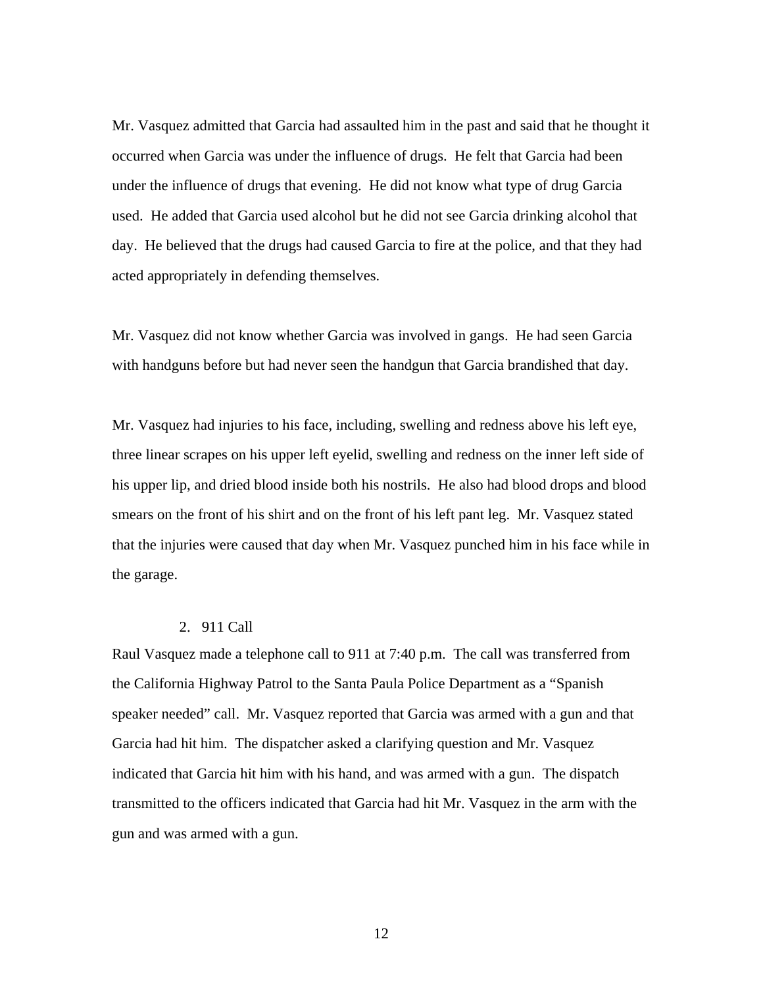Mr. Vasquez admitted that Garcia had assaulted him in the past and said that he thought it occurred when Garcia was under the influence of drugs. He felt that Garcia had been under the influence of drugs that evening. He did not know what type of drug Garcia used. He added that Garcia used alcohol but he did not see Garcia drinking alcohol that day. He believed that the drugs had caused Garcia to fire at the police, and that they had acted appropriately in defending themselves.

Mr. Vasquez did not know whether Garcia was involved in gangs. He had seen Garcia with handguns before but had never seen the handgun that Garcia brandished that day.

Mr. Vasquez had injuries to his face, including, swelling and redness above his left eye, three linear scrapes on his upper left eyelid, swelling and redness on the inner left side of his upper lip, and dried blood inside both his nostrils. He also had blood drops and blood smears on the front of his shirt and on the front of his left pant leg. Mr. Vasquez stated that the injuries were caused that day when Mr. Vasquez punched him in his face while in the garage.

# 2. 911 Call

Raul Vasquez made a telephone call to 911 at 7:40 p.m. The call was transferred from the California Highway Patrol to the Santa Paula Police Department as a "Spanish speaker needed" call. Mr. Vasquez reported that Garcia was armed with a gun and that Garcia had hit him. The dispatcher asked a clarifying question and Mr. Vasquez indicated that Garcia hit him with his hand, and was armed with a gun. The dispatch transmitted to the officers indicated that Garcia had hit Mr. Vasquez in the arm with the gun and was armed with a gun.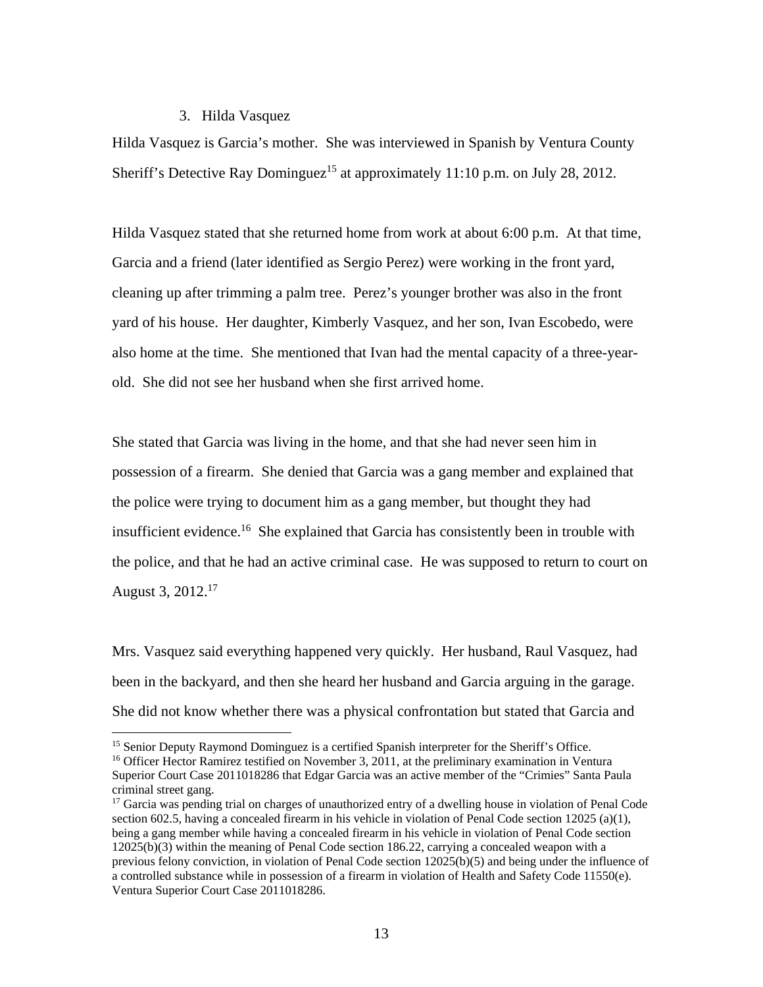### 3. Hilda Vasquez

Hilda Vasquez is Garcia's mother. She was interviewed in Spanish by Ventura County Sheriff's Detective Ray Dominguez<sup>15</sup> at approximately 11:10 p.m. on July 28, 2012.

Hilda Vasquez stated that she returned home from work at about 6:00 p.m. At that time, Garcia and a friend (later identified as Sergio Perez) were working in the front yard, cleaning up after trimming a palm tree. Perez's younger brother was also in the front yard of his house. Her daughter, Kimberly Vasquez, and her son, Ivan Escobedo, were also home at the time. She mentioned that Ivan had the mental capacity of a three-yearold. She did not see her husband when she first arrived home.

She stated that Garcia was living in the home, and that she had never seen him in possession of a firearm. She denied that Garcia was a gang member and explained that the police were trying to document him as a gang member, but thought they had insufficient evidence.<sup>16</sup> She explained that Garcia has consistently been in trouble with the police, and that he had an active criminal case. He was supposed to return to court on August 3, 2012.17

Mrs. Vasquez said everything happened very quickly. Her husband, Raul Vasquez, had been in the backyard, and then she heard her husband and Garcia arguing in the garage. She did not know whether there was a physical confrontation but stated that Garcia and

<sup>&</sup>lt;sup>15</sup> Senior Deputy Raymond Dominguez is a certified Spanish interpreter for the Sheriff's Office.<br><sup>16</sup> Officer Hector Ramirez testified on November 3, 2011, at the preliminary examination in Ventura

Superior Court Case 2011018286 that Edgar Garcia was an active member of the "Crimies" Santa Paula criminal street gang.

<sup>&</sup>lt;sup>17</sup> Garcia was pending trial on charges of unauthorized entry of a dwelling house in violation of Penal Code section 602.5, having a concealed firearm in his vehicle in violation of Penal Code section  $12025$  (a)(1), being a gang member while having a concealed firearm in his vehicle in violation of Penal Code section 12025(b)(3) within the meaning of Penal Code section 186.22, carrying a concealed weapon with a previous felony conviction, in violation of Penal Code section 12025(b)(5) and being under the influence of a controlled substance while in possession of a firearm in violation of Health and Safety Code 11550(e). Ventura Superior Court Case 2011018286.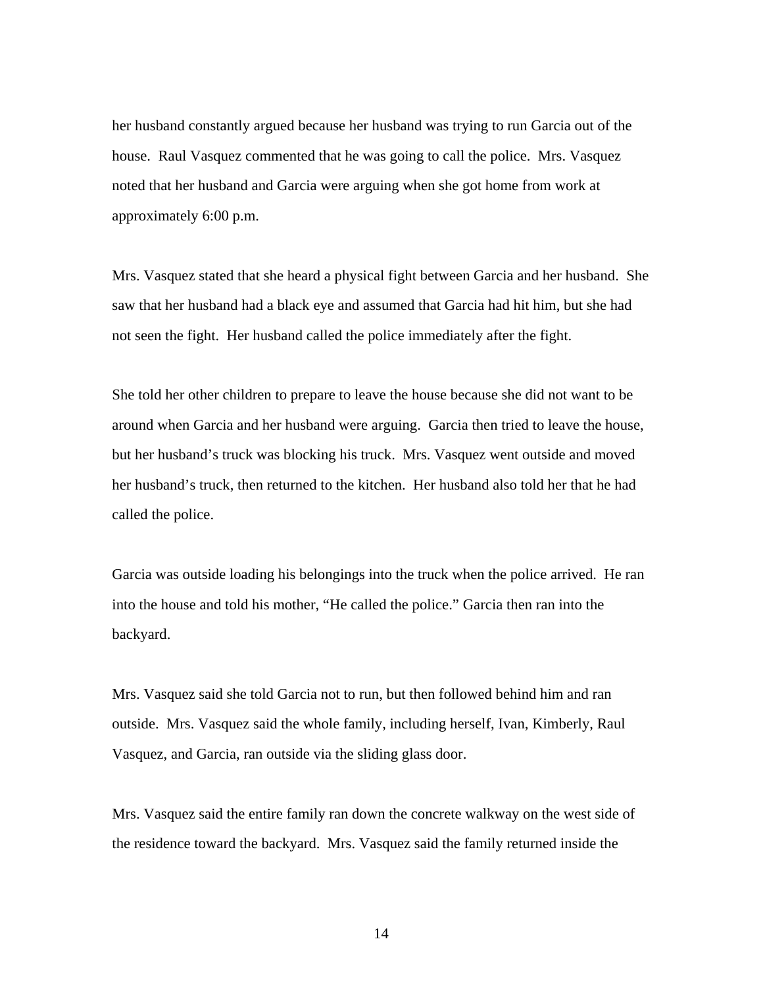her husband constantly argued because her husband was trying to run Garcia out of the house. Raul Vasquez commented that he was going to call the police. Mrs. Vasquez noted that her husband and Garcia were arguing when she got home from work at approximately 6:00 p.m.

Mrs. Vasquez stated that she heard a physical fight between Garcia and her husband. She saw that her husband had a black eye and assumed that Garcia had hit him, but she had not seen the fight. Her husband called the police immediately after the fight.

She told her other children to prepare to leave the house because she did not want to be around when Garcia and her husband were arguing. Garcia then tried to leave the house, but her husband's truck was blocking his truck. Mrs. Vasquez went outside and moved her husband's truck, then returned to the kitchen. Her husband also told her that he had called the police.

Garcia was outside loading his belongings into the truck when the police arrived. He ran into the house and told his mother, "He called the police." Garcia then ran into the backyard.

Mrs. Vasquez said she told Garcia not to run, but then followed behind him and ran outside. Mrs. Vasquez said the whole family, including herself, Ivan, Kimberly, Raul Vasquez, and Garcia, ran outside via the sliding glass door.

Mrs. Vasquez said the entire family ran down the concrete walkway on the west side of the residence toward the backyard. Mrs. Vasquez said the family returned inside the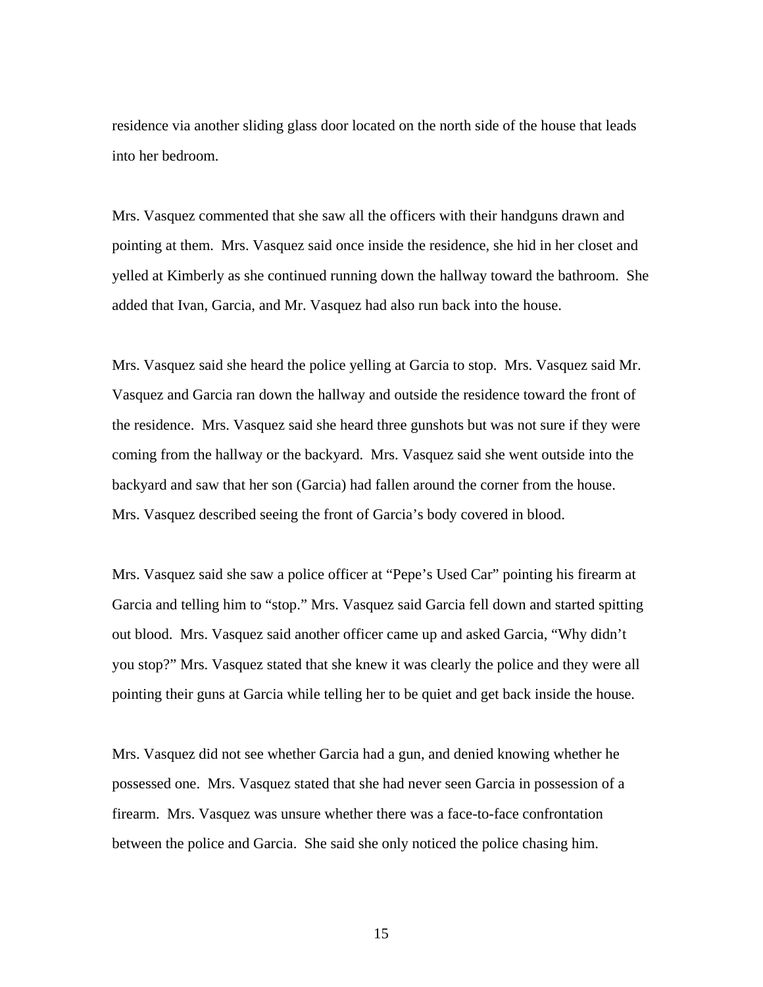residence via another sliding glass door located on the north side of the house that leads into her bedroom.

Mrs. Vasquez commented that she saw all the officers with their handguns drawn and pointing at them. Mrs. Vasquez said once inside the residence, she hid in her closet and yelled at Kimberly as she continued running down the hallway toward the bathroom. She added that Ivan, Garcia, and Mr. Vasquez had also run back into the house.

Mrs. Vasquez said she heard the police yelling at Garcia to stop. Mrs. Vasquez said Mr. Vasquez and Garcia ran down the hallway and outside the residence toward the front of the residence. Mrs. Vasquez said she heard three gunshots but was not sure if they were coming from the hallway or the backyard. Mrs. Vasquez said she went outside into the backyard and saw that her son (Garcia) had fallen around the corner from the house. Mrs. Vasquez described seeing the front of Garcia's body covered in blood.

Mrs. Vasquez said she saw a police officer at "Pepe's Used Car" pointing his firearm at Garcia and telling him to "stop." Mrs. Vasquez said Garcia fell down and started spitting out blood. Mrs. Vasquez said another officer came up and asked Garcia, "Why didn't you stop?" Mrs. Vasquez stated that she knew it was clearly the police and they were all pointing their guns at Garcia while telling her to be quiet and get back inside the house.

Mrs. Vasquez did not see whether Garcia had a gun, and denied knowing whether he possessed one. Mrs. Vasquez stated that she had never seen Garcia in possession of a firearm. Mrs. Vasquez was unsure whether there was a face-to-face confrontation between the police and Garcia. She said she only noticed the police chasing him.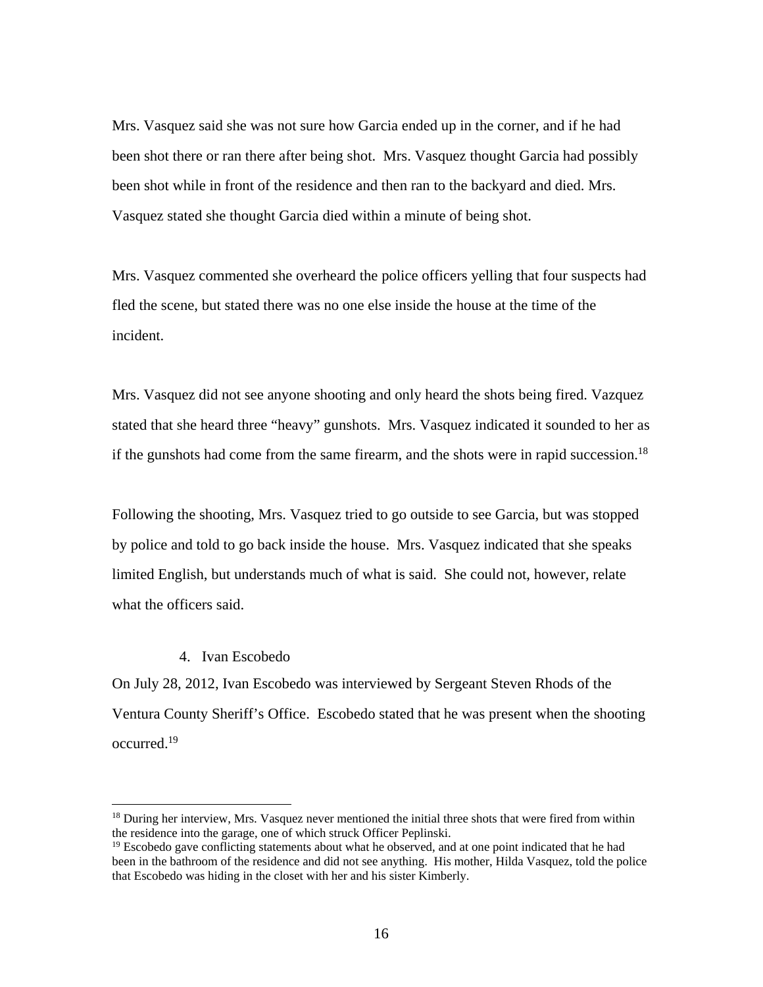Mrs. Vasquez said she was not sure how Garcia ended up in the corner, and if he had been shot there or ran there after being shot. Mrs. Vasquez thought Garcia had possibly been shot while in front of the residence and then ran to the backyard and died. Mrs. Vasquez stated she thought Garcia died within a minute of being shot.

Mrs. Vasquez commented she overheard the police officers yelling that four suspects had fled the scene, but stated there was no one else inside the house at the time of the incident.

Mrs. Vasquez did not see anyone shooting and only heard the shots being fired. Vazquez stated that she heard three "heavy" gunshots. Mrs. Vasquez indicated it sounded to her as if the gunshots had come from the same firearm, and the shots were in rapid succession.<sup>18</sup>

Following the shooting, Mrs. Vasquez tried to go outside to see Garcia, but was stopped by police and told to go back inside the house. Mrs. Vasquez indicated that she speaks limited English, but understands much of what is said. She could not, however, relate what the officers said.

### 4. Ivan Escobedo

1

On July 28, 2012, Ivan Escobedo was interviewed by Sergeant Steven Rhods of the Ventura County Sheriff's Office. Escobedo stated that he was present when the shooting occurred.19

<sup>&</sup>lt;sup>18</sup> During her interview, Mrs. Vasquez never mentioned the initial three shots that were fired from within the residence into the garage, one of which struck Officer Peplinski.

 $19$  Escobedo gave conflicting statements about what he observed, and at one point indicated that he had been in the bathroom of the residence and did not see anything. His mother, Hilda Vasquez, told the police that Escobedo was hiding in the closet with her and his sister Kimberly.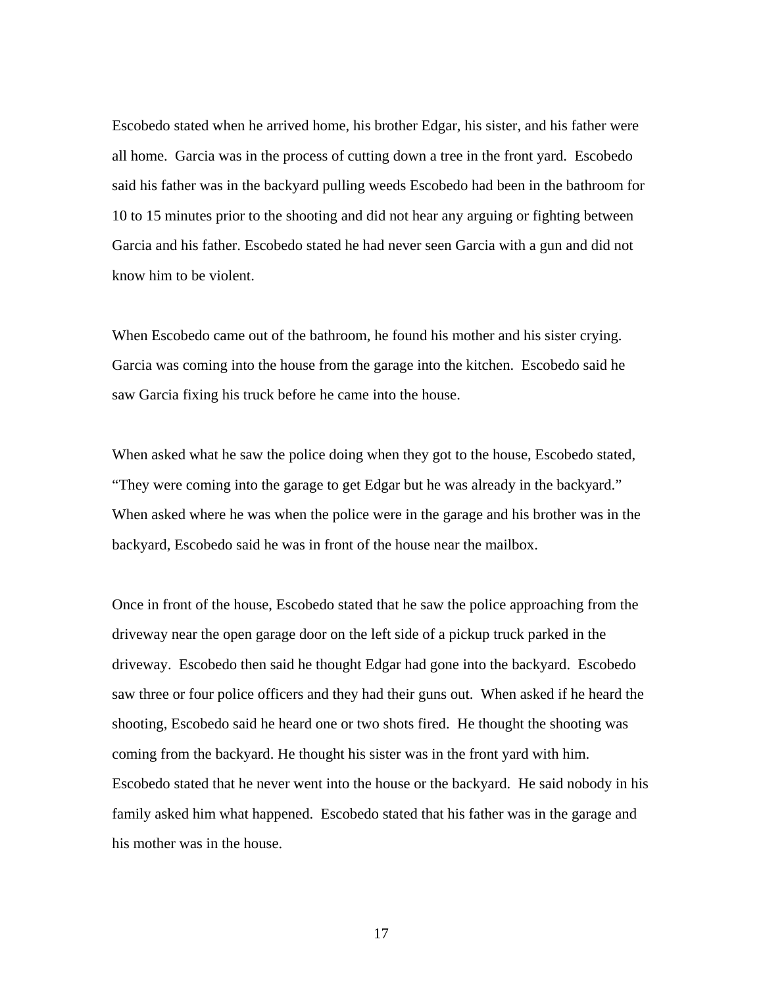Escobedo stated when he arrived home, his brother Edgar, his sister, and his father were all home. Garcia was in the process of cutting down a tree in the front yard. Escobedo said his father was in the backyard pulling weeds Escobedo had been in the bathroom for 10 to 15 minutes prior to the shooting and did not hear any arguing or fighting between Garcia and his father. Escobedo stated he had never seen Garcia with a gun and did not know him to be violent.

When Escobedo came out of the bathroom, he found his mother and his sister crying. Garcia was coming into the house from the garage into the kitchen. Escobedo said he saw Garcia fixing his truck before he came into the house.

When asked what he saw the police doing when they got to the house, Escobedo stated, "They were coming into the garage to get Edgar but he was already in the backyard." When asked where he was when the police were in the garage and his brother was in the backyard, Escobedo said he was in front of the house near the mailbox.

Once in front of the house, Escobedo stated that he saw the police approaching from the driveway near the open garage door on the left side of a pickup truck parked in the driveway. Escobedo then said he thought Edgar had gone into the backyard. Escobedo saw three or four police officers and they had their guns out. When asked if he heard the shooting, Escobedo said he heard one or two shots fired. He thought the shooting was coming from the backyard. He thought his sister was in the front yard with him. Escobedo stated that he never went into the house or the backyard. He said nobody in his family asked him what happened. Escobedo stated that his father was in the garage and his mother was in the house.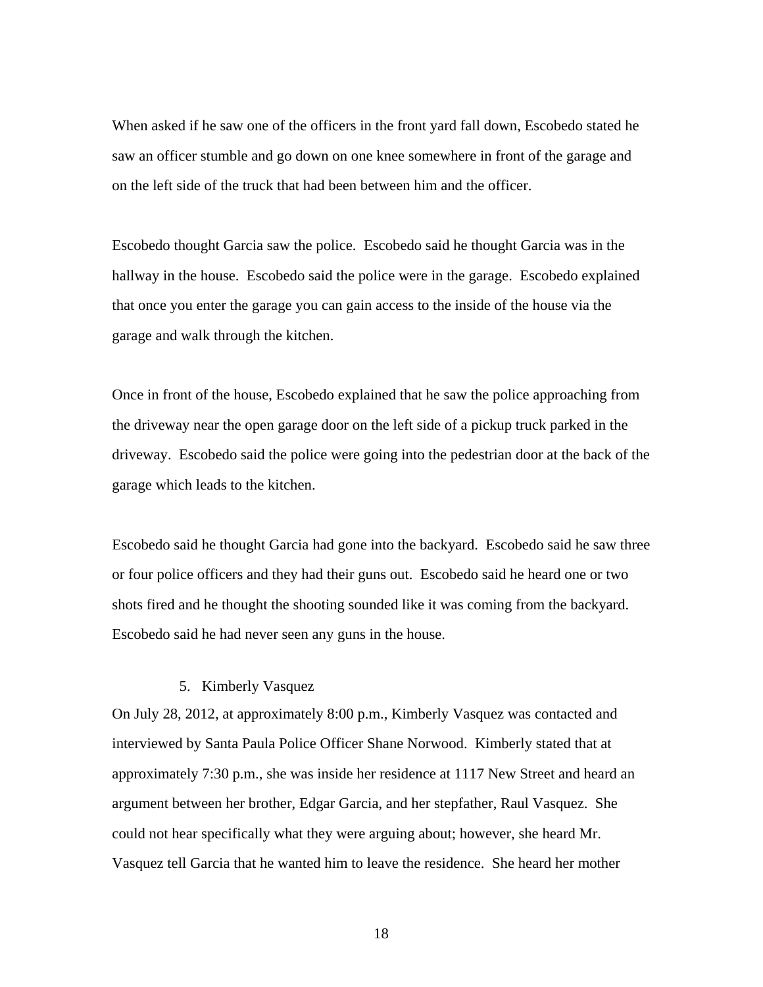When asked if he saw one of the officers in the front yard fall down, Escobedo stated he saw an officer stumble and go down on one knee somewhere in front of the garage and on the left side of the truck that had been between him and the officer.

Escobedo thought Garcia saw the police. Escobedo said he thought Garcia was in the hallway in the house. Escobedo said the police were in the garage. Escobedo explained that once you enter the garage you can gain access to the inside of the house via the garage and walk through the kitchen.

Once in front of the house, Escobedo explained that he saw the police approaching from the driveway near the open garage door on the left side of a pickup truck parked in the driveway. Escobedo said the police were going into the pedestrian door at the back of the garage which leads to the kitchen.

Escobedo said he thought Garcia had gone into the backyard. Escobedo said he saw three or four police officers and they had their guns out. Escobedo said he heard one or two shots fired and he thought the shooting sounded like it was coming from the backyard. Escobedo said he had never seen any guns in the house.

# 5. Kimberly Vasquez

On July 28, 2012, at approximately 8:00 p.m., Kimberly Vasquez was contacted and interviewed by Santa Paula Police Officer Shane Norwood. Kimberly stated that at approximately 7:30 p.m., she was inside her residence at 1117 New Street and heard an argument between her brother, Edgar Garcia, and her stepfather, Raul Vasquez. She could not hear specifically what they were arguing about; however, she heard Mr. Vasquez tell Garcia that he wanted him to leave the residence. She heard her mother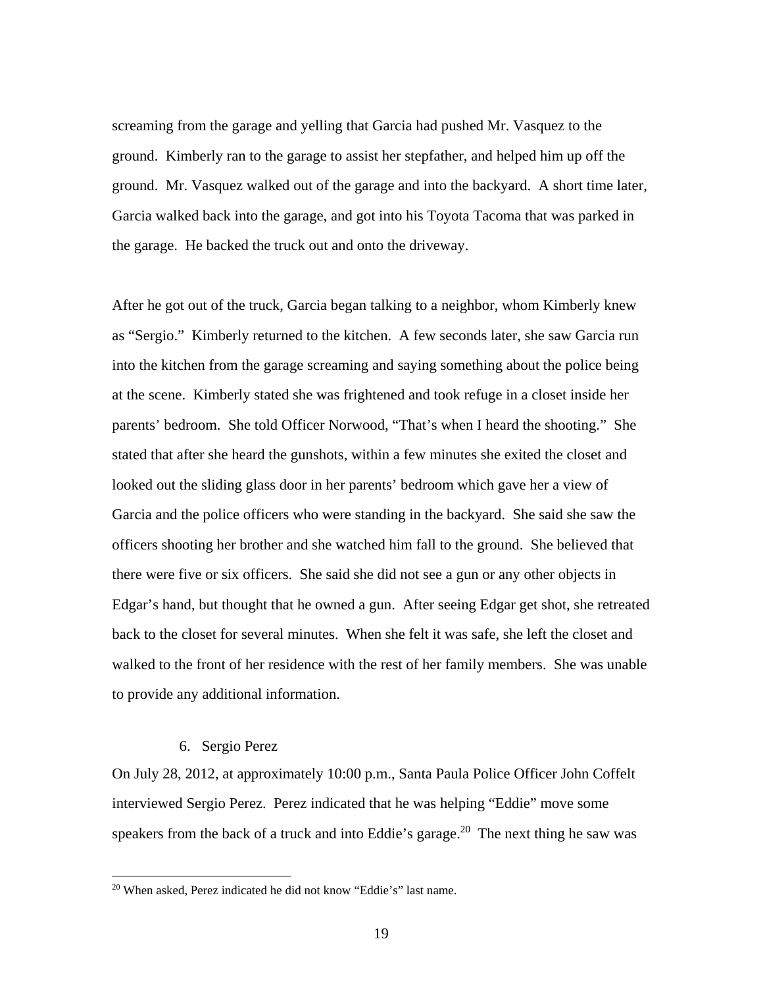screaming from the garage and yelling that Garcia had pushed Mr. Vasquez to the ground. Kimberly ran to the garage to assist her stepfather, and helped him up off the ground. Mr. Vasquez walked out of the garage and into the backyard. A short time later, Garcia walked back into the garage, and got into his Toyota Tacoma that was parked in the garage. He backed the truck out and onto the driveway.

After he got out of the truck, Garcia began talking to a neighbor, whom Kimberly knew as "Sergio." Kimberly returned to the kitchen. A few seconds later, she saw Garcia run into the kitchen from the garage screaming and saying something about the police being at the scene. Kimberly stated she was frightened and took refuge in a closet inside her parents' bedroom. She told Officer Norwood, "That's when I heard the shooting." She stated that after she heard the gunshots, within a few minutes she exited the closet and looked out the sliding glass door in her parents' bedroom which gave her a view of Garcia and the police officers who were standing in the backyard. She said she saw the officers shooting her brother and she watched him fall to the ground. She believed that there were five or six officers. She said she did not see a gun or any other objects in Edgar's hand, but thought that he owned a gun. After seeing Edgar get shot, she retreated back to the closet for several minutes. When she felt it was safe, she left the closet and walked to the front of her residence with the rest of her family members. She was unable to provide any additional information.

# 6. Sergio Perez

 $\overline{a}$ 

On July 28, 2012, at approximately 10:00 p.m., Santa Paula Police Officer John Coffelt interviewed Sergio Perez. Perez indicated that he was helping "Eddie" move some speakers from the back of a truck and into Eddie's garage.<sup>20</sup> The next thing he saw was

<sup>20</sup> When asked, Perez indicated he did not know "Eddie's" last name.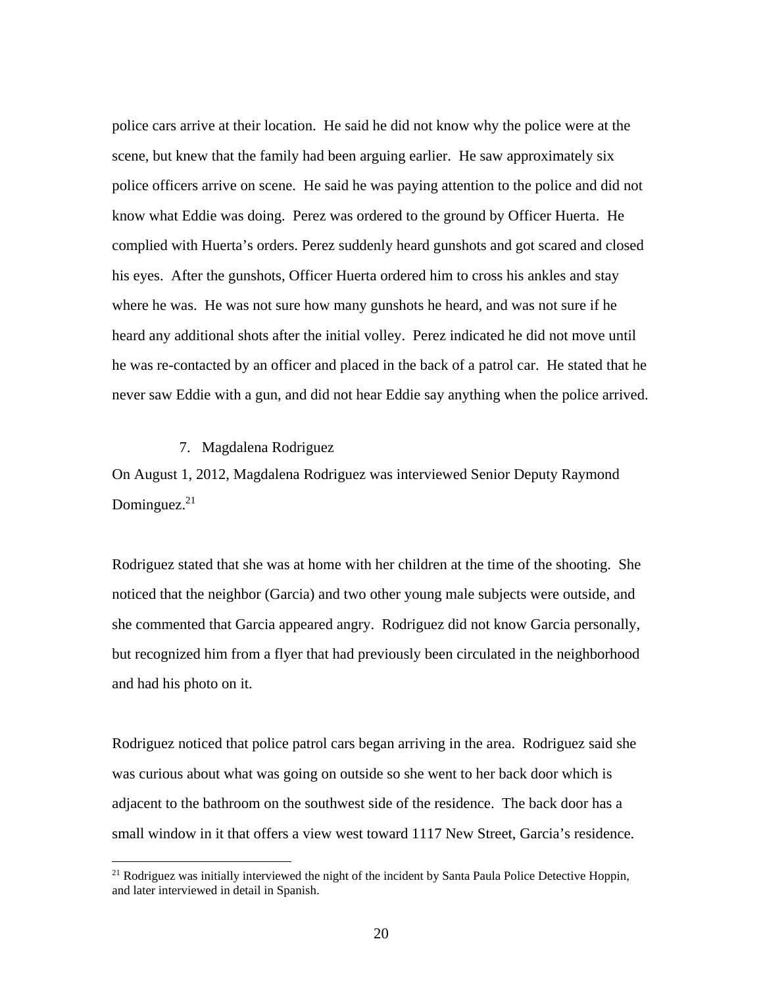police cars arrive at their location. He said he did not know why the police were at the scene, but knew that the family had been arguing earlier. He saw approximately six police officers arrive on scene. He said he was paying attention to the police and did not know what Eddie was doing. Perez was ordered to the ground by Officer Huerta. He complied with Huerta's orders. Perez suddenly heard gunshots and got scared and closed his eyes. After the gunshots, Officer Huerta ordered him to cross his ankles and stay where he was. He was not sure how many gunshots he heard, and was not sure if he heard any additional shots after the initial volley. Perez indicated he did not move until he was re-contacted by an officer and placed in the back of a patrol car. He stated that he never saw Eddie with a gun, and did not hear Eddie say anything when the police arrived.

#### 7. Magdalena Rodriguez

1

On August 1, 2012, Magdalena Rodriguez was interviewed Senior Deputy Raymond Dominguez. $21$ 

Rodriguez stated that she was at home with her children at the time of the shooting. She noticed that the neighbor (Garcia) and two other young male subjects were outside, and she commented that Garcia appeared angry. Rodriguez did not know Garcia personally, but recognized him from a flyer that had previously been circulated in the neighborhood and had his photo on it.

Rodriguez noticed that police patrol cars began arriving in the area. Rodriguez said she was curious about what was going on outside so she went to her back door which is adjacent to the bathroom on the southwest side of the residence. The back door has a small window in it that offers a view west toward 1117 New Street, Garcia's residence.

<sup>&</sup>lt;sup>21</sup> Rodriguez was initially interviewed the night of the incident by Santa Paula Police Detective Hoppin, and later interviewed in detail in Spanish.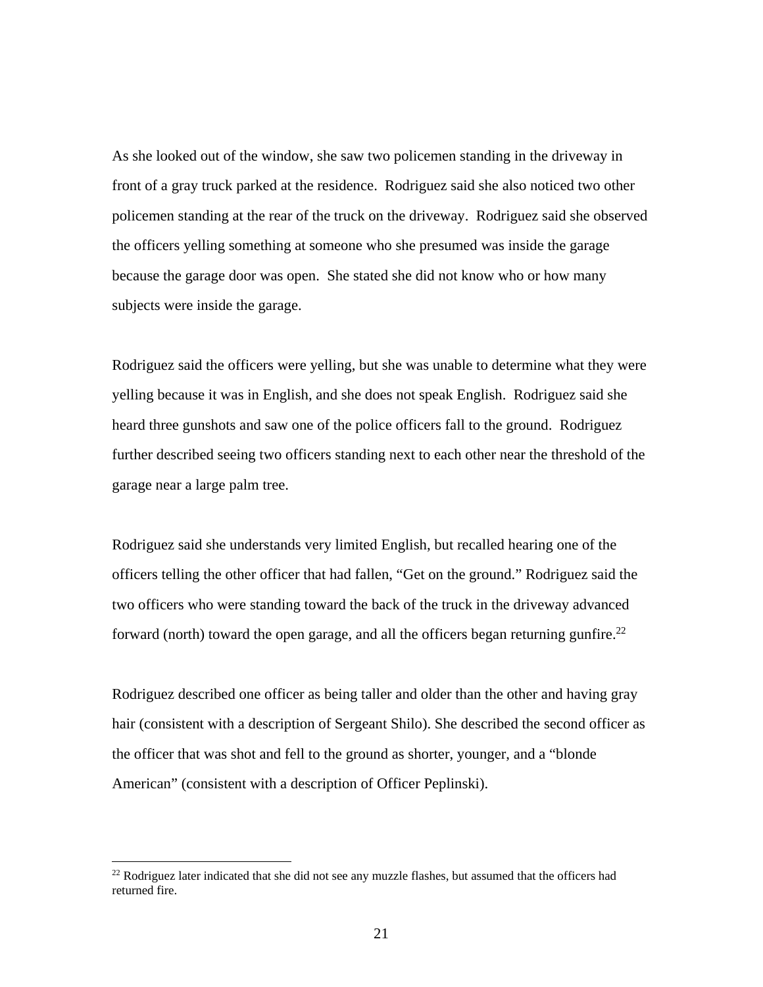As she looked out of the window, she saw two policemen standing in the driveway in front of a gray truck parked at the residence. Rodriguez said she also noticed two other policemen standing at the rear of the truck on the driveway. Rodriguez said she observed the officers yelling something at someone who she presumed was inside the garage because the garage door was open. She stated she did not know who or how many subjects were inside the garage.

Rodriguez said the officers were yelling, but she was unable to determine what they were yelling because it was in English, and she does not speak English. Rodriguez said she heard three gunshots and saw one of the police officers fall to the ground. Rodriguez further described seeing two officers standing next to each other near the threshold of the garage near a large palm tree.

Rodriguez said she understands very limited English, but recalled hearing one of the officers telling the other officer that had fallen, "Get on the ground." Rodriguez said the two officers who were standing toward the back of the truck in the driveway advanced forward (north) toward the open garage, and all the officers began returning gunfire.<sup>22</sup>

Rodriguez described one officer as being taller and older than the other and having gray hair (consistent with a description of Sergeant Shilo). She described the second officer as the officer that was shot and fell to the ground as shorter, younger, and a "blonde American" (consistent with a description of Officer Peplinski).

<sup>&</sup>lt;sup>22</sup> Rodriguez later indicated that she did not see any muzzle flashes, but assumed that the officers had returned fire.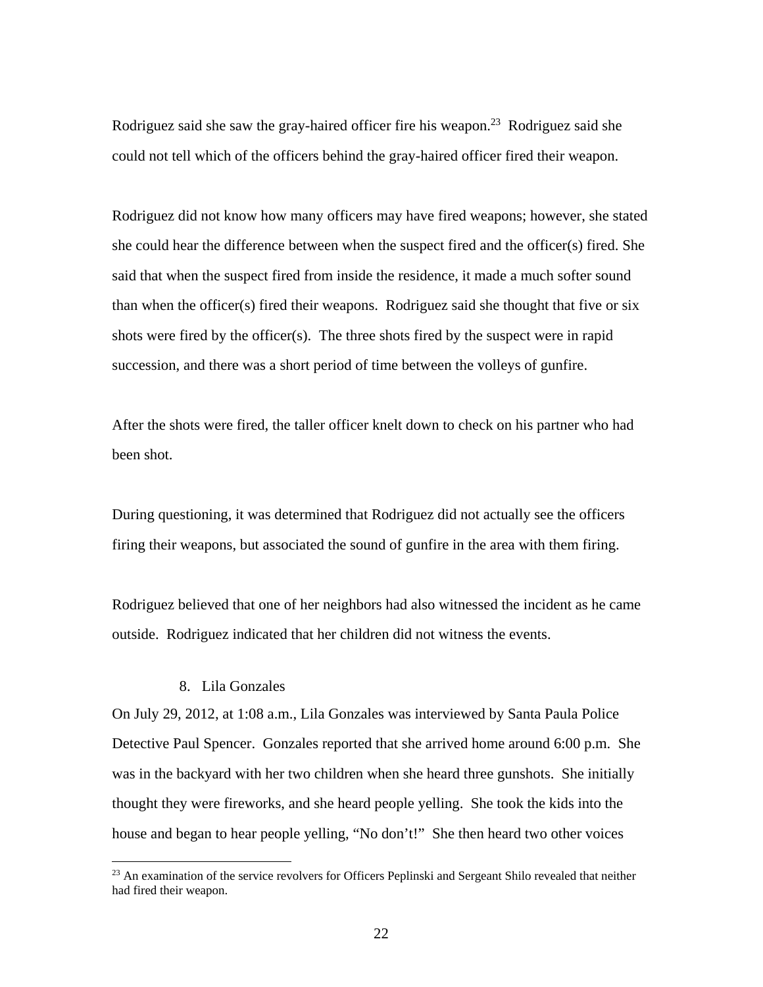Rodriguez said she saw the gray-haired officer fire his weapon.<sup>23</sup> Rodriguez said she could not tell which of the officers behind the gray-haired officer fired their weapon.

Rodriguez did not know how many officers may have fired weapons; however, she stated she could hear the difference between when the suspect fired and the officer(s) fired. She said that when the suspect fired from inside the residence, it made a much softer sound than when the officer(s) fired their weapons. Rodriguez said she thought that five or six shots were fired by the officer(s). The three shots fired by the suspect were in rapid succession, and there was a short period of time between the volleys of gunfire.

After the shots were fired, the taller officer knelt down to check on his partner who had been shot.

During questioning, it was determined that Rodriguez did not actually see the officers firing their weapons, but associated the sound of gunfire in the area with them firing.

Rodriguez believed that one of her neighbors had also witnessed the incident as he came outside. Rodriguez indicated that her children did not witness the events.

# 8. Lila Gonzales

 $\overline{a}$ 

On July 29, 2012, at 1:08 a.m., Lila Gonzales was interviewed by Santa Paula Police Detective Paul Spencer. Gonzales reported that she arrived home around 6:00 p.m. She was in the backyard with her two children when she heard three gunshots. She initially thought they were fireworks, and she heard people yelling. She took the kids into the house and began to hear people yelling, "No don't!" She then heard two other voices

<sup>&</sup>lt;sup>23</sup> An examination of the service revolvers for Officers Peplinski and Sergeant Shilo revealed that neither had fired their weapon.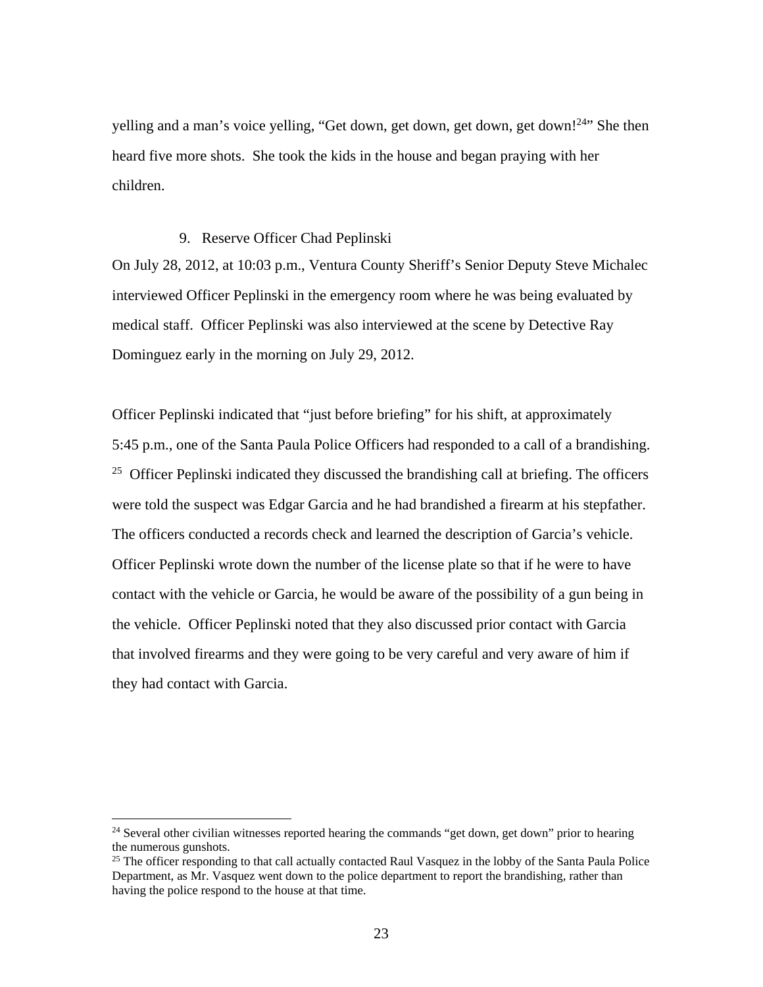yelling and a man's voice yelling, "Get down, get down, get down, get down!<sup>24</sup>" She then heard five more shots. She took the kids in the house and began praying with her children.

### 9. Reserve Officer Chad Peplinski

On July 28, 2012, at 10:03 p.m., Ventura County Sheriff's Senior Deputy Steve Michalec interviewed Officer Peplinski in the emergency room where he was being evaluated by medical staff. Officer Peplinski was also interviewed at the scene by Detective Ray Dominguez early in the morning on July 29, 2012.

Officer Peplinski indicated that "just before briefing" for his shift, at approximately 5:45 p.m., one of the Santa Paula Police Officers had responded to a call of a brandishing.  $25$  Officer Peplinski indicated they discussed the brandishing call at briefing. The officers were told the suspect was Edgar Garcia and he had brandished a firearm at his stepfather. The officers conducted a records check and learned the description of Garcia's vehicle. Officer Peplinski wrote down the number of the license plate so that if he were to have contact with the vehicle or Garcia, he would be aware of the possibility of a gun being in the vehicle. Officer Peplinski noted that they also discussed prior contact with Garcia that involved firearms and they were going to be very careful and very aware of him if they had contact with Garcia.

 $24$  Several other civilian witnesses reported hearing the commands "get down, get down" prior to hearing the numerous gunshots.

<sup>&</sup>lt;sup>25</sup> The officer responding to that call actually contacted Raul Vasquez in the lobby of the Santa Paula Police Department, as Mr. Vasquez went down to the police department to report the brandishing, rather than having the police respond to the house at that time.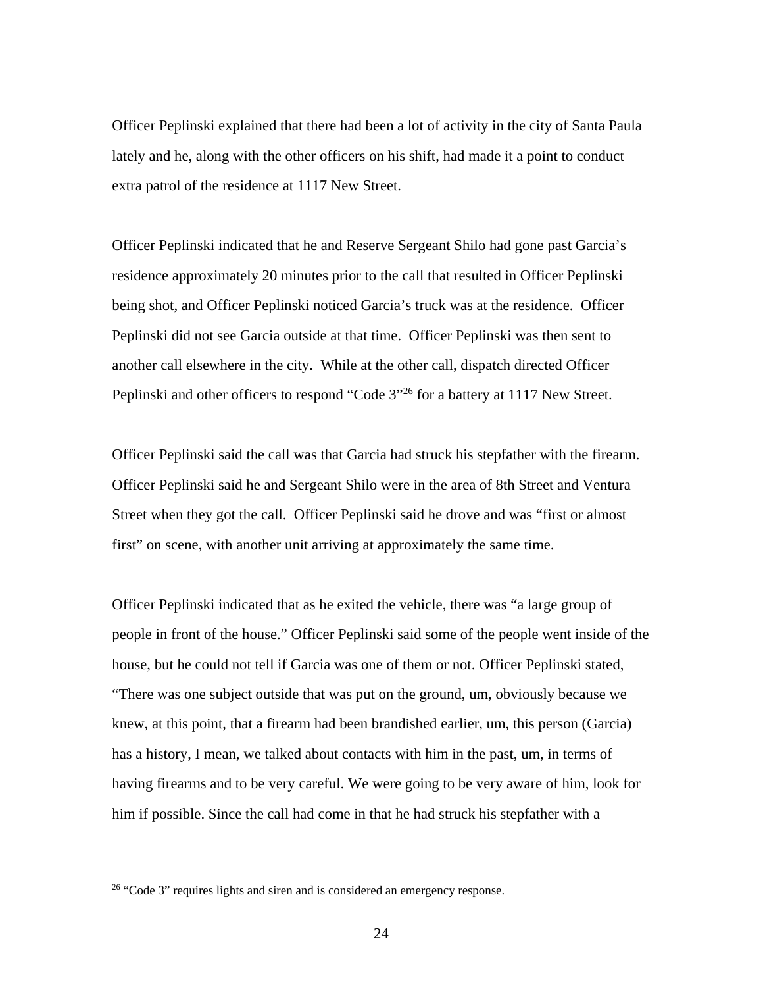Officer Peplinski explained that there had been a lot of activity in the city of Santa Paula lately and he, along with the other officers on his shift, had made it a point to conduct extra patrol of the residence at 1117 New Street.

Officer Peplinski indicated that he and Reserve Sergeant Shilo had gone past Garcia's residence approximately 20 minutes prior to the call that resulted in Officer Peplinski being shot, and Officer Peplinski noticed Garcia's truck was at the residence. Officer Peplinski did not see Garcia outside at that time. Officer Peplinski was then sent to another call elsewhere in the city. While at the other call, dispatch directed Officer Peplinski and other officers to respond "Code 3"26 for a battery at 1117 New Street.

Officer Peplinski said the call was that Garcia had struck his stepfather with the firearm. Officer Peplinski said he and Sergeant Shilo were in the area of 8th Street and Ventura Street when they got the call. Officer Peplinski said he drove and was "first or almost first" on scene, with another unit arriving at approximately the same time.

Officer Peplinski indicated that as he exited the vehicle, there was "a large group of people in front of the house." Officer Peplinski said some of the people went inside of the house, but he could not tell if Garcia was one of them or not. Officer Peplinski stated, "There was one subject outside that was put on the ground, um, obviously because we knew, at this point, that a firearm had been brandished earlier, um, this person (Garcia) has a history, I mean, we talked about contacts with him in the past, um, in terms of having firearms and to be very careful. We were going to be very aware of him, look for him if possible. Since the call had come in that he had struck his stepfather with a

<u>.</u>

<sup>&</sup>lt;sup>26</sup> "Code 3" requires lights and siren and is considered an emergency response.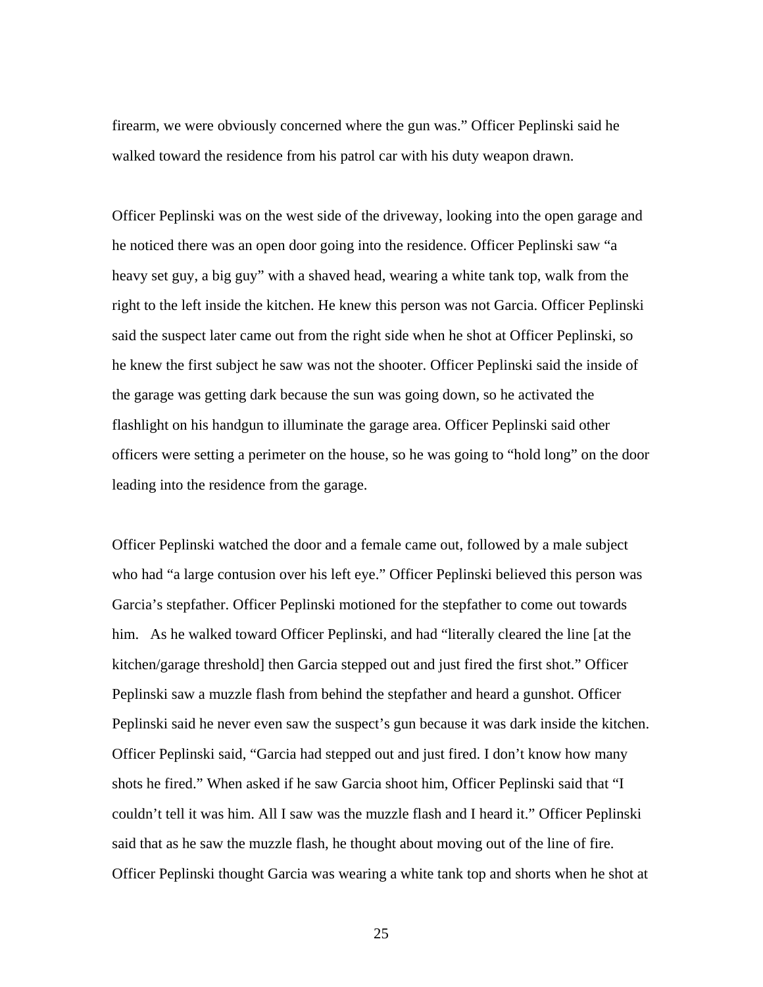firearm, we were obviously concerned where the gun was." Officer Peplinski said he walked toward the residence from his patrol car with his duty weapon drawn.

Officer Peplinski was on the west side of the driveway, looking into the open garage and he noticed there was an open door going into the residence. Officer Peplinski saw "a heavy set guy, a big guy" with a shaved head, wearing a white tank top, walk from the right to the left inside the kitchen. He knew this person was not Garcia. Officer Peplinski said the suspect later came out from the right side when he shot at Officer Peplinski, so he knew the first subject he saw was not the shooter. Officer Peplinski said the inside of the garage was getting dark because the sun was going down, so he activated the flashlight on his handgun to illuminate the garage area. Officer Peplinski said other officers were setting a perimeter on the house, so he was going to "hold long" on the door leading into the residence from the garage.

Officer Peplinski watched the door and a female came out, followed by a male subject who had "a large contusion over his left eye." Officer Peplinski believed this person was Garcia's stepfather. Officer Peplinski motioned for the stepfather to come out towards him. As he walked toward Officer Peplinski, and had "literally cleared the line [at the kitchen/garage threshold] then Garcia stepped out and just fired the first shot." Officer Peplinski saw a muzzle flash from behind the stepfather and heard a gunshot. Officer Peplinski said he never even saw the suspect's gun because it was dark inside the kitchen. Officer Peplinski said, "Garcia had stepped out and just fired. I don't know how many shots he fired." When asked if he saw Garcia shoot him, Officer Peplinski said that "I couldn't tell it was him. All I saw was the muzzle flash and I heard it." Officer Peplinski said that as he saw the muzzle flash, he thought about moving out of the line of fire. Officer Peplinski thought Garcia was wearing a white tank top and shorts when he shot at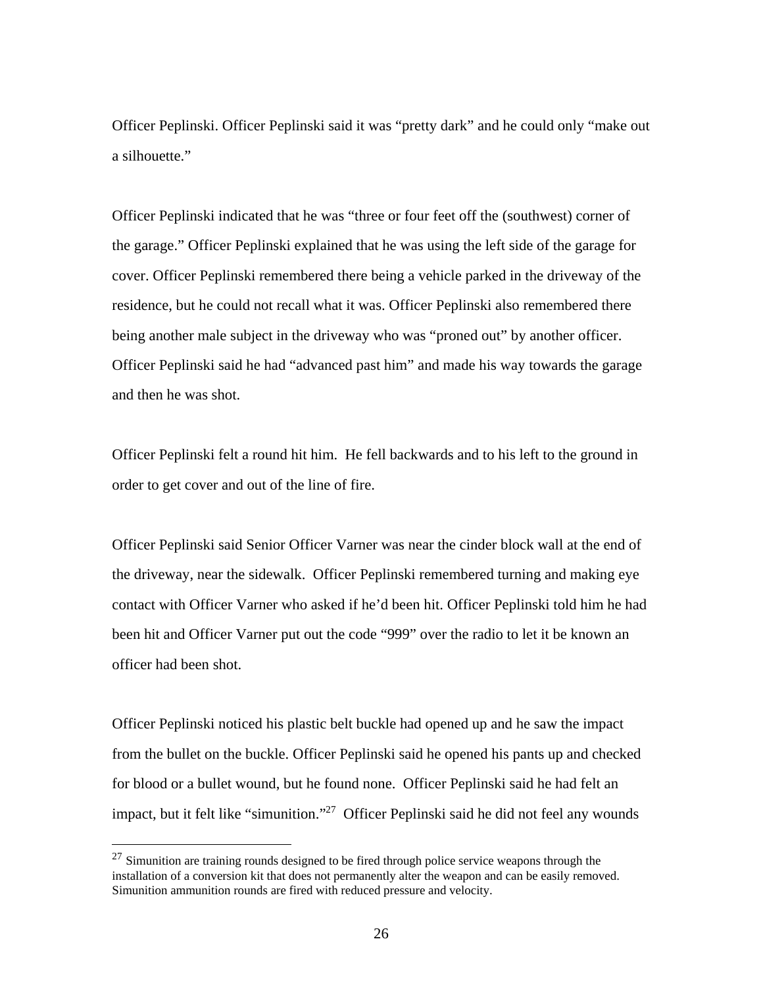Officer Peplinski. Officer Peplinski said it was "pretty dark" and he could only "make out a silhouette."

Officer Peplinski indicated that he was "three or four feet off the (southwest) corner of the garage." Officer Peplinski explained that he was using the left side of the garage for cover. Officer Peplinski remembered there being a vehicle parked in the driveway of the residence, but he could not recall what it was. Officer Peplinski also remembered there being another male subject in the driveway who was "proned out" by another officer. Officer Peplinski said he had "advanced past him" and made his way towards the garage and then he was shot.

Officer Peplinski felt a round hit him. He fell backwards and to his left to the ground in order to get cover and out of the line of fire.

Officer Peplinski said Senior Officer Varner was near the cinder block wall at the end of the driveway, near the sidewalk. Officer Peplinski remembered turning and making eye contact with Officer Varner who asked if he'd been hit. Officer Peplinski told him he had been hit and Officer Varner put out the code "999" over the radio to let it be known an officer had been shot.

Officer Peplinski noticed his plastic belt buckle had opened up and he saw the impact from the bullet on the buckle. Officer Peplinski said he opened his pants up and checked for blood or a bullet wound, but he found none. Officer Peplinski said he had felt an impact, but it felt like "simunition."27 Officer Peplinski said he did not feel any wounds

 $27$  Simunition are training rounds designed to be fired through police service weapons through the installation of a conversion kit that does not permanently alter the weapon and can be easily removed. Simunition ammunition rounds are fired with reduced pressure and velocity.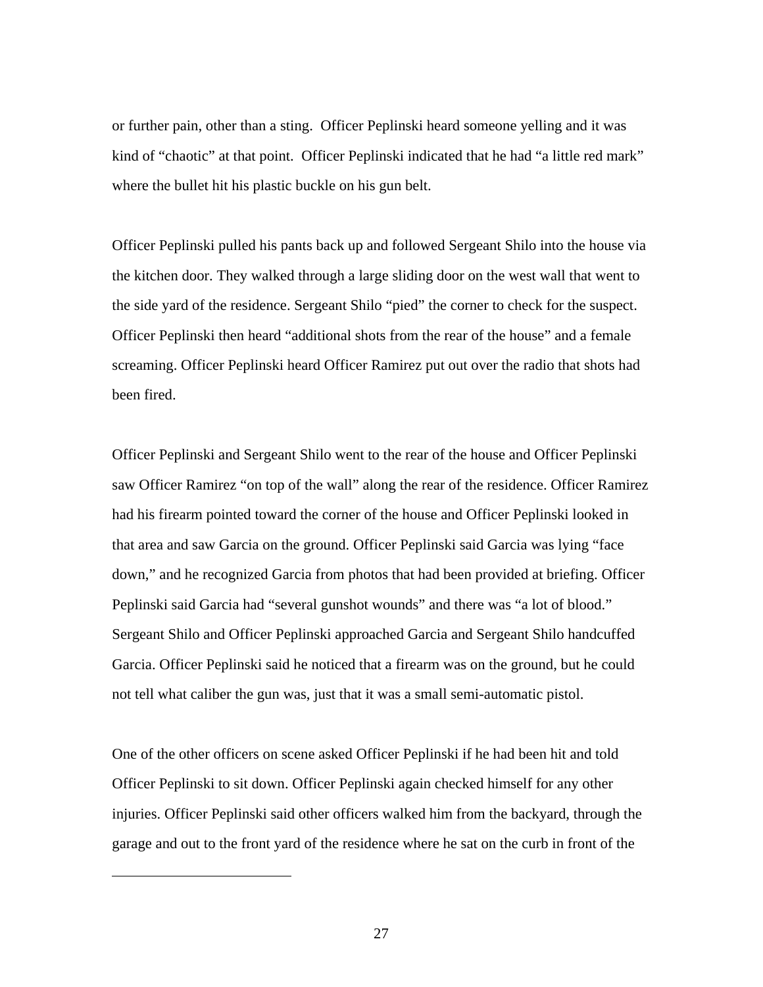or further pain, other than a sting. Officer Peplinski heard someone yelling and it was kind of "chaotic" at that point. Officer Peplinski indicated that he had "a little red mark" where the bullet hit his plastic buckle on his gun belt.

Officer Peplinski pulled his pants back up and followed Sergeant Shilo into the house via the kitchen door. They walked through a large sliding door on the west wall that went to the side yard of the residence. Sergeant Shilo "pied" the corner to check for the suspect. Officer Peplinski then heard "additional shots from the rear of the house" and a female screaming. Officer Peplinski heard Officer Ramirez put out over the radio that shots had been fired.

Officer Peplinski and Sergeant Shilo went to the rear of the house and Officer Peplinski saw Officer Ramirez "on top of the wall" along the rear of the residence. Officer Ramirez had his firearm pointed toward the corner of the house and Officer Peplinski looked in that area and saw Garcia on the ground. Officer Peplinski said Garcia was lying "face down," and he recognized Garcia from photos that had been provided at briefing. Officer Peplinski said Garcia had "several gunshot wounds" and there was "a lot of blood." Sergeant Shilo and Officer Peplinski approached Garcia and Sergeant Shilo handcuffed Garcia. Officer Peplinski said he noticed that a firearm was on the ground, but he could not tell what caliber the gun was, just that it was a small semi-automatic pistol.

One of the other officers on scene asked Officer Peplinski if he had been hit and told Officer Peplinski to sit down. Officer Peplinski again checked himself for any other injuries. Officer Peplinski said other officers walked him from the backyard, through the garage and out to the front yard of the residence where he sat on the curb in front of the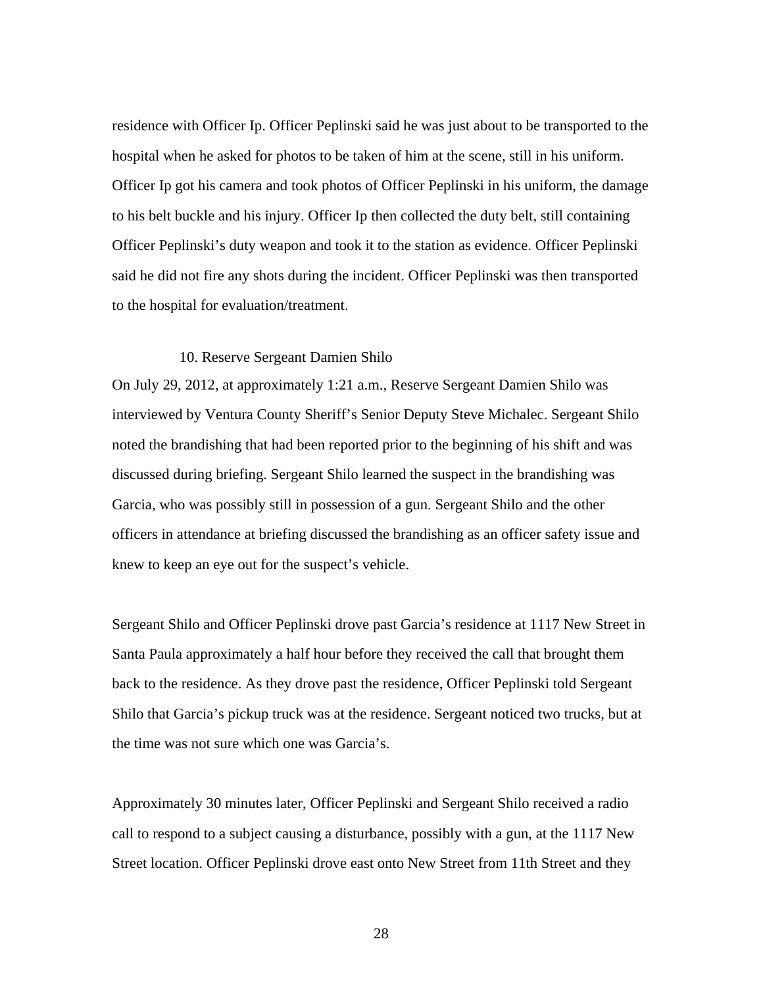residence with Officer Ip. Officer Peplinski said he was just about to be transported to the hospital when he asked for photos to be taken of him at the scene, still in his uniform. Officer Ip got his camera and took photos of Officer Peplinski in his uniform, the damage to his belt buckle and his injury. Officer Ip then collected the duty belt, still containing Officer Peplinski's duty weapon and took it to the station as evidence. Officer Peplinski said he did not fire any shots during the incident. Officer Peplinski was then transported to the hospital for evaluation/treatment.

### 10. Reserve Sergeant Damien Shilo

On July 29, 2012, at approximately 1:21 a.m., Reserve Sergeant Damien Shilo was interviewed by Ventura County Sheriff's Senior Deputy Steve Michalec. Sergeant Shilo noted the brandishing that had been reported prior to the beginning of his shift and was discussed during briefing. Sergeant Shilo learned the suspect in the brandishing was Garcia, who was possibly still in possession of a gun. Sergeant Shilo and the other officers in attendance at briefing discussed the brandishing as an officer safety issue and knew to keep an eye out for the suspect's vehicle.

Sergeant Shilo and Officer Peplinski drove past Garcia's residence at 1117 New Street in Santa Paula approximately a half hour before they received the call that brought them back to the residence. As they drove past the residence, Officer Peplinski told Sergeant Shilo that Garcia's pickup truck was at the residence. Sergeant noticed two trucks, but at the time was not sure which one was Garcia's.

Approximately 30 minutes later, Officer Peplinski and Sergeant Shilo received a radio call to respond to a subject causing a disturbance, possibly with a gun, at the 1117 New Street location. Officer Peplinski drove east onto New Street from 11th Street and they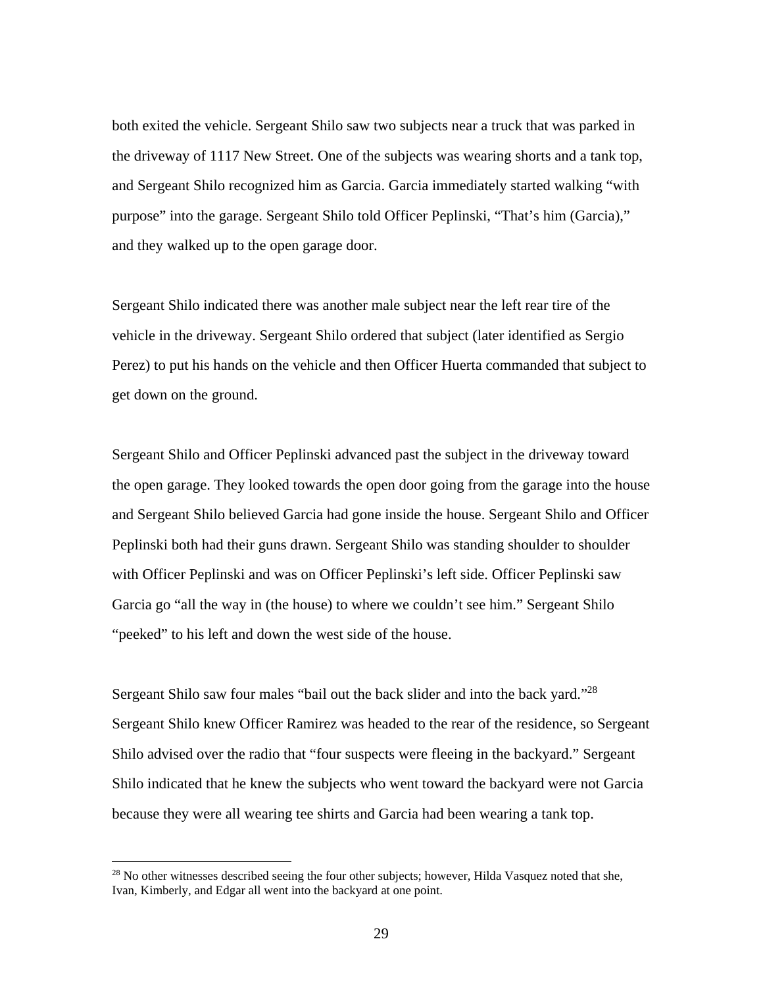both exited the vehicle. Sergeant Shilo saw two subjects near a truck that was parked in the driveway of 1117 New Street. One of the subjects was wearing shorts and a tank top, and Sergeant Shilo recognized him as Garcia. Garcia immediately started walking "with purpose" into the garage. Sergeant Shilo told Officer Peplinski, "That's him (Garcia)," and they walked up to the open garage door.

Sergeant Shilo indicated there was another male subject near the left rear tire of the vehicle in the driveway. Sergeant Shilo ordered that subject (later identified as Sergio Perez) to put his hands on the vehicle and then Officer Huerta commanded that subject to get down on the ground.

Sergeant Shilo and Officer Peplinski advanced past the subject in the driveway toward the open garage. They looked towards the open door going from the garage into the house and Sergeant Shilo believed Garcia had gone inside the house. Sergeant Shilo and Officer Peplinski both had their guns drawn. Sergeant Shilo was standing shoulder to shoulder with Officer Peplinski and was on Officer Peplinski's left side. Officer Peplinski saw Garcia go "all the way in (the house) to where we couldn't see him." Sergeant Shilo "peeked" to his left and down the west side of the house.

Sergeant Shilo saw four males "bail out the back slider and into the back yard."28 Sergeant Shilo knew Officer Ramirez was headed to the rear of the residence, so Sergeant Shilo advised over the radio that "four suspects were fleeing in the backyard." Sergeant Shilo indicated that he knew the subjects who went toward the backyard were not Garcia because they were all wearing tee shirts and Garcia had been wearing a tank top.

<sup>&</sup>lt;sup>28</sup> No other witnesses described seeing the four other subjects; however, Hilda Vasquez noted that she, Ivan, Kimberly, and Edgar all went into the backyard at one point.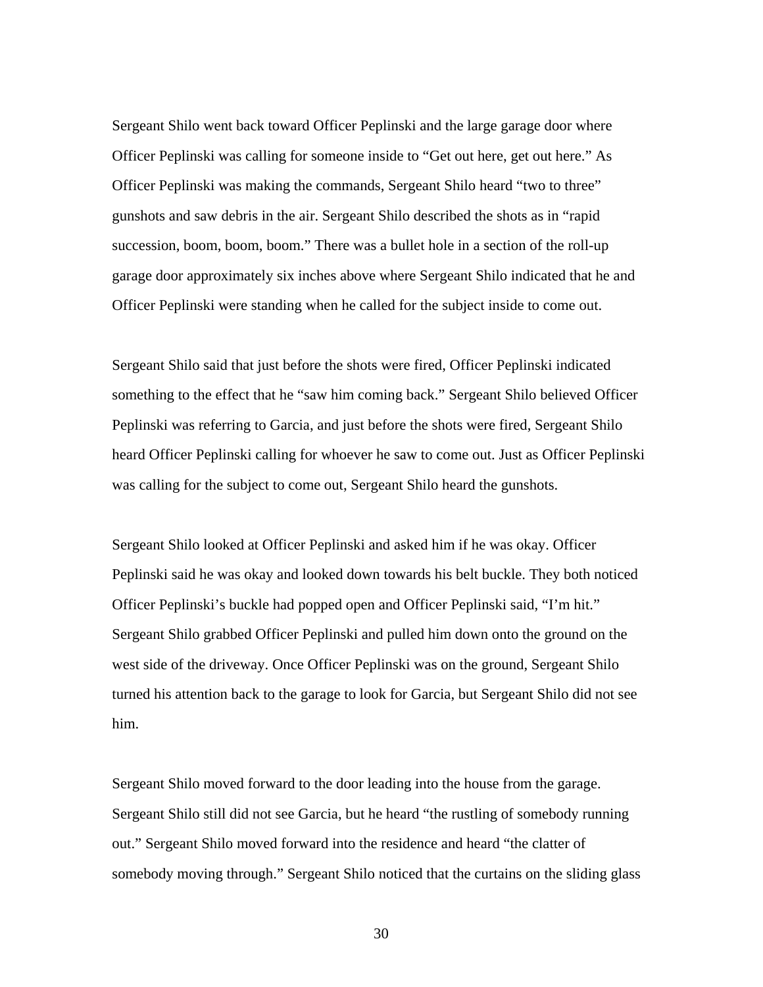Sergeant Shilo went back toward Officer Peplinski and the large garage door where Officer Peplinski was calling for someone inside to "Get out here, get out here." As Officer Peplinski was making the commands, Sergeant Shilo heard "two to three" gunshots and saw debris in the air. Sergeant Shilo described the shots as in "rapid succession, boom, boom, boom." There was a bullet hole in a section of the roll-up garage door approximately six inches above where Sergeant Shilo indicated that he and Officer Peplinski were standing when he called for the subject inside to come out.

Sergeant Shilo said that just before the shots were fired, Officer Peplinski indicated something to the effect that he "saw him coming back." Sergeant Shilo believed Officer Peplinski was referring to Garcia, and just before the shots were fired, Sergeant Shilo heard Officer Peplinski calling for whoever he saw to come out. Just as Officer Peplinski was calling for the subject to come out, Sergeant Shilo heard the gunshots.

Sergeant Shilo looked at Officer Peplinski and asked him if he was okay. Officer Peplinski said he was okay and looked down towards his belt buckle. They both noticed Officer Peplinski's buckle had popped open and Officer Peplinski said, "I'm hit." Sergeant Shilo grabbed Officer Peplinski and pulled him down onto the ground on the west side of the driveway. Once Officer Peplinski was on the ground, Sergeant Shilo turned his attention back to the garage to look for Garcia, but Sergeant Shilo did not see him.

Sergeant Shilo moved forward to the door leading into the house from the garage. Sergeant Shilo still did not see Garcia, but he heard "the rustling of somebody running out." Sergeant Shilo moved forward into the residence and heard "the clatter of somebody moving through." Sergeant Shilo noticed that the curtains on the sliding glass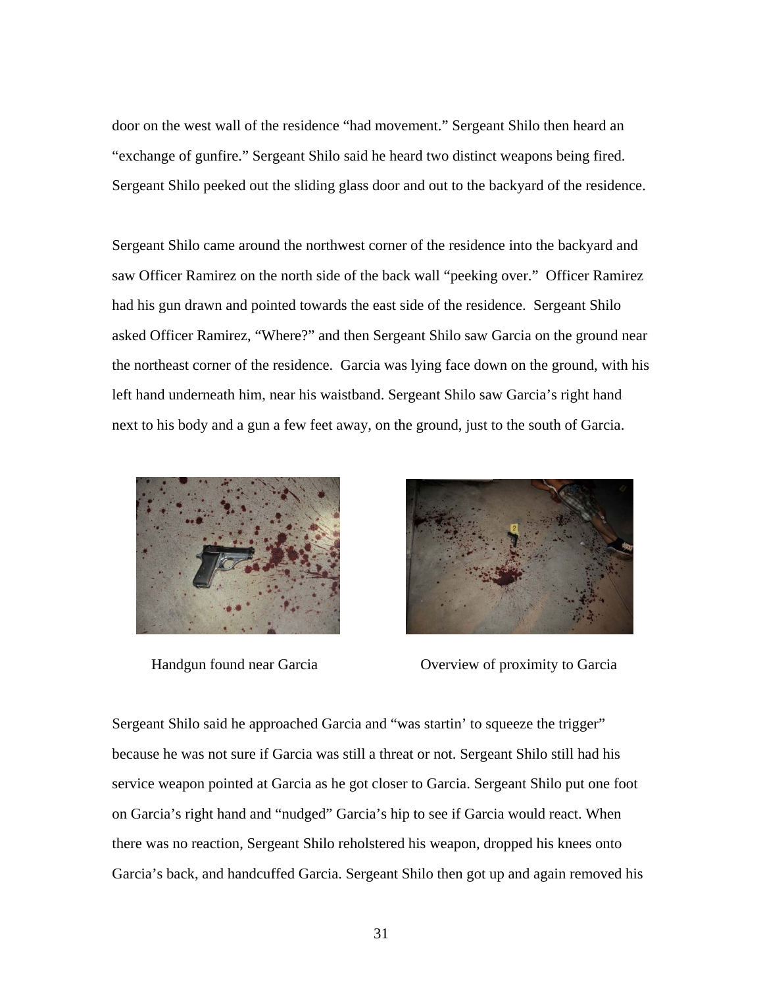door on the west wall of the residence "had movement." Sergeant Shilo then heard an "exchange of gunfire." Sergeant Shilo said he heard two distinct weapons being fired. Sergeant Shilo peeked out the sliding glass door and out to the backyard of the residence.

Sergeant Shilo came around the northwest corner of the residence into the backyard and saw Officer Ramirez on the north side of the back wall "peeking over." Officer Ramirez had his gun drawn and pointed towards the east side of the residence. Sergeant Shilo asked Officer Ramirez, "Where?" and then Sergeant Shilo saw Garcia on the ground near the northeast corner of the residence. Garcia was lying face down on the ground, with his left hand underneath him, near his waistband. Sergeant Shilo saw Garcia's right hand next to his body and a gun a few feet away, on the ground, just to the south of Garcia.





Handgun found near Garcia Overview of proximity to Garcia

Sergeant Shilo said he approached Garcia and "was startin' to squeeze the trigger" because he was not sure if Garcia was still a threat or not. Sergeant Shilo still had his service weapon pointed at Garcia as he got closer to Garcia. Sergeant Shilo put one foot on Garcia's right hand and "nudged" Garcia's hip to see if Garcia would react. When there was no reaction, Sergeant Shilo reholstered his weapon, dropped his knees onto Garcia's back, and handcuffed Garcia. Sergeant Shilo then got up and again removed his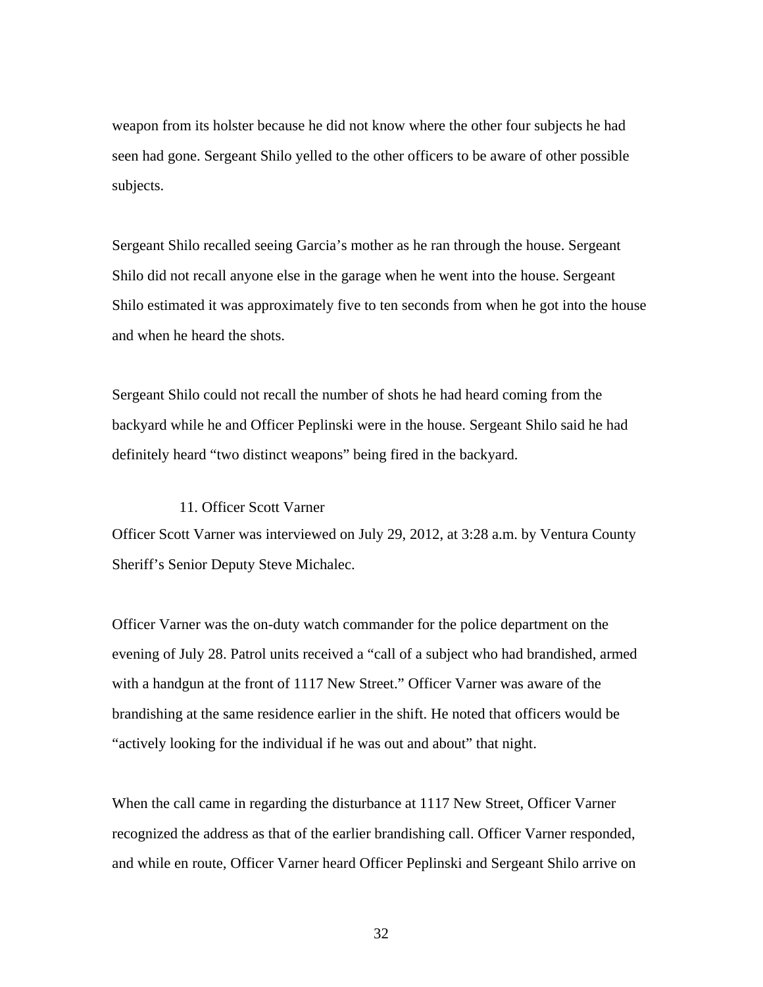weapon from its holster because he did not know where the other four subjects he had seen had gone. Sergeant Shilo yelled to the other officers to be aware of other possible subjects.

Sergeant Shilo recalled seeing Garcia's mother as he ran through the house. Sergeant Shilo did not recall anyone else in the garage when he went into the house. Sergeant Shilo estimated it was approximately five to ten seconds from when he got into the house and when he heard the shots.

Sergeant Shilo could not recall the number of shots he had heard coming from the backyard while he and Officer Peplinski were in the house. Sergeant Shilo said he had definitely heard "two distinct weapons" being fired in the backyard.

# 11. Officer Scott Varner

Officer Scott Varner was interviewed on July 29, 2012, at 3:28 a.m. by Ventura County Sheriff's Senior Deputy Steve Michalec.

Officer Varner was the on-duty watch commander for the police department on the evening of July 28. Patrol units received a "call of a subject who had brandished, armed with a handgun at the front of 1117 New Street." Officer Varner was aware of the brandishing at the same residence earlier in the shift. He noted that officers would be "actively looking for the individual if he was out and about" that night.

When the call came in regarding the disturbance at 1117 New Street, Officer Varner recognized the address as that of the earlier brandishing call. Officer Varner responded, and while en route, Officer Varner heard Officer Peplinski and Sergeant Shilo arrive on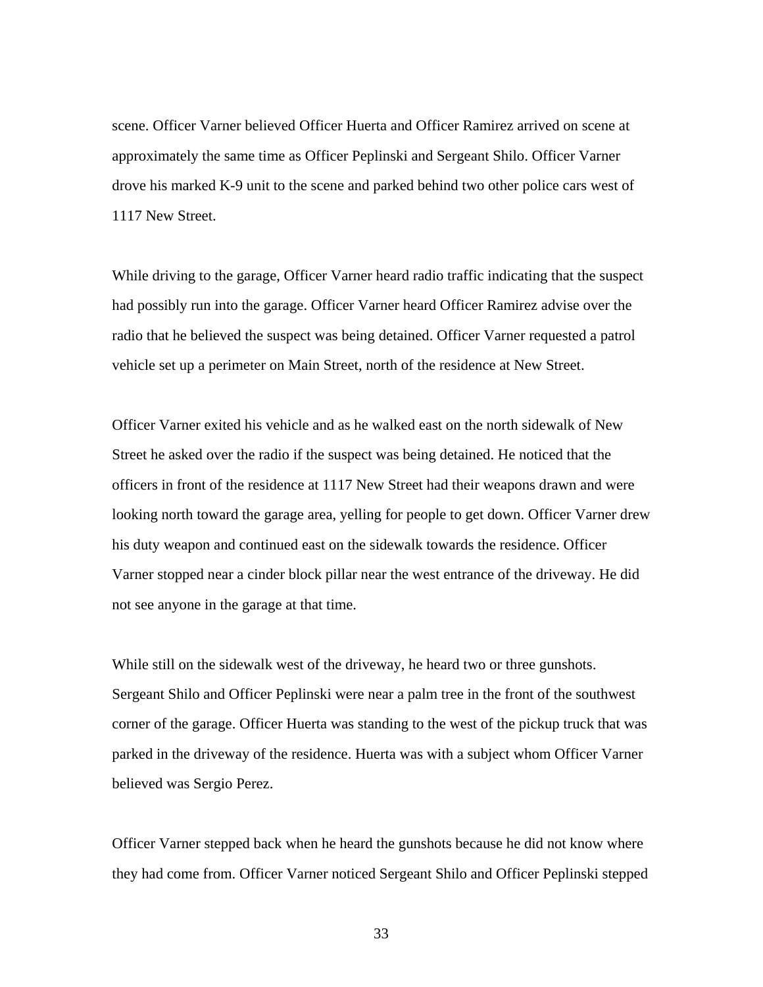scene. Officer Varner believed Officer Huerta and Officer Ramirez arrived on scene at approximately the same time as Officer Peplinski and Sergeant Shilo. Officer Varner drove his marked K-9 unit to the scene and parked behind two other police cars west of 1117 New Street.

While driving to the garage, Officer Varner heard radio traffic indicating that the suspect had possibly run into the garage. Officer Varner heard Officer Ramirez advise over the radio that he believed the suspect was being detained. Officer Varner requested a patrol vehicle set up a perimeter on Main Street, north of the residence at New Street.

Officer Varner exited his vehicle and as he walked east on the north sidewalk of New Street he asked over the radio if the suspect was being detained. He noticed that the officers in front of the residence at 1117 New Street had their weapons drawn and were looking north toward the garage area, yelling for people to get down. Officer Varner drew his duty weapon and continued east on the sidewalk towards the residence. Officer Varner stopped near a cinder block pillar near the west entrance of the driveway. He did not see anyone in the garage at that time.

While still on the sidewalk west of the driveway, he heard two or three gunshots. Sergeant Shilo and Officer Peplinski were near a palm tree in the front of the southwest corner of the garage. Officer Huerta was standing to the west of the pickup truck that was parked in the driveway of the residence. Huerta was with a subject whom Officer Varner believed was Sergio Perez.

Officer Varner stepped back when he heard the gunshots because he did not know where they had come from. Officer Varner noticed Sergeant Shilo and Officer Peplinski stepped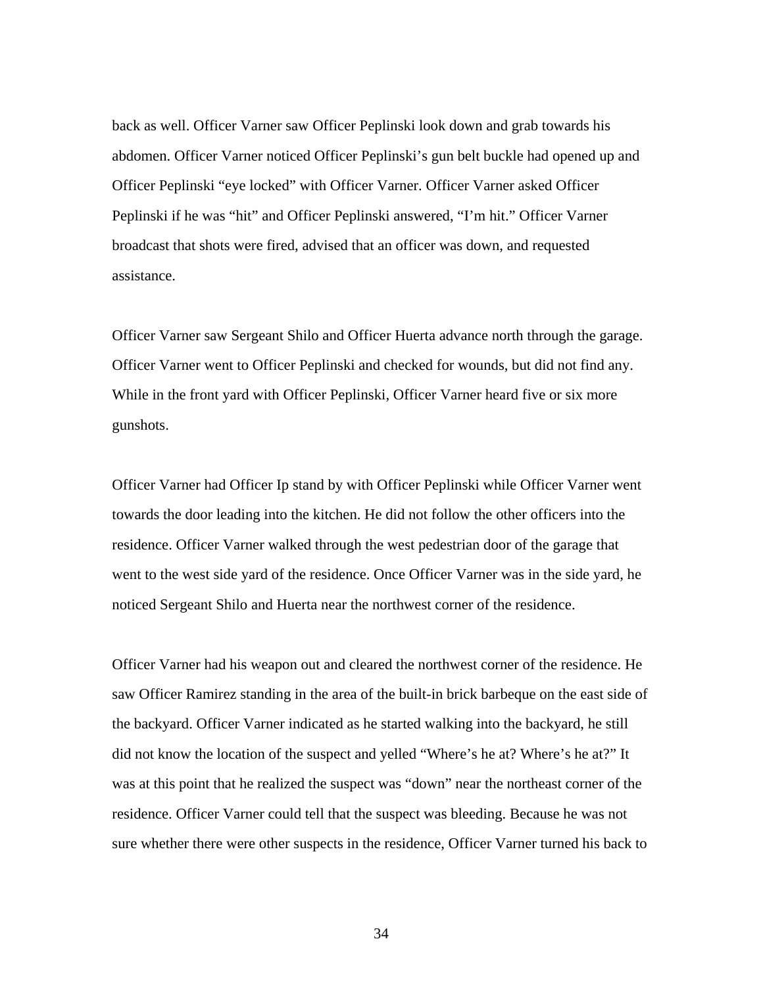back as well. Officer Varner saw Officer Peplinski look down and grab towards his abdomen. Officer Varner noticed Officer Peplinski's gun belt buckle had opened up and Officer Peplinski "eye locked" with Officer Varner. Officer Varner asked Officer Peplinski if he was "hit" and Officer Peplinski answered, "I'm hit." Officer Varner broadcast that shots were fired, advised that an officer was down, and requested assistance.

Officer Varner saw Sergeant Shilo and Officer Huerta advance north through the garage. Officer Varner went to Officer Peplinski and checked for wounds, but did not find any. While in the front yard with Officer Peplinski, Officer Varner heard five or six more gunshots.

Officer Varner had Officer Ip stand by with Officer Peplinski while Officer Varner went towards the door leading into the kitchen. He did not follow the other officers into the residence. Officer Varner walked through the west pedestrian door of the garage that went to the west side yard of the residence. Once Officer Varner was in the side yard, he noticed Sergeant Shilo and Huerta near the northwest corner of the residence.

Officer Varner had his weapon out and cleared the northwest corner of the residence. He saw Officer Ramirez standing in the area of the built-in brick barbeque on the east side of the backyard. Officer Varner indicated as he started walking into the backyard, he still did not know the location of the suspect and yelled "Where's he at? Where's he at?" It was at this point that he realized the suspect was "down" near the northeast corner of the residence. Officer Varner could tell that the suspect was bleeding. Because he was not sure whether there were other suspects in the residence, Officer Varner turned his back to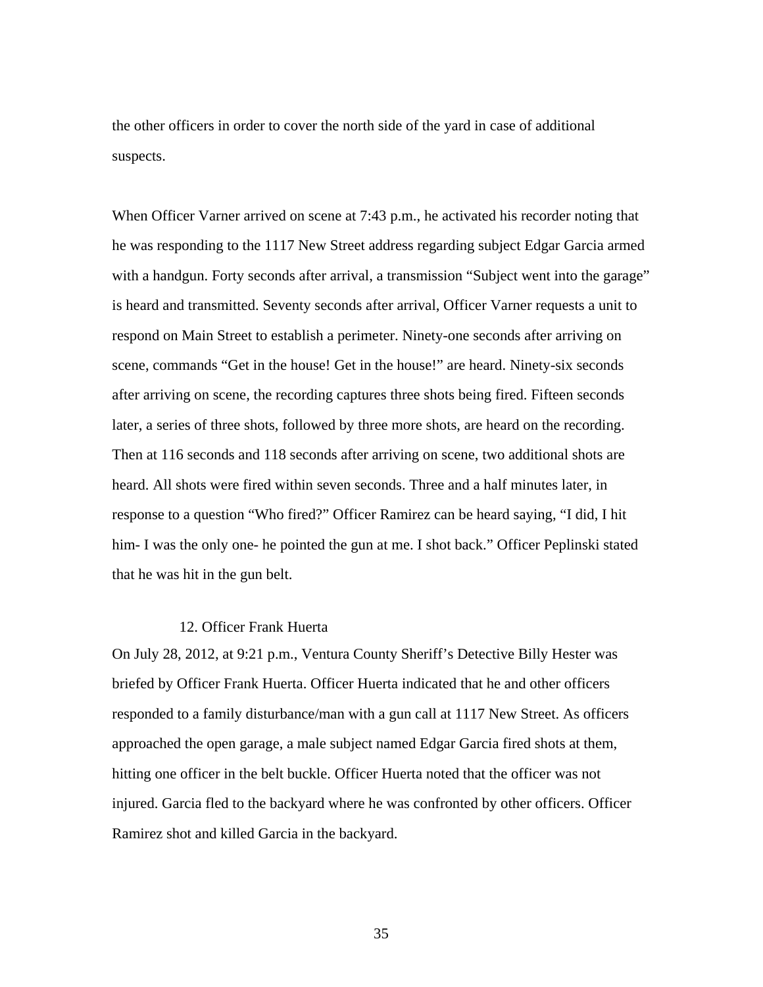the other officers in order to cover the north side of the yard in case of additional suspects.

When Officer Varner arrived on scene at 7:43 p.m., he activated his recorder noting that he was responding to the 1117 New Street address regarding subject Edgar Garcia armed with a handgun. Forty seconds after arrival, a transmission "Subject went into the garage" is heard and transmitted. Seventy seconds after arrival, Officer Varner requests a unit to respond on Main Street to establish a perimeter. Ninety-one seconds after arriving on scene, commands "Get in the house! Get in the house!" are heard. Ninety-six seconds after arriving on scene, the recording captures three shots being fired. Fifteen seconds later, a series of three shots, followed by three more shots, are heard on the recording. Then at 116 seconds and 118 seconds after arriving on scene, two additional shots are heard. All shots were fired within seven seconds. Three and a half minutes later, in response to a question "Who fired?" Officer Ramirez can be heard saying, "I did, I hit him- I was the only one- he pointed the gun at me. I shot back." Officer Peplinski stated that he was hit in the gun belt.

### 12. Officer Frank Huerta

On July 28, 2012, at 9:21 p.m., Ventura County Sheriff's Detective Billy Hester was briefed by Officer Frank Huerta. Officer Huerta indicated that he and other officers responded to a family disturbance/man with a gun call at 1117 New Street. As officers approached the open garage, a male subject named Edgar Garcia fired shots at them, hitting one officer in the belt buckle. Officer Huerta noted that the officer was not injured. Garcia fled to the backyard where he was confronted by other officers. Officer Ramirez shot and killed Garcia in the backyard.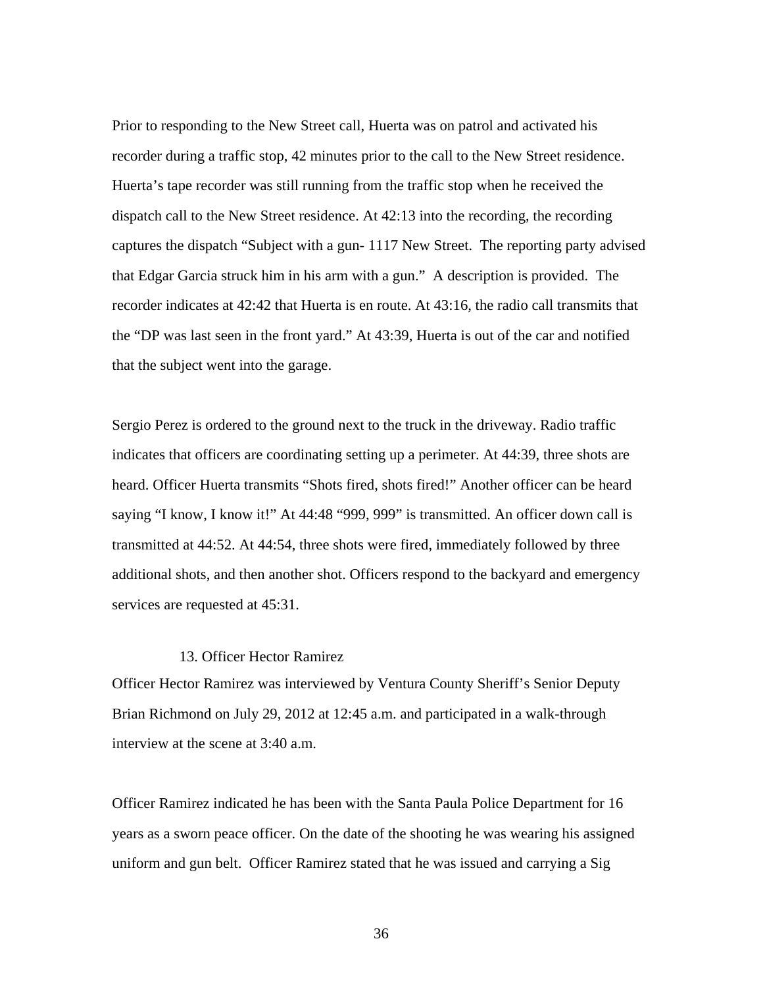Prior to responding to the New Street call, Huerta was on patrol and activated his recorder during a traffic stop, 42 minutes prior to the call to the New Street residence. Huerta's tape recorder was still running from the traffic stop when he received the dispatch call to the New Street residence. At 42:13 into the recording, the recording captures the dispatch "Subject with a gun- 1117 New Street. The reporting party advised that Edgar Garcia struck him in his arm with a gun." A description is provided. The recorder indicates at 42:42 that Huerta is en route. At 43:16, the radio call transmits that the "DP was last seen in the front yard." At 43:39, Huerta is out of the car and notified that the subject went into the garage.

Sergio Perez is ordered to the ground next to the truck in the driveway. Radio traffic indicates that officers are coordinating setting up a perimeter. At 44:39, three shots are heard. Officer Huerta transmits "Shots fired, shots fired!" Another officer can be heard saying "I know, I know it!" At 44:48 "999, 999" is transmitted. An officer down call is transmitted at 44:52. At 44:54, three shots were fired, immediately followed by three additional shots, and then another shot. Officers respond to the backyard and emergency services are requested at 45:31.

#### 13. Officer Hector Ramirez

Officer Hector Ramirez was interviewed by Ventura County Sheriff's Senior Deputy Brian Richmond on July 29, 2012 at 12:45 a.m. and participated in a walk-through interview at the scene at 3:40 a.m.

Officer Ramirez indicated he has been with the Santa Paula Police Department for 16 years as a sworn peace officer. On the date of the shooting he was wearing his assigned uniform and gun belt. Officer Ramirez stated that he was issued and carrying a Sig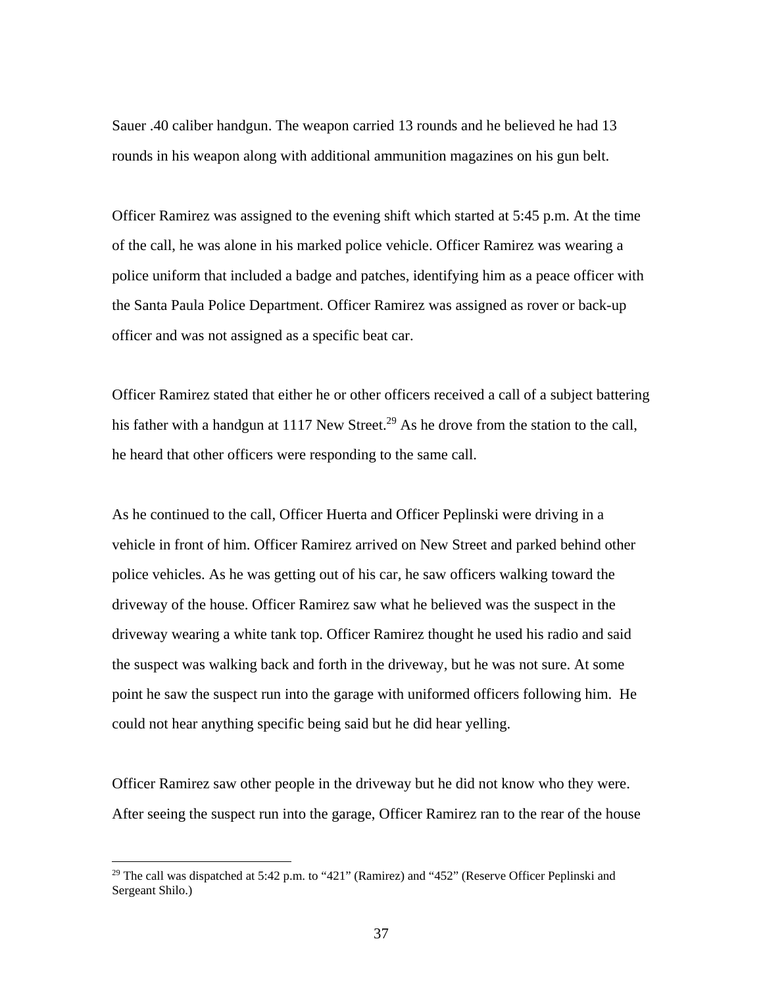Sauer .40 caliber handgun. The weapon carried 13 rounds and he believed he had 13 rounds in his weapon along with additional ammunition magazines on his gun belt.

Officer Ramirez was assigned to the evening shift which started at 5:45 p.m. At the time of the call, he was alone in his marked police vehicle. Officer Ramirez was wearing a police uniform that included a badge and patches, identifying him as a peace officer with the Santa Paula Police Department. Officer Ramirez was assigned as rover or back-up officer and was not assigned as a specific beat car.

Officer Ramirez stated that either he or other officers received a call of a subject battering his father with a handgun at 1117 New Street.<sup>29</sup> As he drove from the station to the call, he heard that other officers were responding to the same call.

As he continued to the call, Officer Huerta and Officer Peplinski were driving in a vehicle in front of him. Officer Ramirez arrived on New Street and parked behind other police vehicles. As he was getting out of his car, he saw officers walking toward the driveway of the house. Officer Ramirez saw what he believed was the suspect in the driveway wearing a white tank top. Officer Ramirez thought he used his radio and said the suspect was walking back and forth in the driveway, but he was not sure. At some point he saw the suspect run into the garage with uniformed officers following him. He could not hear anything specific being said but he did hear yelling.

Officer Ramirez saw other people in the driveway but he did not know who they were. After seeing the suspect run into the garage, Officer Ramirez ran to the rear of the house

<sup>&</sup>lt;sup>29</sup> The call was dispatched at 5:42 p.m. to "421" (Ramirez) and "452" (Reserve Officer Peplinski and Sergeant Shilo.)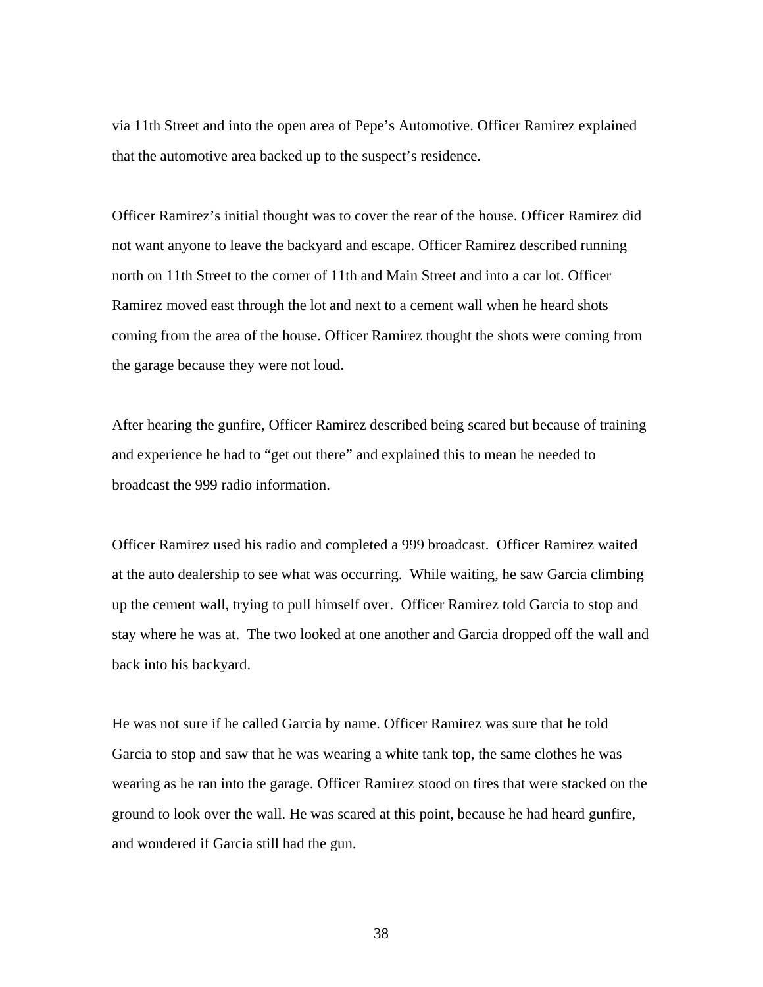via 11th Street and into the open area of Pepe's Automotive. Officer Ramirez explained that the automotive area backed up to the suspect's residence.

Officer Ramirez's initial thought was to cover the rear of the house. Officer Ramirez did not want anyone to leave the backyard and escape. Officer Ramirez described running north on 11th Street to the corner of 11th and Main Street and into a car lot. Officer Ramirez moved east through the lot and next to a cement wall when he heard shots coming from the area of the house. Officer Ramirez thought the shots were coming from the garage because they were not loud.

After hearing the gunfire, Officer Ramirez described being scared but because of training and experience he had to "get out there" and explained this to mean he needed to broadcast the 999 radio information.

Officer Ramirez used his radio and completed a 999 broadcast. Officer Ramirez waited at the auto dealership to see what was occurring. While waiting, he saw Garcia climbing up the cement wall, trying to pull himself over. Officer Ramirez told Garcia to stop and stay where he was at. The two looked at one another and Garcia dropped off the wall and back into his backyard.

He was not sure if he called Garcia by name. Officer Ramirez was sure that he told Garcia to stop and saw that he was wearing a white tank top, the same clothes he was wearing as he ran into the garage. Officer Ramirez stood on tires that were stacked on the ground to look over the wall. He was scared at this point, because he had heard gunfire, and wondered if Garcia still had the gun.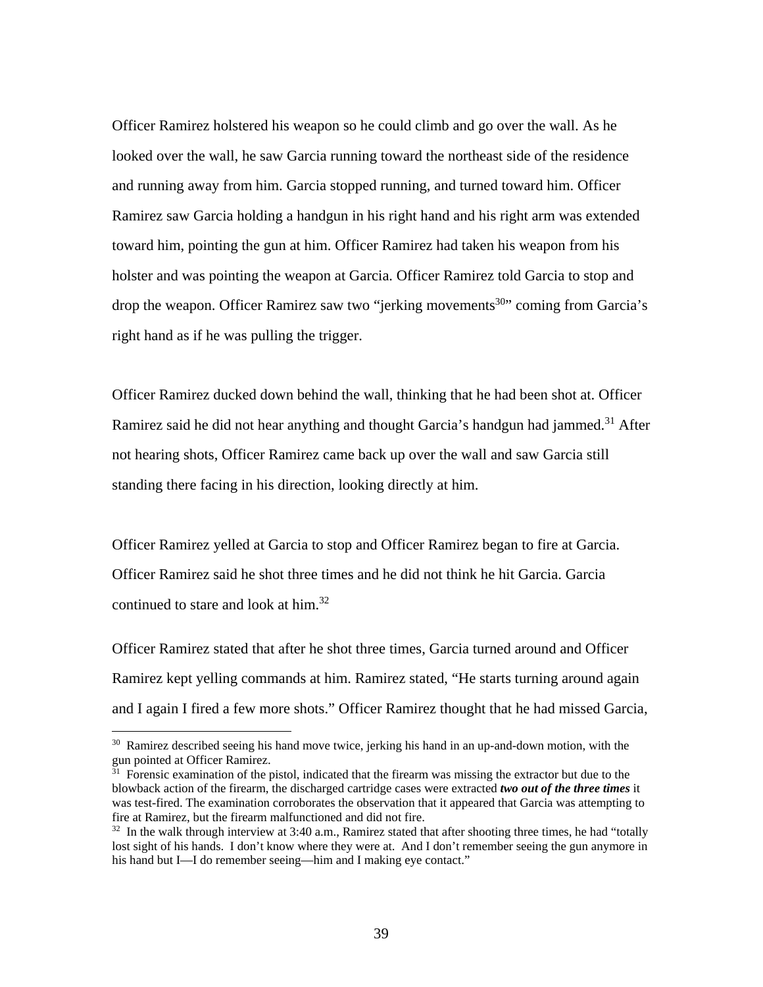Officer Ramirez holstered his weapon so he could climb and go over the wall. As he looked over the wall, he saw Garcia running toward the northeast side of the residence and running away from him. Garcia stopped running, and turned toward him. Officer Ramirez saw Garcia holding a handgun in his right hand and his right arm was extended toward him, pointing the gun at him. Officer Ramirez had taken his weapon from his holster and was pointing the weapon at Garcia. Officer Ramirez told Garcia to stop and drop the weapon. Officer Ramirez saw two "jerking movements<sup>30</sup>" coming from Garcia's right hand as if he was pulling the trigger.

Officer Ramirez ducked down behind the wall, thinking that he had been shot at. Officer Ramirez said he did not hear anything and thought Garcia's handgun had jammed.<sup>31</sup> After not hearing shots, Officer Ramirez came back up over the wall and saw Garcia still standing there facing in his direction, looking directly at him.

Officer Ramirez yelled at Garcia to stop and Officer Ramirez began to fire at Garcia. Officer Ramirez said he shot three times and he did not think he hit Garcia. Garcia continued to stare and look at him.<sup>32</sup>

Officer Ramirez stated that after he shot three times, Garcia turned around and Officer Ramirez kept yelling commands at him. Ramirez stated, "He starts turning around again and I again I fired a few more shots." Officer Ramirez thought that he had missed Garcia,

<sup>&</sup>lt;sup>30</sup> Ramirez described seeing his hand move twice, jerking his hand in an up-and-down motion, with the gun pointed at Officer Ramirez.

 $31$  Forensic examination of the pistol, indicated that the firearm was missing the extractor but due to the blowback action of the firearm, the discharged cartridge cases were extracted *two out of the three times* it was test-fired. The examination corroborates the observation that it appeared that Garcia was attempting to fire at Ramirez, but the firearm malfunctioned and did not fire.<br><sup>32</sup> In the walk through interview at 3:40 a.m., Ramirez stated that after shooting three times, he had "totally

lost sight of his hands. I don't know where they were at. And I don't remember seeing the gun anymore in his hand but I—I do remember seeing—him and I making eye contact."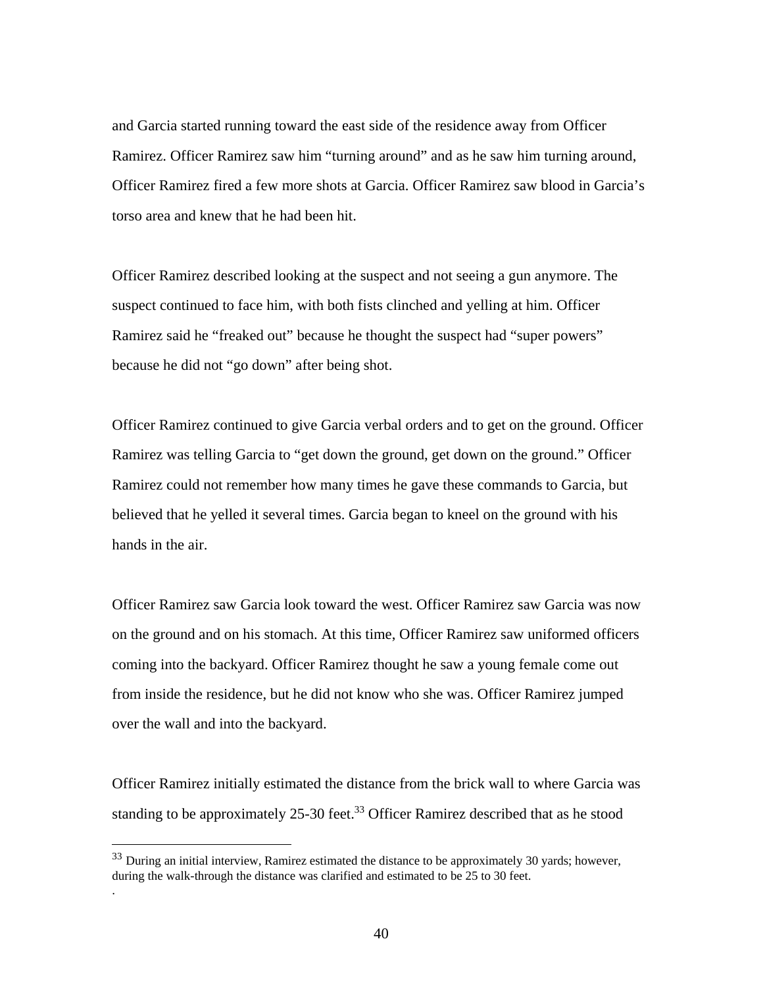and Garcia started running toward the east side of the residence away from Officer Ramirez. Officer Ramirez saw him "turning around" and as he saw him turning around, Officer Ramirez fired a few more shots at Garcia. Officer Ramirez saw blood in Garcia's torso area and knew that he had been hit.

Officer Ramirez described looking at the suspect and not seeing a gun anymore. The suspect continued to face him, with both fists clinched and yelling at him. Officer Ramirez said he "freaked out" because he thought the suspect had "super powers" because he did not "go down" after being shot.

Officer Ramirez continued to give Garcia verbal orders and to get on the ground. Officer Ramirez was telling Garcia to "get down the ground, get down on the ground." Officer Ramirez could not remember how many times he gave these commands to Garcia, but believed that he yelled it several times. Garcia began to kneel on the ground with his hands in the air.

Officer Ramirez saw Garcia look toward the west. Officer Ramirez saw Garcia was now on the ground and on his stomach. At this time, Officer Ramirez saw uniformed officers coming into the backyard. Officer Ramirez thought he saw a young female come out from inside the residence, but he did not know who she was. Officer Ramirez jumped over the wall and into the backyard.

Officer Ramirez initially estimated the distance from the brick wall to where Garcia was standing to be approximately 25-30 feet.<sup>33</sup> Officer Ramirez described that as he stood

 $\overline{a}$ 

.

<sup>&</sup>lt;sup>33</sup> During an initial interview, Ramirez estimated the distance to be approximately 30 yards; however, during the walk-through the distance was clarified and estimated to be 25 to 30 feet.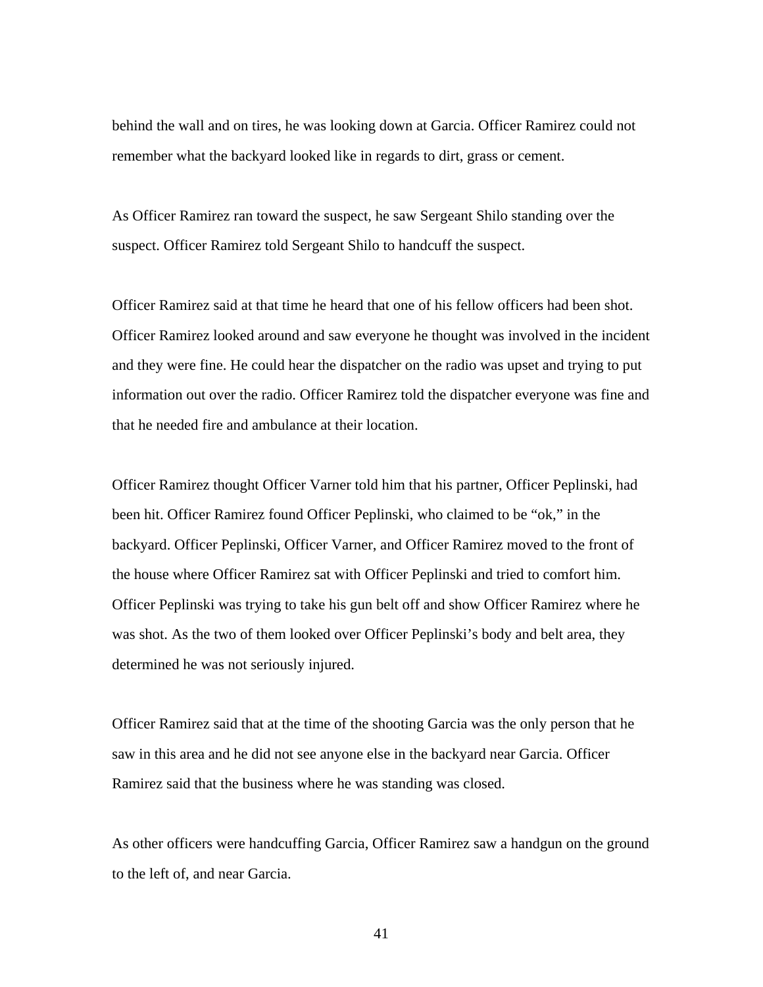behind the wall and on tires, he was looking down at Garcia. Officer Ramirez could not remember what the backyard looked like in regards to dirt, grass or cement.

As Officer Ramirez ran toward the suspect, he saw Sergeant Shilo standing over the suspect. Officer Ramirez told Sergeant Shilo to handcuff the suspect.

Officer Ramirez said at that time he heard that one of his fellow officers had been shot. Officer Ramirez looked around and saw everyone he thought was involved in the incident and they were fine. He could hear the dispatcher on the radio was upset and trying to put information out over the radio. Officer Ramirez told the dispatcher everyone was fine and that he needed fire and ambulance at their location.

Officer Ramirez thought Officer Varner told him that his partner, Officer Peplinski, had been hit. Officer Ramirez found Officer Peplinski, who claimed to be "ok," in the backyard. Officer Peplinski, Officer Varner, and Officer Ramirez moved to the front of the house where Officer Ramirez sat with Officer Peplinski and tried to comfort him. Officer Peplinski was trying to take his gun belt off and show Officer Ramirez where he was shot. As the two of them looked over Officer Peplinski's body and belt area, they determined he was not seriously injured.

Officer Ramirez said that at the time of the shooting Garcia was the only person that he saw in this area and he did not see anyone else in the backyard near Garcia. Officer Ramirez said that the business where he was standing was closed.

As other officers were handcuffing Garcia, Officer Ramirez saw a handgun on the ground to the left of, and near Garcia.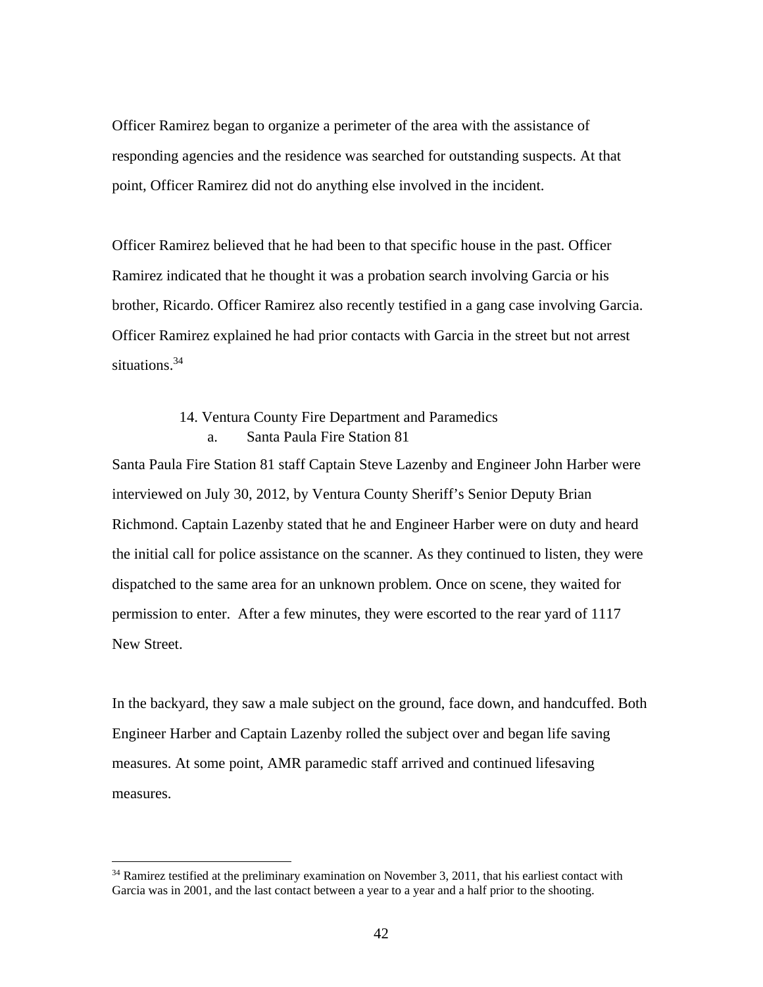Officer Ramirez began to organize a perimeter of the area with the assistance of responding agencies and the residence was searched for outstanding suspects. At that point, Officer Ramirez did not do anything else involved in the incident.

Officer Ramirez believed that he had been to that specific house in the past. Officer Ramirez indicated that he thought it was a probation search involving Garcia or his brother, Ricardo. Officer Ramirez also recently testified in a gang case involving Garcia. Officer Ramirez explained he had prior contacts with Garcia in the street but not arrest situations.<sup>34</sup>

# 14. Ventura County Fire Department and Paramedics a. Santa Paula Fire Station 81

Santa Paula Fire Station 81 staff Captain Steve Lazenby and Engineer John Harber were interviewed on July 30, 2012, by Ventura County Sheriff's Senior Deputy Brian Richmond. Captain Lazenby stated that he and Engineer Harber were on duty and heard the initial call for police assistance on the scanner. As they continued to listen, they were dispatched to the same area for an unknown problem. Once on scene, they waited for permission to enter. After a few minutes, they were escorted to the rear yard of 1117 New Street.

In the backyard, they saw a male subject on the ground, face down, and handcuffed. Both Engineer Harber and Captain Lazenby rolled the subject over and began life saving measures. At some point, AMR paramedic staff arrived and continued lifesaving measures.

<sup>&</sup>lt;sup>34</sup> Ramirez testified at the preliminary examination on November 3, 2011, that his earliest contact with Garcia was in 2001, and the last contact between a year to a year and a half prior to the shooting.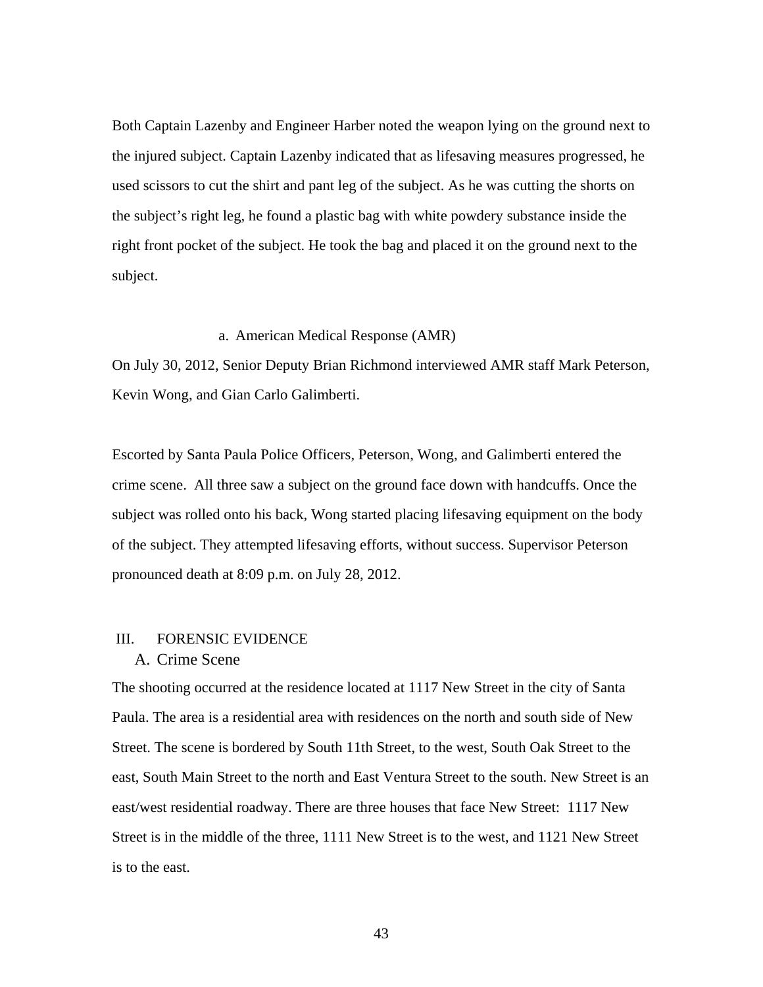Both Captain Lazenby and Engineer Harber noted the weapon lying on the ground next to the injured subject. Captain Lazenby indicated that as lifesaving measures progressed, he used scissors to cut the shirt and pant leg of the subject. As he was cutting the shorts on the subject's right leg, he found a plastic bag with white powdery substance inside the right front pocket of the subject. He took the bag and placed it on the ground next to the subject.

### a. American Medical Response (AMR)

On July 30, 2012, Senior Deputy Brian Richmond interviewed AMR staff Mark Peterson, Kevin Wong, and Gian Carlo Galimberti.

Escorted by Santa Paula Police Officers, Peterson, Wong, and Galimberti entered the crime scene. All three saw a subject on the ground face down with handcuffs. Once the subject was rolled onto his back, Wong started placing lifesaving equipment on the body of the subject. They attempted lifesaving efforts, without success. Supervisor Peterson pronounced death at 8:09 p.m. on July 28, 2012.

# III. FORENSIC EVIDENCE

# A. Crime Scene

The shooting occurred at the residence located at 1117 New Street in the city of Santa Paula. The area is a residential area with residences on the north and south side of New Street. The scene is bordered by South 11th Street, to the west, South Oak Street to the east, South Main Street to the north and East Ventura Street to the south. New Street is an east/west residential roadway. There are three houses that face New Street: 1117 New Street is in the middle of the three, 1111 New Street is to the west, and 1121 New Street is to the east.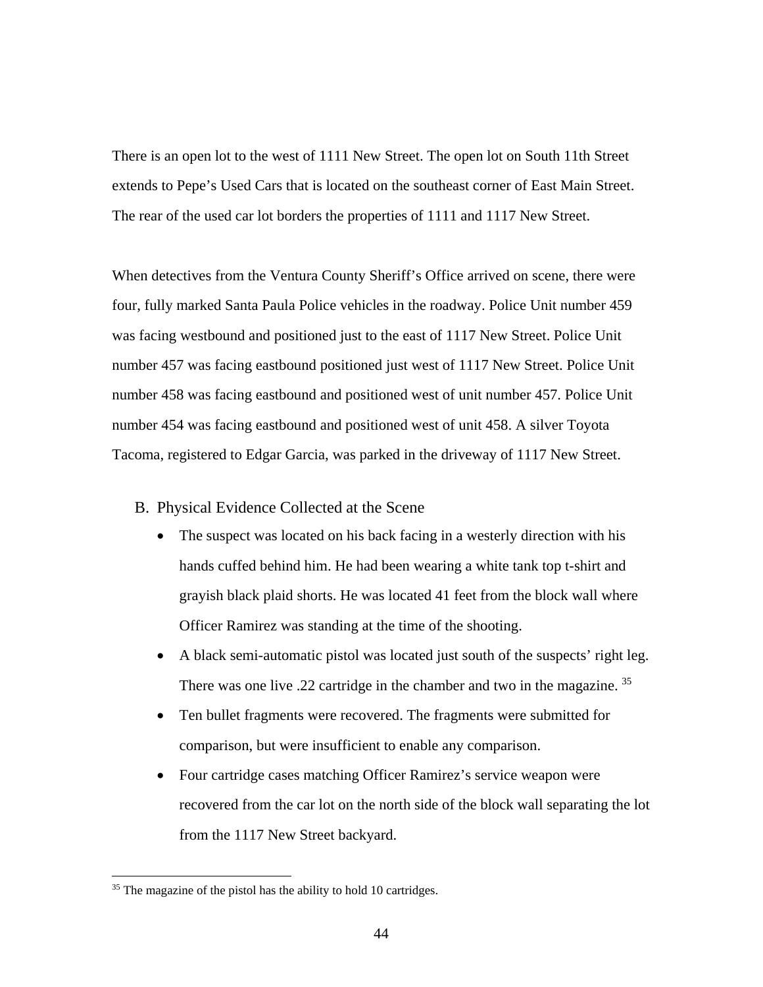There is an open lot to the west of 1111 New Street. The open lot on South 11th Street extends to Pepe's Used Cars that is located on the southeast corner of East Main Street. The rear of the used car lot borders the properties of 1111 and 1117 New Street.

When detectives from the Ventura County Sheriff's Office arrived on scene, there were four, fully marked Santa Paula Police vehicles in the roadway. Police Unit number 459 was facing westbound and positioned just to the east of 1117 New Street. Police Unit number 457 was facing eastbound positioned just west of 1117 New Street. Police Unit number 458 was facing eastbound and positioned west of unit number 457. Police Unit number 454 was facing eastbound and positioned west of unit 458. A silver Toyota Tacoma, registered to Edgar Garcia, was parked in the driveway of 1117 New Street.

- B. Physical Evidence Collected at the Scene
	- The suspect was located on his back facing in a westerly direction with his hands cuffed behind him. He had been wearing a white tank top t-shirt and grayish black plaid shorts. He was located 41 feet from the block wall where Officer Ramirez was standing at the time of the shooting.
	- A black semi-automatic pistol was located just south of the suspects' right leg. There was one live .22 cartridge in the chamber and two in the magazine.<sup>35</sup>
	- Ten bullet fragments were recovered. The fragments were submitted for comparison, but were insufficient to enable any comparison.
	- Four cartridge cases matching Officer Ramirez's service weapon were recovered from the car lot on the north side of the block wall separating the lot from the 1117 New Street backyard.

<u>.</u>

<sup>&</sup>lt;sup>35</sup> The magazine of the pistol has the ability to hold 10 cartridges.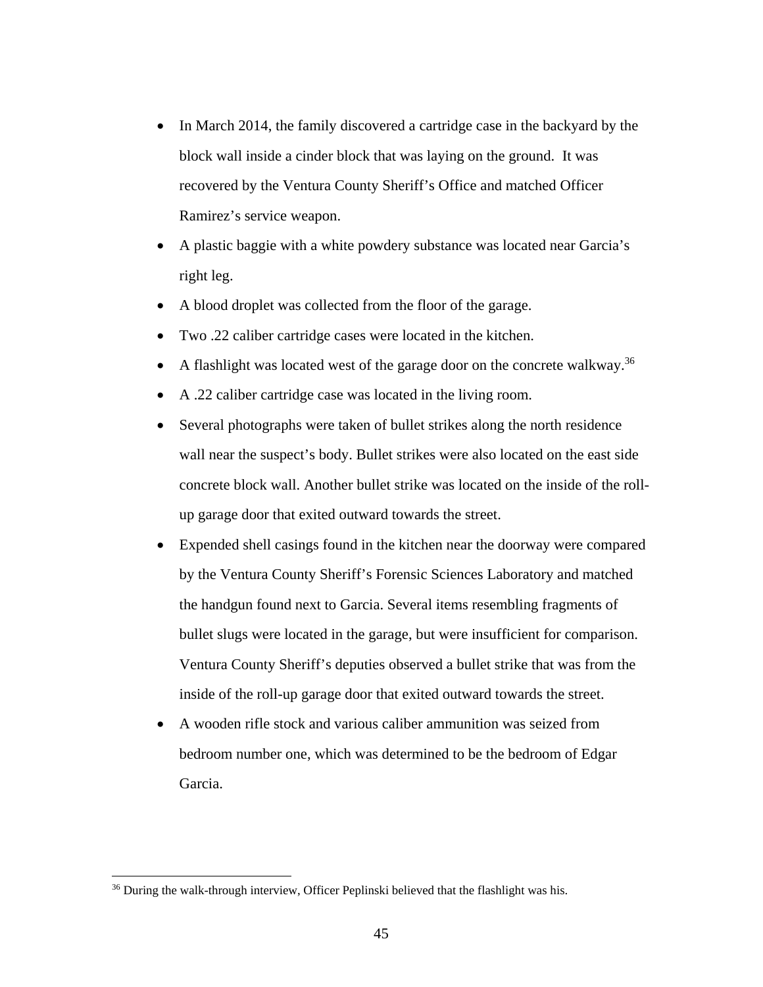- In March 2014, the family discovered a cartridge case in the backyard by the block wall inside a cinder block that was laying on the ground. It was recovered by the Ventura County Sheriff's Office and matched Officer Ramirez's service weapon.
- A plastic baggie with a white powdery substance was located near Garcia's right leg.
- A blood droplet was collected from the floor of the garage.
- Two .22 caliber cartridge cases were located in the kitchen.
- A flashlight was located west of the garage door on the concrete walkway.<sup>36</sup>
- A .22 caliber cartridge case was located in the living room.
- Several photographs were taken of bullet strikes along the north residence wall near the suspect's body. Bullet strikes were also located on the east side concrete block wall. Another bullet strike was located on the inside of the rollup garage door that exited outward towards the street.
- Expended shell casings found in the kitchen near the doorway were compared by the Ventura County Sheriff's Forensic Sciences Laboratory and matched the handgun found next to Garcia. Several items resembling fragments of bullet slugs were located in the garage, but were insufficient for comparison. Ventura County Sheriff's deputies observed a bullet strike that was from the inside of the roll-up garage door that exited outward towards the street.
- A wooden rifle stock and various caliber ammunition was seized from bedroom number one, which was determined to be the bedroom of Edgar Garcia.

<sup>&</sup>lt;sup>36</sup> During the walk-through interview, Officer Peplinski believed that the flashlight was his.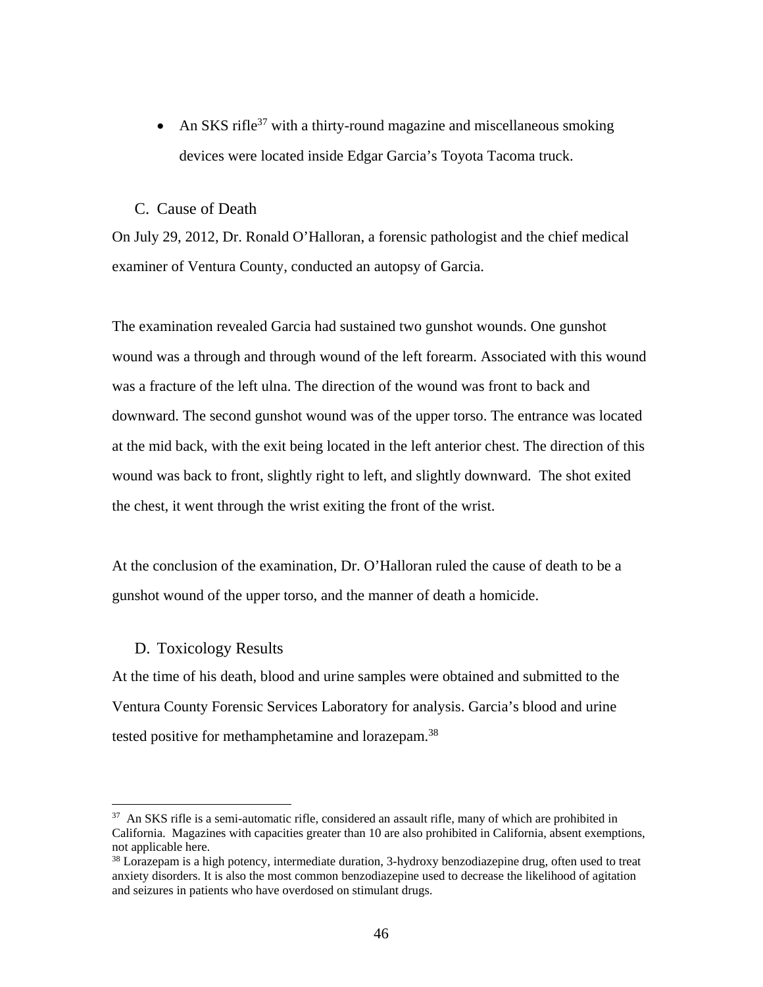• An SKS rifle<sup>37</sup> with a thirty-round magazine and miscellaneous smoking devices were located inside Edgar Garcia's Toyota Tacoma truck.

### C. Cause of Death

On July 29, 2012, Dr. Ronald O'Halloran, a forensic pathologist and the chief medical examiner of Ventura County, conducted an autopsy of Garcia.

The examination revealed Garcia had sustained two gunshot wounds. One gunshot wound was a through and through wound of the left forearm. Associated with this wound was a fracture of the left ulna. The direction of the wound was front to back and downward. The second gunshot wound was of the upper torso. The entrance was located at the mid back, with the exit being located in the left anterior chest. The direction of this wound was back to front, slightly right to left, and slightly downward. The shot exited the chest, it went through the wrist exiting the front of the wrist.

At the conclusion of the examination, Dr. O'Halloran ruled the cause of death to be a gunshot wound of the upper torso, and the manner of death a homicide.

### D. Toxicology Results

 $\overline{a}$ 

At the time of his death, blood and urine samples were obtained and submitted to the Ventura County Forensic Services Laboratory for analysis. Garcia's blood and urine tested positive for methamphetamine and lorazepam.<sup>38</sup>

<sup>&</sup>lt;sup>37</sup> An SKS rifle is a semi-automatic rifle, considered an assault rifle, many of which are prohibited in California. Magazines with capacities greater than 10 are also prohibited in California, absent exemptions, not applicable here.

<sup>38</sup> Lorazepam is a high potency, intermediate duration, 3-hydroxy benzodiazepine drug, often used to treat anxiety disorders. It is also the most common benzodiazepine used to decrease the likelihood of agitation and seizures in patients who have overdosed on stimulant drugs.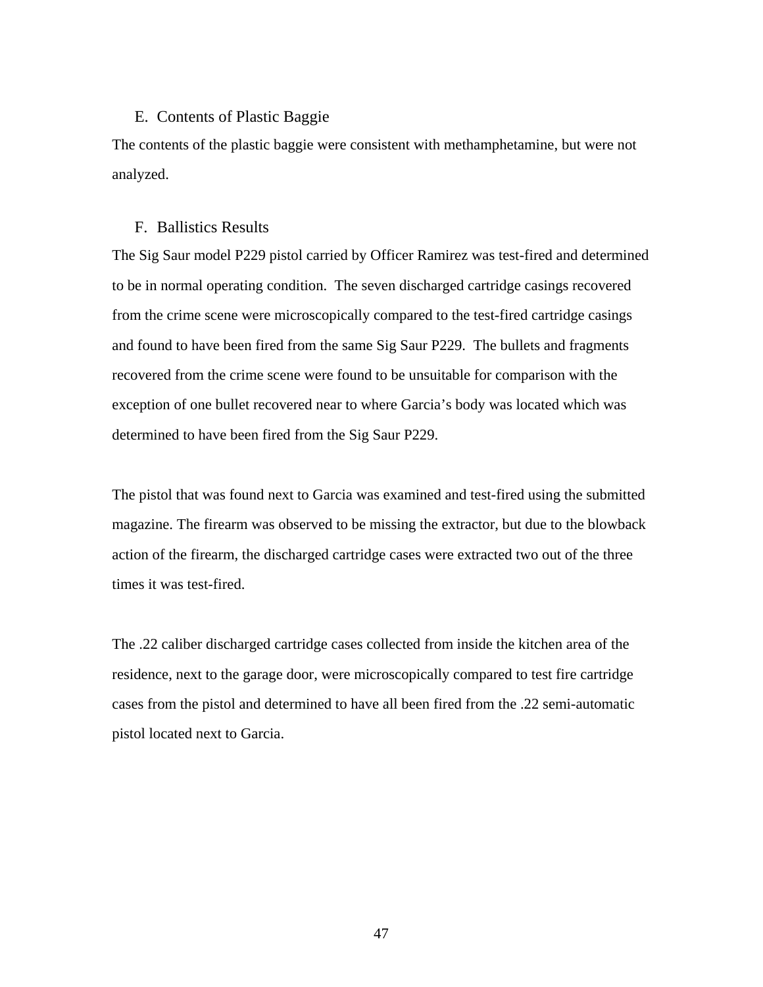# E. Contents of Plastic Baggie

The contents of the plastic baggie were consistent with methamphetamine, but were not analyzed.

### F. Ballistics Results

The Sig Saur model P229 pistol carried by Officer Ramirez was test-fired and determined to be in normal operating condition. The seven discharged cartridge casings recovered from the crime scene were microscopically compared to the test-fired cartridge casings and found to have been fired from the same Sig Saur P229. The bullets and fragments recovered from the crime scene were found to be unsuitable for comparison with the exception of one bullet recovered near to where Garcia's body was located which was determined to have been fired from the Sig Saur P229.

The pistol that was found next to Garcia was examined and test-fired using the submitted magazine. The firearm was observed to be missing the extractor, but due to the blowback action of the firearm, the discharged cartridge cases were extracted two out of the three times it was test-fired.

The .22 caliber discharged cartridge cases collected from inside the kitchen area of the residence, next to the garage door, were microscopically compared to test fire cartridge cases from the pistol and determined to have all been fired from the .22 semi-automatic pistol located next to Garcia.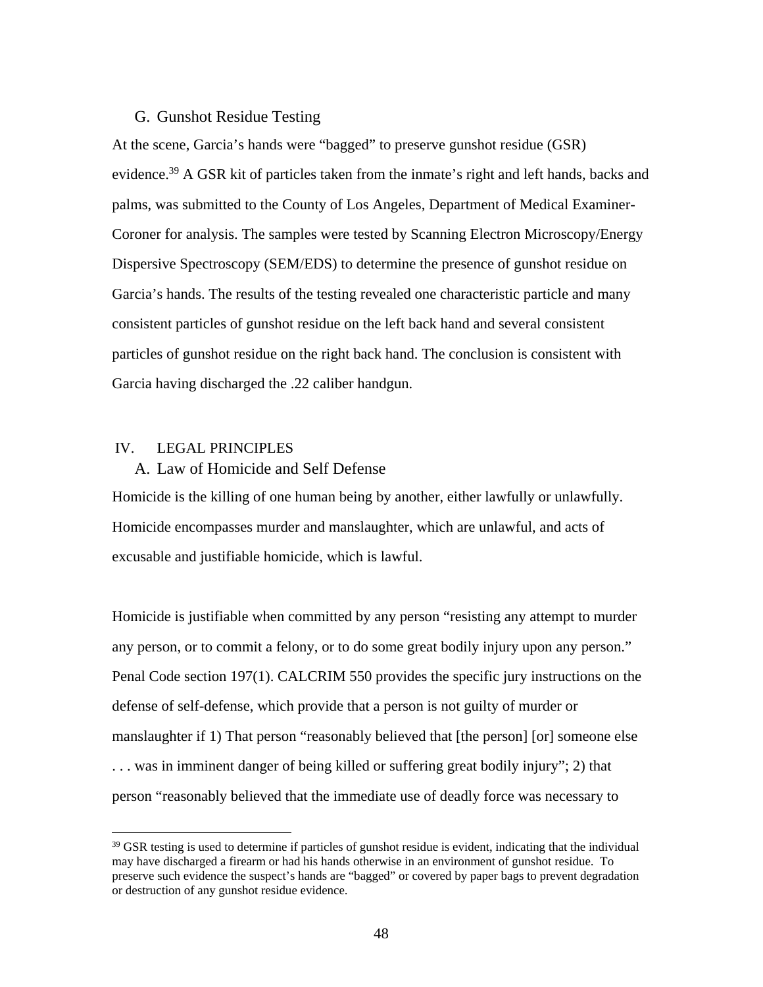# G. Gunshot Residue Testing

At the scene, Garcia's hands were "bagged" to preserve gunshot residue (GSR) evidence.<sup>39</sup> A GSR kit of particles taken from the inmate's right and left hands, backs and palms, was submitted to the County of Los Angeles, Department of Medical Examiner-Coroner for analysis. The samples were tested by Scanning Electron Microscopy/Energy Dispersive Spectroscopy (SEM/EDS) to determine the presence of gunshot residue on Garcia's hands. The results of the testing revealed one characteristic particle and many consistent particles of gunshot residue on the left back hand and several consistent particles of gunshot residue on the right back hand. The conclusion is consistent with Garcia having discharged the .22 caliber handgun.

#### IV. LEGAL PRINCIPLES

 $\overline{a}$ 

# A. Law of Homicide and Self Defense

Homicide is the killing of one human being by another, either lawfully or unlawfully. Homicide encompasses murder and manslaughter, which are unlawful, and acts of excusable and justifiable homicide, which is lawful.

Homicide is justifiable when committed by any person "resisting any attempt to murder any person, or to commit a felony, or to do some great bodily injury upon any person." Penal Code section 197(1). CALCRIM 550 provides the specific jury instructions on the defense of self-defense, which provide that a person is not guilty of murder or manslaughter if 1) That person "reasonably believed that [the person] [or] someone else . . . was in imminent danger of being killed or suffering great bodily injury"; 2) that person "reasonably believed that the immediate use of deadly force was necessary to

 $39$  GSR testing is used to determine if particles of gunshot residue is evident, indicating that the individual may have discharged a firearm or had his hands otherwise in an environment of gunshot residue. To preserve such evidence the suspect's hands are "bagged" or covered by paper bags to prevent degradation or destruction of any gunshot residue evidence.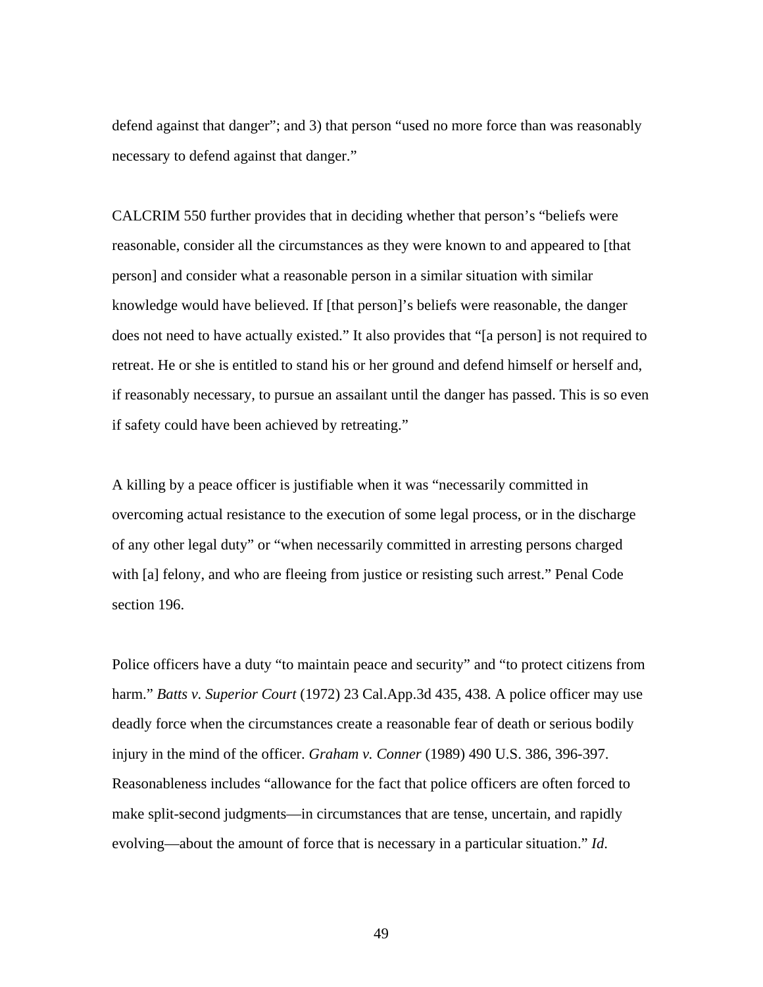defend against that danger"; and 3) that person "used no more force than was reasonably necessary to defend against that danger."

CALCRIM 550 further provides that in deciding whether that person's "beliefs were reasonable, consider all the circumstances as they were known to and appeared to [that person] and consider what a reasonable person in a similar situation with similar knowledge would have believed. If [that person]'s beliefs were reasonable, the danger does not need to have actually existed." It also provides that "[a person] is not required to retreat. He or she is entitled to stand his or her ground and defend himself or herself and, if reasonably necessary, to pursue an assailant until the danger has passed. This is so even if safety could have been achieved by retreating."

A killing by a peace officer is justifiable when it was "necessarily committed in overcoming actual resistance to the execution of some legal process, or in the discharge of any other legal duty" or "when necessarily committed in arresting persons charged with [a] felony, and who are fleeing from justice or resisting such arrest." Penal Code section 196.

Police officers have a duty "to maintain peace and security" and "to protect citizens from harm." *Batts v. Superior Court* (1972) 23 Cal.App.3d 435, 438. A police officer may use deadly force when the circumstances create a reasonable fear of death or serious bodily injury in the mind of the officer. *Graham v. Conner* (1989) 490 U.S. 386, 396-397. Reasonableness includes "allowance for the fact that police officers are often forced to make split-second judgments—in circumstances that are tense, uncertain, and rapidly evolving—about the amount of force that is necessary in a particular situation." *Id*.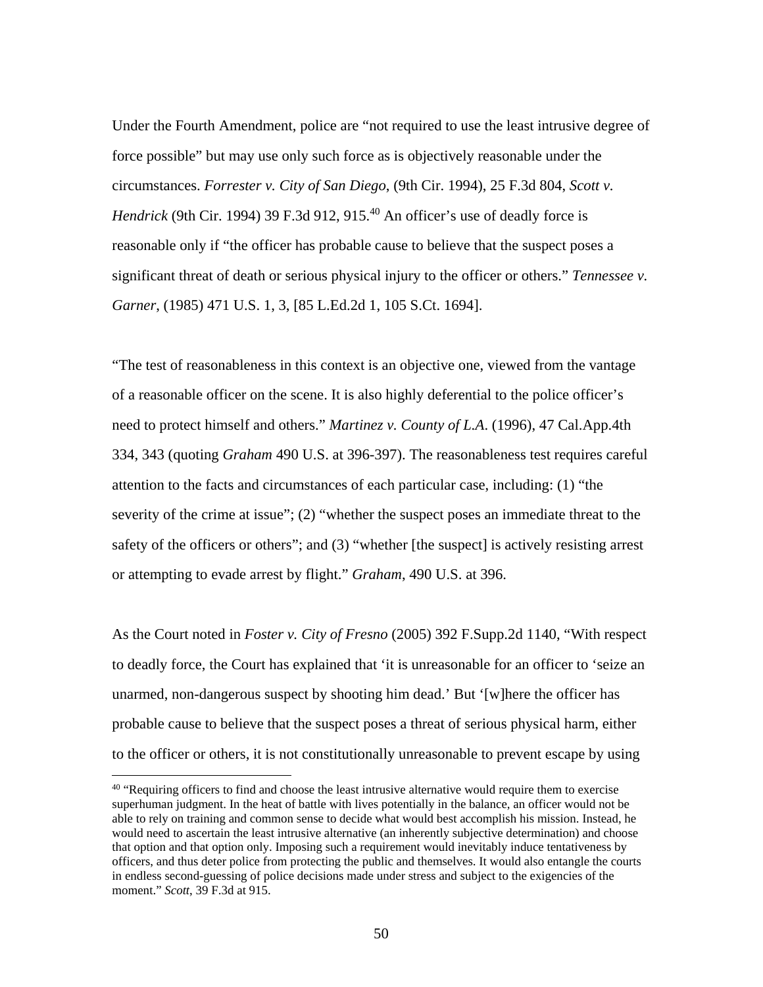Under the Fourth Amendment, police are "not required to use the least intrusive degree of force possible" but may use only such force as is objectively reasonable under the circumstances. *Forrester v. City of San Diego*, (9th Cir. 1994), 25 F.3d 804, *Scott v. Hendrick* (9th Cir. 1994) 39 F.3d 912, 915.<sup>40</sup> An officer's use of deadly force is reasonable only if "the officer has probable cause to believe that the suspect poses a significant threat of death or serious physical injury to the officer or others." *Tennessee v. Garner*, (1985) 471 U.S. 1, 3, [85 L.Ed.2d 1, 105 S.Ct. 1694].

"The test of reasonableness in this context is an objective one, viewed from the vantage of a reasonable officer on the scene. It is also highly deferential to the police officer's need to protect himself and others." *Martinez v. County of L.A*. (1996), 47 Cal.App.4th 334, 343 (quoting *Graham* 490 U.S. at 396-397). The reasonableness test requires careful attention to the facts and circumstances of each particular case, including: (1) "the severity of the crime at issue"; (2) "whether the suspect poses an immediate threat to the safety of the officers or others"; and (3) "whether [the suspect] is actively resisting arrest or attempting to evade arrest by flight." *Graham*, 490 U.S. at 396.

As the Court noted in *Foster v. City of Fresno* (2005) 392 F.Supp.2d 1140, "With respect to deadly force, the Court has explained that 'it is unreasonable for an officer to 'seize an unarmed, non-dangerous suspect by shooting him dead.' But '[w]here the officer has probable cause to believe that the suspect poses a threat of serious physical harm, either to the officer or others, it is not constitutionally unreasonable to prevent escape by using

<sup>&</sup>lt;sup>40</sup> "Requiring officers to find and choose the least intrusive alternative would require them to exercise superhuman judgment. In the heat of battle with lives potentially in the balance, an officer would not be able to rely on training and common sense to decide what would best accomplish his mission. Instead, he would need to ascertain the least intrusive alternative (an inherently subjective determination) and choose that option and that option only. Imposing such a requirement would inevitably induce tentativeness by officers, and thus deter police from protecting the public and themselves. It would also entangle the courts in endless second-guessing of police decisions made under stress and subject to the exigencies of the moment." *Scott*, 39 F.3d at 915.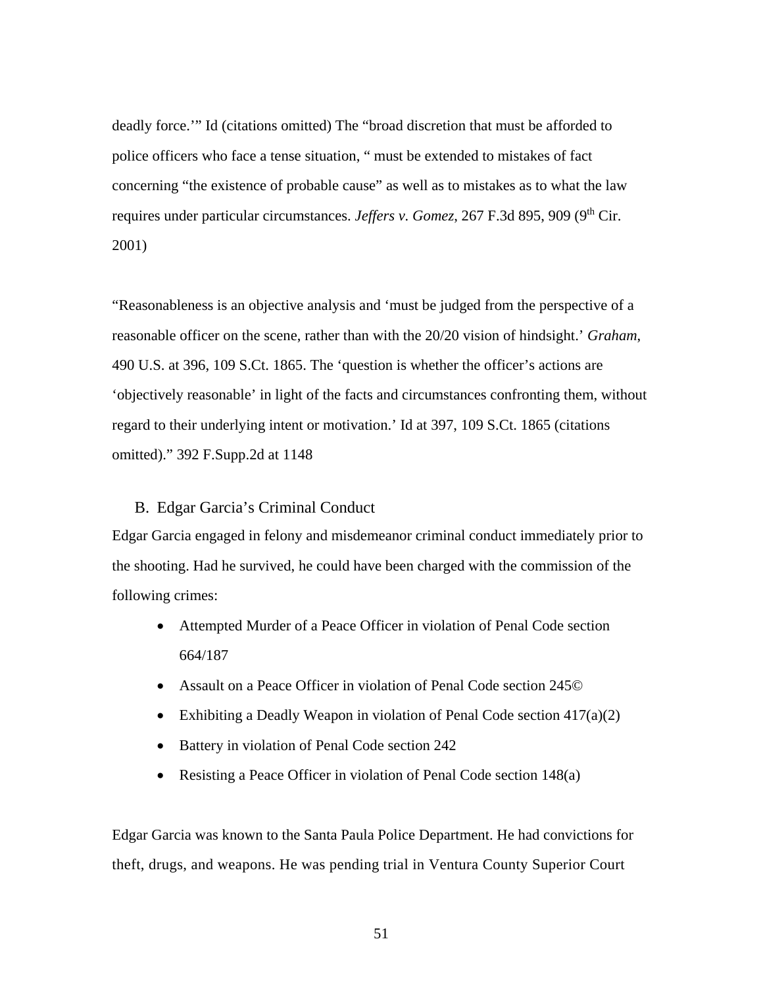deadly force.'" Id (citations omitted) The "broad discretion that must be afforded to police officers who face a tense situation, " must be extended to mistakes of fact concerning "the existence of probable cause" as well as to mistakes as to what the law requires under particular circumstances. *Jeffers v. Gomez*, 267 F.3d 895, 909 (9<sup>th</sup> Cir. 2001)

"Reasonableness is an objective analysis and 'must be judged from the perspective of a reasonable officer on the scene, rather than with the 20/20 vision of hindsight.' *Graham*, 490 U.S. at 396, 109 S.Ct. 1865. The 'question is whether the officer's actions are 'objectively reasonable' in light of the facts and circumstances confronting them, without regard to their underlying intent or motivation.' Id at 397, 109 S.Ct. 1865 (citations omitted)." 392 F.Supp.2d at 1148

# B. Edgar Garcia's Criminal Conduct

Edgar Garcia engaged in felony and misdemeanor criminal conduct immediately prior to the shooting. Had he survived, he could have been charged with the commission of the following crimes:

- Attempted Murder of a Peace Officer in violation of Penal Code section 664/187
- Assault on a Peace Officer in violation of Penal Code section 245©
- Exhibiting a Deadly Weapon in violation of Penal Code section 417(a)(2)
- Battery in violation of Penal Code section 242
- Resisting a Peace Officer in violation of Penal Code section 148(a)

Edgar Garcia was known to the Santa Paula Police Department. He had convictions for theft, drugs, and weapons. He was pending trial in Ventura County Superior Court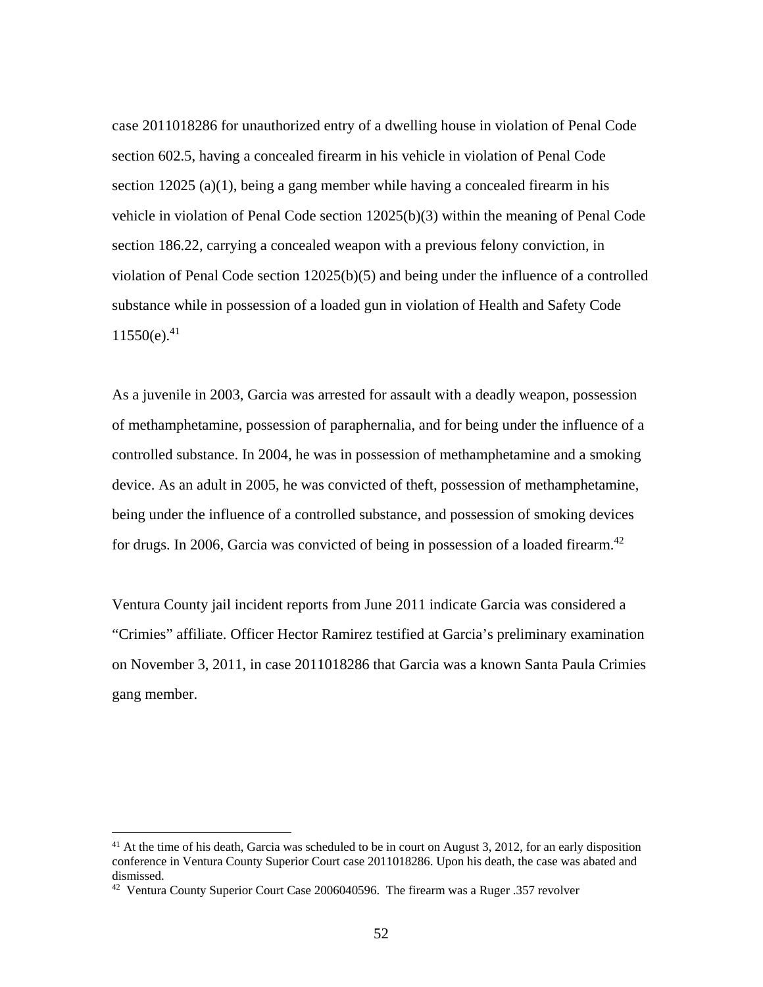case 2011018286 for unauthorized entry of a dwelling house in violation of Penal Code section 602.5, having a concealed firearm in his vehicle in violation of Penal Code section  $12025$  (a)(1), being a gang member while having a concealed firearm in his vehicle in violation of Penal Code section 12025(b)(3) within the meaning of Penal Code section 186.22, carrying a concealed weapon with a previous felony conviction, in violation of Penal Code section 12025(b)(5) and being under the influence of a controlled substance while in possession of a loaded gun in violation of Health and Safety Code  $11550(e).^{41}$ 

As a juvenile in 2003, Garcia was arrested for assault with a deadly weapon, possession of methamphetamine, possession of paraphernalia, and for being under the influence of a controlled substance. In 2004, he was in possession of methamphetamine and a smoking device. As an adult in 2005, he was convicted of theft, possession of methamphetamine, being under the influence of a controlled substance, and possession of smoking devices for drugs. In 2006, Garcia was convicted of being in possession of a loaded firearm.<sup>42</sup>

Ventura County jail incident reports from June 2011 indicate Garcia was considered a "Crimies" affiliate. Officer Hector Ramirez testified at Garcia's preliminary examination on November 3, 2011, in case 2011018286 that Garcia was a known Santa Paula Crimies gang member.

<u>.</u>

<sup>&</sup>lt;sup>41</sup> At the time of his death, Garcia was scheduled to be in court on August 3, 2012, for an early disposition conference in Ventura County Superior Court case 2011018286. Upon his death, the case was abated and dismissed.

<sup>&</sup>lt;sup>42</sup> Ventura County Superior Court Case 2006040596. The firearm was a Ruger .357 revolver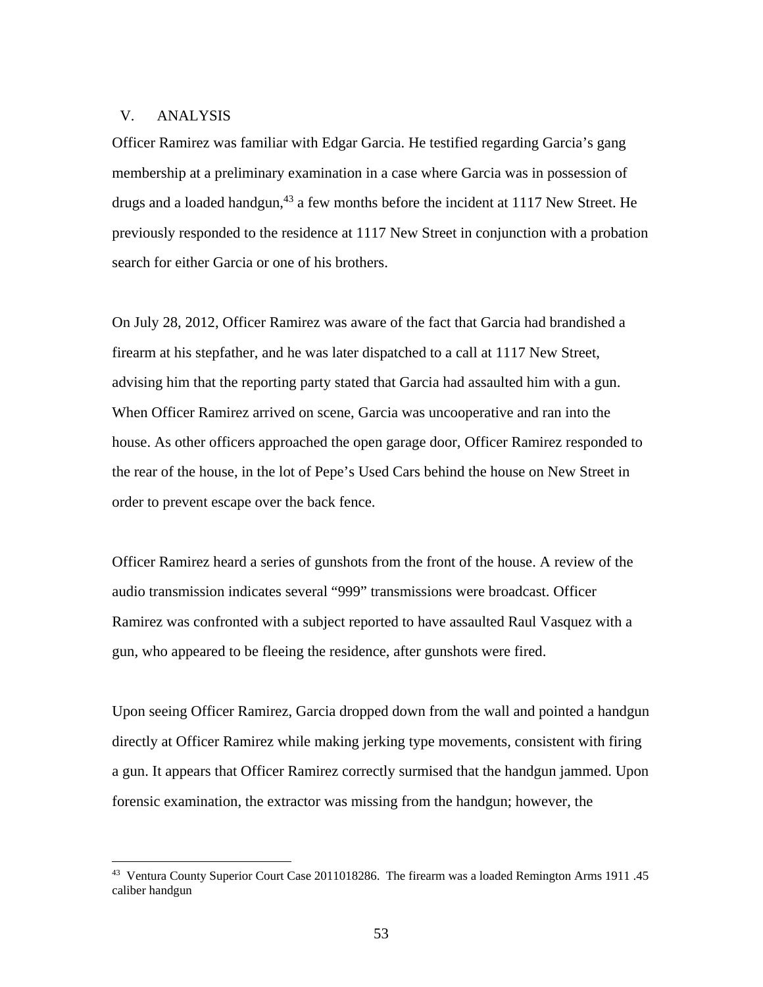### V. ANALYSIS

 $\overline{a}$ 

Officer Ramirez was familiar with Edgar Garcia. He testified regarding Garcia's gang membership at a preliminary examination in a case where Garcia was in possession of drugs and a loaded handgun,  $43$  a few months before the incident at 1117 New Street. He previously responded to the residence at 1117 New Street in conjunction with a probation search for either Garcia or one of his brothers.

On July 28, 2012, Officer Ramirez was aware of the fact that Garcia had brandished a firearm at his stepfather, and he was later dispatched to a call at 1117 New Street, advising him that the reporting party stated that Garcia had assaulted him with a gun. When Officer Ramirez arrived on scene, Garcia was uncooperative and ran into the house. As other officers approached the open garage door, Officer Ramirez responded to the rear of the house, in the lot of Pepe's Used Cars behind the house on New Street in order to prevent escape over the back fence.

Officer Ramirez heard a series of gunshots from the front of the house. A review of the audio transmission indicates several "999" transmissions were broadcast. Officer Ramirez was confronted with a subject reported to have assaulted Raul Vasquez with a gun, who appeared to be fleeing the residence, after gunshots were fired.

Upon seeing Officer Ramirez, Garcia dropped down from the wall and pointed a handgun directly at Officer Ramirez while making jerking type movements, consistent with firing a gun. It appears that Officer Ramirez correctly surmised that the handgun jammed. Upon forensic examination, the extractor was missing from the handgun; however, the

<sup>43</sup> Ventura County Superior Court Case 2011018286. The firearm was a loaded Remington Arms 1911 .45 caliber handgun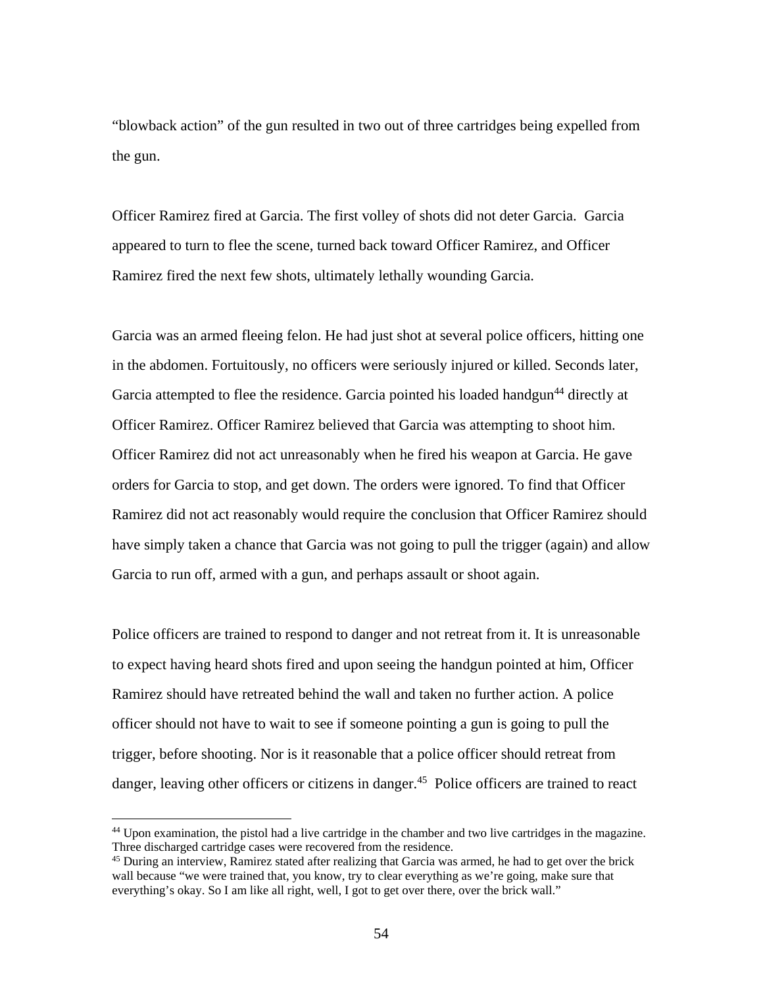"blowback action" of the gun resulted in two out of three cartridges being expelled from the gun.

Officer Ramirez fired at Garcia. The first volley of shots did not deter Garcia. Garcia appeared to turn to flee the scene, turned back toward Officer Ramirez, and Officer Ramirez fired the next few shots, ultimately lethally wounding Garcia.

Garcia was an armed fleeing felon. He had just shot at several police officers, hitting one in the abdomen. Fortuitously, no officers were seriously injured or killed. Seconds later, Garcia attempted to flee the residence. Garcia pointed his loaded handgun<sup>44</sup> directly at Officer Ramirez. Officer Ramirez believed that Garcia was attempting to shoot him. Officer Ramirez did not act unreasonably when he fired his weapon at Garcia. He gave orders for Garcia to stop, and get down. The orders were ignored. To find that Officer Ramirez did not act reasonably would require the conclusion that Officer Ramirez should have simply taken a chance that Garcia was not going to pull the trigger (again) and allow Garcia to run off, armed with a gun, and perhaps assault or shoot again.

Police officers are trained to respond to danger and not retreat from it. It is unreasonable to expect having heard shots fired and upon seeing the handgun pointed at him, Officer Ramirez should have retreated behind the wall and taken no further action. A police officer should not have to wait to see if someone pointing a gun is going to pull the trigger, before shooting. Nor is it reasonable that a police officer should retreat from danger, leaving other officers or citizens in danger.<sup>45</sup> Police officers are trained to react

<sup>44</sup> Upon examination, the pistol had a live cartridge in the chamber and two live cartridges in the magazine. Three discharged cartridge cases were recovered from the residence.

<sup>&</sup>lt;sup>45</sup> During an interview, Ramirez stated after realizing that Garcia was armed, he had to get over the brick wall because "we were trained that, you know, try to clear everything as we're going, make sure that everything's okay. So I am like all right, well, I got to get over there, over the brick wall."